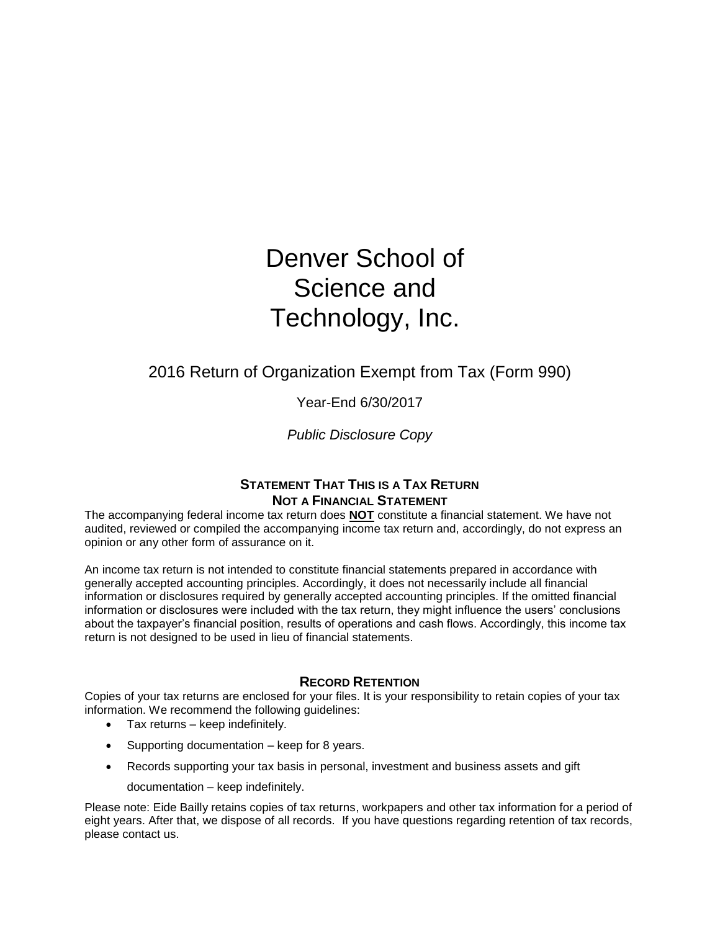# Denver School of Science and Technology, Inc.

# 2016 Return of Organization Exempt from Tax (Form 990)

Year-End 6/30/2017

*Public Disclosure Copy*

# **STATEMENT THAT THIS IS A TAX RETURN NOT A FINANCIAL STATEMENT**

The accompanying federal income tax return does **NOT** constitute a financial statement. We have not audited, reviewed or compiled the accompanying income tax return and, accordingly, do not express an opinion or any other form of assurance on it.

An income tax return is not intended to constitute financial statements prepared in accordance with generally accepted accounting principles. Accordingly, it does not necessarily include all financial information or disclosures required by generally accepted accounting principles. If the omitted financial information or disclosures were included with the tax return, they might influence the users' conclusions about the taxpayer's financial position, results of operations and cash flows. Accordingly, this income tax return is not designed to be used in lieu of financial statements.

# **RECORD RETENTION**

Copies of your tax returns are enclosed for your files. It is your responsibility to retain copies of your tax information. We recommend the following guidelines:

- Tax returns keep indefinitely.
- Supporting documentation keep for 8 years.
- Records supporting your tax basis in personal, investment and business assets and gift
	- documentation keep indefinitely.

Please note: Eide Bailly retains copies of tax returns, workpapers and other tax information for a period of eight years. After that, we dispose of all records. If you have questions regarding retention of tax records, please contact us.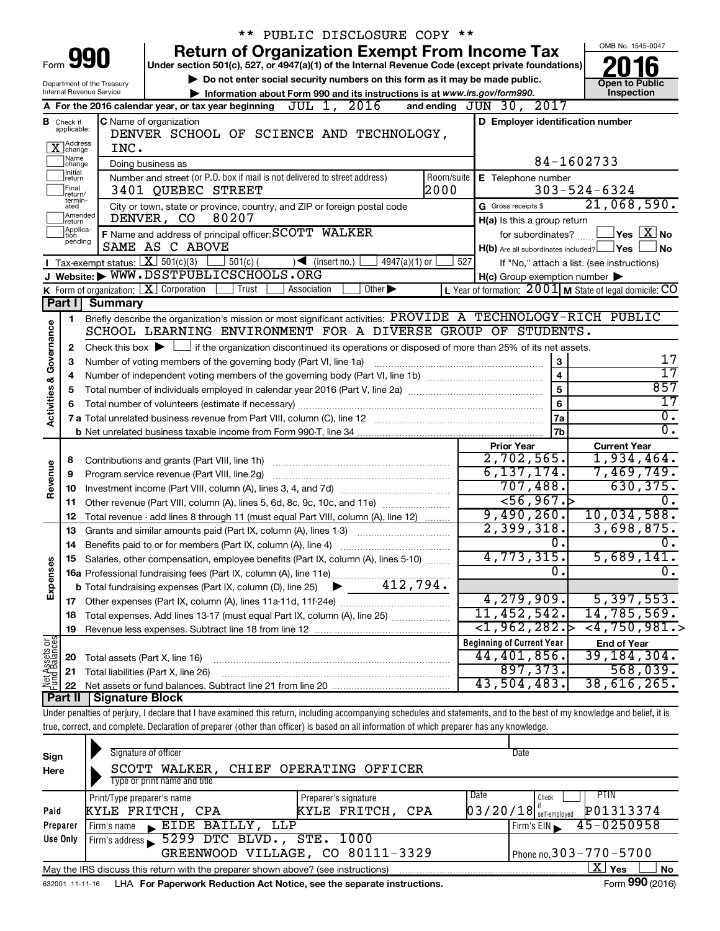|               |                               |                                              |                                                                                                |                                                                                      |                     | ** PUBLIC DISCLOSURE COPY **      |                    |                    |                                                                                                                                            |                                                          |                                                                                                                                                                            |  |  |
|---------------|-------------------------------|----------------------------------------------|------------------------------------------------------------------------------------------------|--------------------------------------------------------------------------------------|---------------------|-----------------------------------|--------------------|--------------------|--------------------------------------------------------------------------------------------------------------------------------------------|----------------------------------------------------------|----------------------------------------------------------------------------------------------------------------------------------------------------------------------------|--|--|
|               |                               |                                              |                                                                                                |                                                                                      |                     |                                   |                    |                    | <b>Return of Organization Exempt From Income Tax</b>                                                                                       |                                                          | OMB No. 1545-0047                                                                                                                                                          |  |  |
| Form          |                               | 990                                          |                                                                                                |                                                                                      |                     |                                   |                    |                    | Under section 501(c), 527, or 4947(a)(1) of the Internal Revenue Code (except private foundations)                                         |                                                          |                                                                                                                                                                            |  |  |
|               |                               | Department of the Treasury                   |                                                                                                |                                                                                      |                     |                                   |                    |                    | Do not enter social security numbers on this form as it may be made public.                                                                |                                                          | <b>Open to Public</b>                                                                                                                                                      |  |  |
|               |                               | Internal Revenue Service                     |                                                                                                |                                                                                      |                     |                                   |                    |                    | Information about Form 990 and its instructions is at www.irs.gov/form990.                                                                 |                                                          | Inspection                                                                                                                                                                 |  |  |
|               |                               |                                              |                                                                                                | A For the 2016 calendar year, or tax year beginning $J\overline{U}L$ 1, $2016$       |                     |                                   |                    |                    | and ending JUN 30, 2017                                                                                                                    |                                                          |                                                                                                                                                                            |  |  |
|               | <b>B</b> Check if applicable: | C Name of organization                       |                                                                                                |                                                                                      |                     |                                   |                    |                    | D Employer identification number                                                                                                           |                                                          |                                                                                                                                                                            |  |  |
|               |                               |                                              |                                                                                                | DENVER SCHOOL OF SCIENCE AND TECHNOLOGY,                                             |                     |                                   |                    |                    |                                                                                                                                            |                                                          |                                                                                                                                                                            |  |  |
|               | Address<br>]change            | INC.<br>Doing business as                    |                                                                                                |                                                                                      |                     |                                   |                    |                    |                                                                                                                                            |                                                          |                                                                                                                                                                            |  |  |
|               | Name<br> change<br>Initial    |                                              |                                                                                                |                                                                                      |                     |                                   |                    |                    |                                                                                                                                            |                                                          | 84-1602733                                                                                                                                                                 |  |  |
|               | return<br>Final               |                                              |                                                                                                | Number and street (or P.O. box if mail is not delivered to street address)           |                     |                                   |                    | Room/suite<br>2000 | E Telephone number                                                                                                                         |                                                          | $303 - 524 - 6324$                                                                                                                                                         |  |  |
|               | return/<br>termin-            |                                              | 3401 QUEBEC STREET<br>City or town, state or province, country, and ZIP or foreign postal code |                                                                                      |                     |                                   |                    |                    |                                                                                                                                            |                                                          | 21,068,590.                                                                                                                                                                |  |  |
|               | ated<br>Amended<br>return     |                                              | DENVER, CO                                                                                     | 80207                                                                                | G Gross receipts \$ | H(a) Is this a group return       |                    |                    |                                                                                                                                            |                                                          |                                                                                                                                                                            |  |  |
|               | Applica-<br>Ition             |                                              |                                                                                                | F Name and address of principal officer: SCOTT WALKER                                |                     |                                   |                    |                    |                                                                                                                                            | $\sqrt{}$ Yes $\sqrt{ \text{X}}$ No<br>for subordinates? |                                                                                                                                                                            |  |  |
|               | pending                       |                                              |                                                                                                | SAME AS C ABOVE                                                                      |                     |                                   |                    |                    | $H(b)$ Are all subordinates included? $\Box$ Yes                                                                                           |                                                          | No                                                                                                                                                                         |  |  |
|               |                               | Tax-exempt status: $X \ 501(c)(3)$           |                                                                                                | $501(c)$ (                                                                           |                     | $\sqrt{\frac{1}{1}}$ (insert no.) | $4947(a)(1)$ or    |                    | 527                                                                                                                                        |                                                          | If "No," attach a list. (see instructions)                                                                                                                                 |  |  |
|               |                               |                                              |                                                                                                | Website: WWW.DSSTPUBLICSCHOOLS.ORG                                                   |                     |                                   |                    |                    | $H(c)$ Group exemption number $\blacktriangleright$                                                                                        |                                                          |                                                                                                                                                                            |  |  |
|               |                               | K Form of organization: $X$ Corporation      |                                                                                                | Trust                                                                                |                     | Association                       | $\overline{Other}$ |                    |                                                                                                                                            |                                                          | L Year of formation: $2001$ M State of legal domicile: CO                                                                                                                  |  |  |
|               | Part I                        | <b>Summary</b>                               |                                                                                                |                                                                                      |                     |                                   |                    |                    |                                                                                                                                            |                                                          |                                                                                                                                                                            |  |  |
|               | 1                             |                                              |                                                                                                |                                                                                      |                     |                                   |                    |                    |                                                                                                                                            |                                                          | Briefly describe the organization's mission or most significant activities: PROVIDE A TECHNOLOGY-RICH PUBLIC                                                               |  |  |
| Governance    |                               |                                              |                                                                                                |                                                                                      |                     |                                   |                    |                    | SCHOOL LEARNING ENVIRONMENT FOR A DIVERSE GROUP OF STUDENTS.                                                                               |                                                          |                                                                                                                                                                            |  |  |
|               | 2                             | Check this box $\blacktriangleright$ $\Box$  |                                                                                                |                                                                                      |                     |                                   |                    |                    | if the organization discontinued its operations or disposed of more than 25% of its net assets.                                            |                                                          |                                                                                                                                                                            |  |  |
|               | з                             |                                              |                                                                                                | Number of voting members of the governing body (Part VI, line 1a)                    |                     |                                   |                    |                    |                                                                                                                                            | 3                                                        | 17                                                                                                                                                                         |  |  |
|               |                               |                                              |                                                                                                |                                                                                      |                     |                                   |                    |                    |                                                                                                                                            | $\overline{\mathbf{4}}$                                  | 17                                                                                                                                                                         |  |  |
|               | 5                             |                                              |                                                                                                |                                                                                      |                     |                                   |                    |                    | Total number of individuals employed in calendar year 2016 (Part V, line 2a) manufacture controller to intervent                           | $\overline{5}$                                           | 857                                                                                                                                                                        |  |  |
|               |                               |                                              |                                                                                                |                                                                                      |                     |                                   |                    |                    |                                                                                                                                            | $6\phantom{a}$                                           | 17                                                                                                                                                                         |  |  |
| Activities &  |                               |                                              |                                                                                                |                                                                                      |                     |                                   |                    |                    | 7 a Total unrelated business revenue from Part VIII, column (C), line 12 [11] [2] [11] [12] [11] [12] [11] [12                             | 7a                                                       | $0$ .                                                                                                                                                                      |  |  |
|               |                               |                                              |                                                                                                |                                                                                      |                     |                                   |                    |                    |                                                                                                                                            | 7b                                                       | 0.                                                                                                                                                                         |  |  |
|               |                               |                                              |                                                                                                |                                                                                      |                     |                                   |                    |                    | <b>Prior Year</b>                                                                                                                          |                                                          | <b>Current Year</b>                                                                                                                                                        |  |  |
|               | 8                             |                                              |                                                                                                |                                                                                      |                     |                                   |                    |                    | 2,702,565.                                                                                                                                 |                                                          | 1,934,464.                                                                                                                                                                 |  |  |
| Revenue       | 9                             | Program service revenue (Part VIII, line 2g) |                                                                                                |                                                                                      |                     |                                   | 6, 137, 174.       |                    | 7,469,749.                                                                                                                                 |                                                          |                                                                                                                                                                            |  |  |
|               | 10                            |                                              |                                                                                                |                                                                                      |                     |                                   |                    |                    | 707,488.<br>56,967.5                                                                                                                       |                                                          | 630, 375.                                                                                                                                                                  |  |  |
|               | 11                            |                                              |                                                                                                | Other revenue (Part VIII, column (A), lines 5, 6d, 8c, 9c, 10c, and 11e)             |                     |                                   |                    |                    | 9,490,260.                                                                                                                                 |                                                          | 10,034,588.                                                                                                                                                                |  |  |
|               | 12                            |                                              |                                                                                                | Total revenue - add lines 8 through 11 (must equal Part VIII, column (A), line 12)   |                     |                                   |                    |                    | 2,399,318.                                                                                                                                 |                                                          |                                                                                                                                                                            |  |  |
|               | 13                            |                                              |                                                                                                | Grants and similar amounts paid (Part IX, column (A), lines 1-3)                     |                     |                                   |                    |                    |                                                                                                                                            |                                                          | 3,698,875.                                                                                                                                                                 |  |  |
|               |                               |                                              |                                                                                                |                                                                                      |                     |                                   |                    |                    | 4,773,315.                                                                                                                                 | о.                                                       | 0.                                                                                                                                                                         |  |  |
|               |                               |                                              |                                                                                                | 15 Salaries, other compensation, employee benefits (Part IX, column (A), lines 5-10) |                     |                                   |                    |                    |                                                                                                                                            |                                                          | 5,689,141.<br>О.                                                                                                                                                           |  |  |
| Expenses      |                               |                                              |                                                                                                |                                                                                      |                     |                                   |                    |                    |                                                                                                                                            |                                                          |                                                                                                                                                                            |  |  |
|               |                               |                                              |                                                                                                |                                                                                      |                     |                                   |                    |                    | 4, 279, 909.                                                                                                                               |                                                          | 5,397,553.                                                                                                                                                                 |  |  |
|               |                               |                                              |                                                                                                |                                                                                      |                     |                                   |                    |                    | 11,452,542.                                                                                                                                |                                                          | 14,785,569.                                                                                                                                                                |  |  |
|               | 18<br>19                      |                                              |                                                                                                | Total expenses. Add lines 13-17 (must equal Part IX, column (A), line 25)            |                     |                                   |                    |                    | $<$ 1,962,282. $>$                                                                                                                         |                                                          | $<$ 4,750,981.>                                                                                                                                                            |  |  |
|               |                               |                                              |                                                                                                |                                                                                      |                     |                                   |                    |                    | <b>Beginning of Current Year</b>                                                                                                           |                                                          | <b>End of Year</b>                                                                                                                                                         |  |  |
|               | 20                            | Total assets (Part X, line 16)               |                                                                                                |                                                                                      |                     |                                   |                    |                    | 44,401,856.                                                                                                                                |                                                          | 39, 184, 304.                                                                                                                                                              |  |  |
|               | 21                            | Total liabilities (Part X, line 26)          |                                                                                                |                                                                                      |                     |                                   |                    |                    | 897,373.                                                                                                                                   |                                                          | 568,039.                                                                                                                                                                   |  |  |
| Net Assets or | 22                            |                                              |                                                                                                |                                                                                      |                     |                                   |                    |                    | 43,504,483.                                                                                                                                |                                                          | 38,616,265.                                                                                                                                                                |  |  |
|               | Part II                       | <b>Signature Block</b>                       |                                                                                                |                                                                                      |                     |                                   |                    |                    |                                                                                                                                            |                                                          |                                                                                                                                                                            |  |  |
|               |                               |                                              |                                                                                                |                                                                                      |                     |                                   |                    |                    |                                                                                                                                            |                                                          | Under penalties of perjury, I declare that I have examined this return, including accompanying schedules and statements, and to the best of my knowledge and belief, it is |  |  |
|               |                               |                                              |                                                                                                |                                                                                      |                     |                                   |                    |                    | true, correct, and complete. Declaration of preparer (other than officer) is based on all information of which preparer has any knowledge. |                                                          |                                                                                                                                                                            |  |  |
|               |                               |                                              |                                                                                                |                                                                                      |                     |                                   |                    |                    |                                                                                                                                            |                                                          |                                                                                                                                                                            |  |  |
| Sign          |                               |                                              | Signature of officer                                                                           |                                                                                      |                     |                                   |                    |                    | Date                                                                                                                                       |                                                          |                                                                                                                                                                            |  |  |
| Here          |                               |                                              | SCOTT WALKER,                                                                                  | <b>CHIEF</b>                                                                         |                     | OPERATING OFFICER                 |                    |                    |                                                                                                                                            |                                                          |                                                                                                                                                                            |  |  |
|               |                               |                                              | Type or print name and title                                                                   |                                                                                      |                     |                                   |                    |                    |                                                                                                                                            |                                                          |                                                                                                                                                                            |  |  |
|               |                               | Print/Type preparer's name                   |                                                                                                |                                                                                      |                     | Preparer's signature              |                    |                    | Date<br>Check                                                                                                                              |                                                          | <b>PTIN</b>                                                                                                                                                                |  |  |
| Paid          |                               | KYLE FRITCH, CPA                             |                                                                                                |                                                                                      |                     | KYLE FRITCH, CPA                  |                    |                    | $03/20/18$ self-employed                                                                                                                   |                                                          | P01313374                                                                                                                                                                  |  |  |

| Paid     | KYLE FRITCH, CPA                                                                                                      | KYLE FRITCH, CPA                 |  |            | $03/20/18$ self-employed $\blacksquare$ P01313374 |  |  |  |
|----------|-----------------------------------------------------------------------------------------------------------------------|----------------------------------|--|------------|---------------------------------------------------|--|--|--|
| Preparer | Firm's name EIDE BAILLY, LLP                                                                                          |                                  |  | Firm's EIN | $45 - 0250958$                                    |  |  |  |
| Use Only | Firm's address 5299 DTC BLVD., STE. 1000                                                                              |                                  |  |            |                                                   |  |  |  |
|          |                                                                                                                       | GREENWOOD VILLAGE, CO 80111-3329 |  |            | $1$ Phone no. $303 - 770 - 5700$                  |  |  |  |
|          | $X \mid Y_{\mathsf{es}}$<br>∣ No<br>May the IRS discuss this return with the preparer shown above? (see instructions) |                                  |  |            |                                                   |  |  |  |
|          | 632001 11-11-16 LHA For Paperwork Reduction Act Notice, see the separate instructions.                                |                                  |  |            | Form 990 (2016)                                   |  |  |  |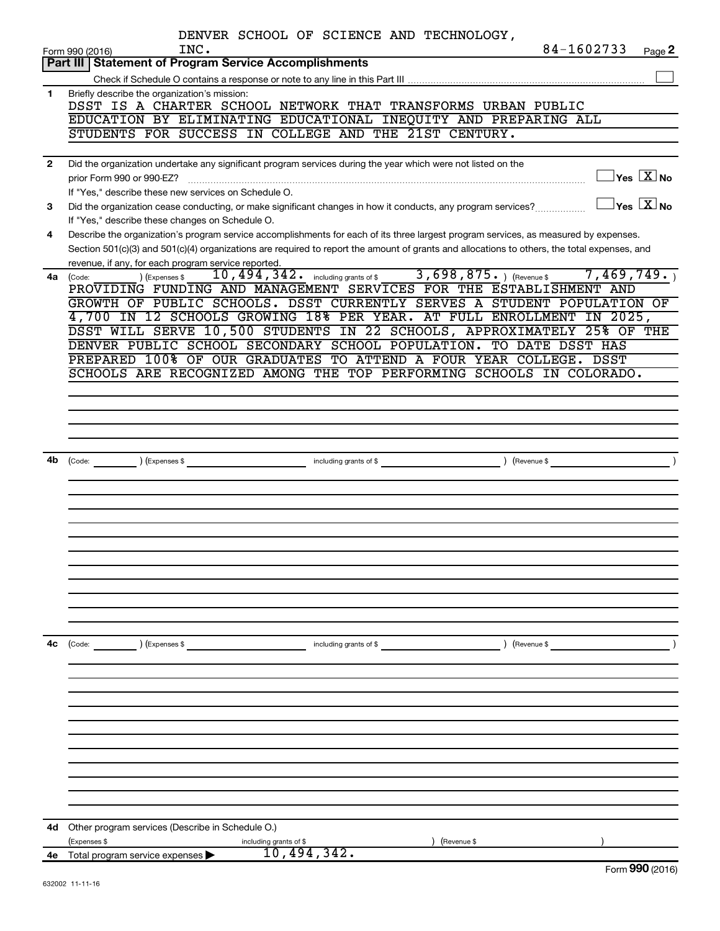|              | DENVER SCHOOL OF SCIENCE AND TECHNOLOGY,                                                                                                                                                |
|--------------|-----------------------------------------------------------------------------------------------------------------------------------------------------------------------------------------|
|              | 84-1602733<br>INC.<br>Page 2<br>Form 990 (2016)                                                                                                                                         |
|              | Part III   Statement of Program Service Accomplishments                                                                                                                                 |
| 1            | Briefly describe the organization's mission:                                                                                                                                            |
|              | DSST IS A CHARTER SCHOOL NETWORK THAT TRANSFORMS URBAN PUBLIC                                                                                                                           |
|              | EDUCATION BY ELIMINATING EDUCATIONAL INEQUITY AND PREPARING ALL                                                                                                                         |
|              | STUDENTS FOR SUCCESS IN COLLEGE AND THE 21ST CENTURY.                                                                                                                                   |
|              |                                                                                                                                                                                         |
| $\mathbf{2}$ | Did the organization undertake any significant program services during the year which were not listed on the                                                                            |
|              | $\sqrt{\mathsf{Yes}\ \mathbb{X}}$ No<br>prior Form 990 or 990-EZ?                                                                                                                       |
|              | If "Yes," describe these new services on Schedule O.<br>$\sqrt{}$ Yes $\sqrt{ \ \overline{\text{X}}}$ No                                                                                |
| 3            | Did the organization cease conducting, or make significant changes in how it conducts, any program services?                                                                            |
| 4            | If "Yes," describe these changes on Schedule O.<br>Describe the organization's program service accomplishments for each of its three largest program services, as measured by expenses. |
|              | Section 501(c)(3) and 501(c)(4) organizations are required to report the amount of grants and allocations to others, the total expenses, and                                            |
|              | revenue, if any, for each program service reported.                                                                                                                                     |
| 4a           | 10, 494, 342. including grants of \$ 3, 698, 875. $($ Revenue \$ 7, 469, 749.<br>) (Expenses \$<br>(Code:                                                                               |
|              | PROVIDING FUNDING AND MANAGEMENT SERVICES FOR THE ESTABLISHMENT AND                                                                                                                     |
|              | GROWTH OF PUBLIC SCHOOLS. DSST CURRENTLY SERVES A STUDENT POPULATION OF                                                                                                                 |
|              | 4,700 IN 12 SCHOOLS GROWING 18% PER YEAR. AT FULL ENROLLMENT IN 2025,                                                                                                                   |
|              | DSST WILL SERVE 10,500 STUDENTS IN 22 SCHOOLS, APPROXIMATELY 25% OF THE                                                                                                                 |
|              | DENVER PUBLIC SCHOOL SECONDARY SCHOOL POPULATION. TO DATE DSST HAS                                                                                                                      |
|              | PREPARED 100% OF OUR GRADUATES TO ATTEND A FOUR YEAR COLLEGE. DSST                                                                                                                      |
|              | SCHOOLS ARE RECOGNIZED AMONG THE TOP PERFORMING SCHOOLS IN COLORADO.                                                                                                                    |
|              |                                                                                                                                                                                         |
|              |                                                                                                                                                                                         |
|              |                                                                                                                                                                                         |
|              |                                                                                                                                                                                         |
| 4b           | $\overbrace{0}$ (Code: $\overbrace{0}$ ) (Expenses \$                                                                                                                                   |
|              |                                                                                                                                                                                         |
|              |                                                                                                                                                                                         |
|              |                                                                                                                                                                                         |
|              |                                                                                                                                                                                         |
|              |                                                                                                                                                                                         |
|              |                                                                                                                                                                                         |
|              |                                                                                                                                                                                         |
|              |                                                                                                                                                                                         |
|              |                                                                                                                                                                                         |
|              |                                                                                                                                                                                         |
|              |                                                                                                                                                                                         |
| 4c           | $\left(\text{Code:} \right)$ $\left(\text{Expenses $}\right)$<br>) (Revenue \$<br>including grants of \$                                                                                |
|              |                                                                                                                                                                                         |
|              |                                                                                                                                                                                         |
|              |                                                                                                                                                                                         |
|              |                                                                                                                                                                                         |
|              |                                                                                                                                                                                         |
|              |                                                                                                                                                                                         |
|              |                                                                                                                                                                                         |
|              |                                                                                                                                                                                         |
|              |                                                                                                                                                                                         |
|              |                                                                                                                                                                                         |
|              |                                                                                                                                                                                         |
| 4d           | Other program services (Describe in Schedule O.)                                                                                                                                        |
|              | (Expenses \$<br>(Revenue \$<br>including grants of \$                                                                                                                                   |
| 4е           | 10,494,342.<br>Total program service expenses<br>$000 \times 20$                                                                                                                        |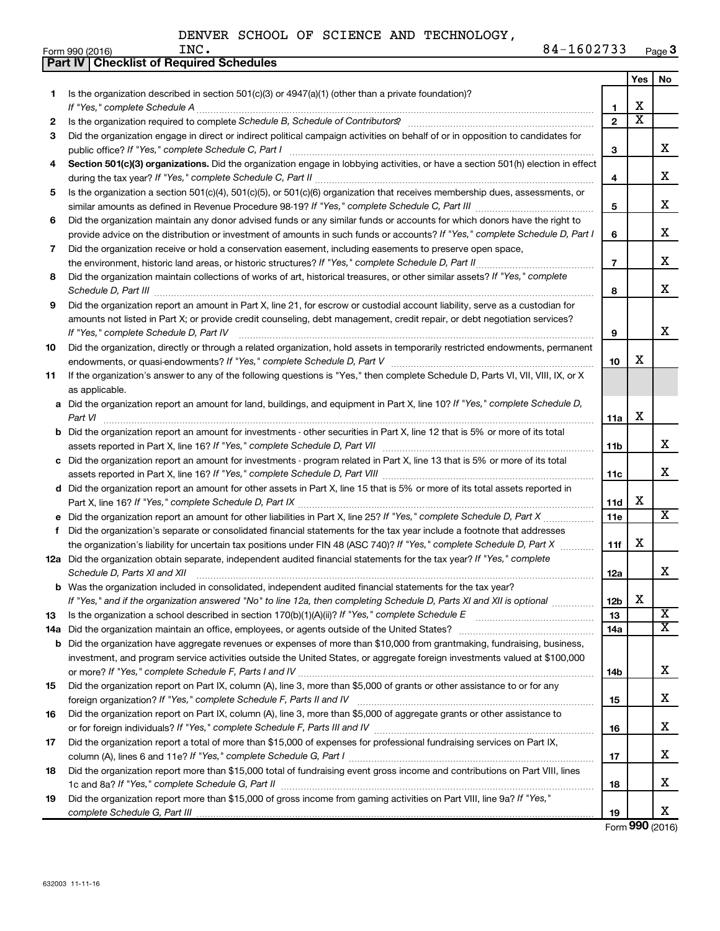|     | Part IV   Checklist of Required Schedules                                                                                                                                                                                                                                                                                                                            |                |                       |                         |
|-----|----------------------------------------------------------------------------------------------------------------------------------------------------------------------------------------------------------------------------------------------------------------------------------------------------------------------------------------------------------------------|----------------|-----------------------|-------------------------|
|     |                                                                                                                                                                                                                                                                                                                                                                      |                | Yes                   | No                      |
| 1   | Is the organization described in section 501(c)(3) or $4947(a)(1)$ (other than a private foundation)?                                                                                                                                                                                                                                                                |                |                       |                         |
|     |                                                                                                                                                                                                                                                                                                                                                                      | 1              | X                     |                         |
| 2   |                                                                                                                                                                                                                                                                                                                                                                      | $\overline{2}$ | $\overline{\text{x}}$ |                         |
| 3   | Did the organization engage in direct or indirect political campaign activities on behalf of or in opposition to candidates for                                                                                                                                                                                                                                      |                |                       |                         |
|     |                                                                                                                                                                                                                                                                                                                                                                      | 3              |                       | x                       |
| 4   | Section 501(c)(3) organizations. Did the organization engage in lobbying activities, or have a section 501(h) election in effect                                                                                                                                                                                                                                     |                |                       |                         |
|     |                                                                                                                                                                                                                                                                                                                                                                      | 4              |                       | x                       |
| 5   | Is the organization a section 501(c)(4), 501(c)(5), or 501(c)(6) organization that receives membership dues, assessments, or                                                                                                                                                                                                                                         |                |                       |                         |
|     |                                                                                                                                                                                                                                                                                                                                                                      | 5              |                       | х                       |
| 6   | Did the organization maintain any donor advised funds or any similar funds or accounts for which donors have the right to                                                                                                                                                                                                                                            |                |                       |                         |
|     | provide advice on the distribution or investment of amounts in such funds or accounts? If "Yes," complete Schedule D, Part I                                                                                                                                                                                                                                         | 6              |                       | х                       |
| 7   | Did the organization receive or hold a conservation easement, including easements to preserve open space,                                                                                                                                                                                                                                                            |                |                       |                         |
|     | the environment, historic land areas, or historic structures? If "Yes," complete Schedule D, Part II                                                                                                                                                                                                                                                                 | $\overline{7}$ |                       | х                       |
| 8   | Did the organization maintain collections of works of art, historical treasures, or other similar assets? If "Yes," complete                                                                                                                                                                                                                                         |                |                       |                         |
|     |                                                                                                                                                                                                                                                                                                                                                                      | 8              |                       | х                       |
| 9   | Schedule D, Part III <b>Marting Constructs</b> 2014 11 2014 12:00 12:00 12:00 12:00 12:00 12:00 12:00 12:00 12:00 12:00 12:00 12:00 12:00 12:00 12:00 12:00 12:00 12:00 12:00 12:00 12:00 12:00 12:00 12:00 12:00 12:00 12:00 12:00<br>Did the organization report an amount in Part X, line 21, for escrow or custodial account liability, serve as a custodian for |                |                       |                         |
|     | amounts not listed in Part X; or provide credit counseling, debt management, credit repair, or debt negotiation services?                                                                                                                                                                                                                                            |                |                       |                         |
|     | If "Yes," complete Schedule D, Part IV                                                                                                                                                                                                                                                                                                                               | 9              |                       | х                       |
|     | Did the organization, directly or through a related organization, hold assets in temporarily restricted endowments, permanent                                                                                                                                                                                                                                        |                |                       |                         |
| 10  |                                                                                                                                                                                                                                                                                                                                                                      | 10             | х                     |                         |
|     | If the organization's answer to any of the following questions is "Yes," then complete Schedule D, Parts VI, VII, VIII, IX, or X                                                                                                                                                                                                                                     |                |                       |                         |
| 11  |                                                                                                                                                                                                                                                                                                                                                                      |                |                       |                         |
|     | as applicable.                                                                                                                                                                                                                                                                                                                                                       |                |                       |                         |
|     | a Did the organization report an amount for land, buildings, and equipment in Part X, line 10? If "Yes," complete Schedule D,                                                                                                                                                                                                                                        |                | X                     |                         |
|     | Part VI                                                                                                                                                                                                                                                                                                                                                              | 11a            |                       |                         |
|     | <b>b</b> Did the organization report an amount for investments - other securities in Part X, line 12 that is 5% or more of its total                                                                                                                                                                                                                                 |                |                       | х                       |
|     |                                                                                                                                                                                                                                                                                                                                                                      | 11b            |                       |                         |
|     | c Did the organization report an amount for investments - program related in Part X, line 13 that is 5% or more of its total                                                                                                                                                                                                                                         |                |                       | х                       |
|     |                                                                                                                                                                                                                                                                                                                                                                      | 11c            |                       |                         |
|     | d Did the organization report an amount for other assets in Part X, line 15 that is 5% or more of its total assets reported in                                                                                                                                                                                                                                       |                | X                     |                         |
|     |                                                                                                                                                                                                                                                                                                                                                                      | 11d            |                       | $\overline{\mathbf{X}}$ |
|     | e Did the organization report an amount for other liabilities in Part X, line 25? If "Yes," complete Schedule D, Part X                                                                                                                                                                                                                                              | 11e            |                       |                         |
| f   | Did the organization's separate or consolidated financial statements for the tax year include a footnote that addresses                                                                                                                                                                                                                                              |                |                       |                         |
|     | the organization's liability for uncertain tax positions under FIN 48 (ASC 740)? If "Yes," complete Schedule D, Part X                                                                                                                                                                                                                                               | 11f            | X                     |                         |
|     | 12a Did the organization obtain separate, independent audited financial statements for the tax year? If "Yes," complete                                                                                                                                                                                                                                              |                |                       |                         |
|     | Schedule D, Parts XI and XII                                                                                                                                                                                                                                                                                                                                         | 12a            |                       | x                       |
| b   | Was the organization included in consolidated, independent audited financial statements for the tax year?                                                                                                                                                                                                                                                            |                |                       |                         |
|     | If "Yes," and if the organization answered "No" to line 12a, then completing Schedule D, Parts XI and XII is optional                                                                                                                                                                                                                                                | 12b            | X                     |                         |
| 13  |                                                                                                                                                                                                                                                                                                                                                                      | 13             |                       | Χ<br>X                  |
| 14a |                                                                                                                                                                                                                                                                                                                                                                      | 14a            |                       |                         |
| b   | Did the organization have aggregate revenues or expenses of more than \$10,000 from grantmaking, fundraising, business,                                                                                                                                                                                                                                              |                |                       |                         |
|     | investment, and program service activities outside the United States, or aggregate foreign investments valued at \$100,000                                                                                                                                                                                                                                           |                |                       |                         |
|     |                                                                                                                                                                                                                                                                                                                                                                      | 14b            |                       | x                       |
| 15  | Did the organization report on Part IX, column (A), line 3, more than \$5,000 of grants or other assistance to or for any                                                                                                                                                                                                                                            |                |                       |                         |
|     |                                                                                                                                                                                                                                                                                                                                                                      | 15             |                       | х                       |
| 16  | Did the organization report on Part IX, column (A), line 3, more than \$5,000 of aggregate grants or other assistance to                                                                                                                                                                                                                                             |                |                       |                         |
|     |                                                                                                                                                                                                                                                                                                                                                                      | 16             |                       | х                       |
| 17  | Did the organization report a total of more than \$15,000 of expenses for professional fundraising services on Part IX,                                                                                                                                                                                                                                              |                |                       |                         |
|     |                                                                                                                                                                                                                                                                                                                                                                      | 17             |                       | х                       |
| 18  | Did the organization report more than \$15,000 total of fundraising event gross income and contributions on Part VIII, lines                                                                                                                                                                                                                                         |                |                       |                         |
|     |                                                                                                                                                                                                                                                                                                                                                                      | 18             |                       | х                       |
| 19  | Did the organization report more than \$15,000 of gross income from gaming activities on Part VIII, line 9a? If "Yes,"                                                                                                                                                                                                                                               |                |                       |                         |
|     |                                                                                                                                                                                                                                                                                                                                                                      | 19             |                       | x                       |

Form (2016) **990**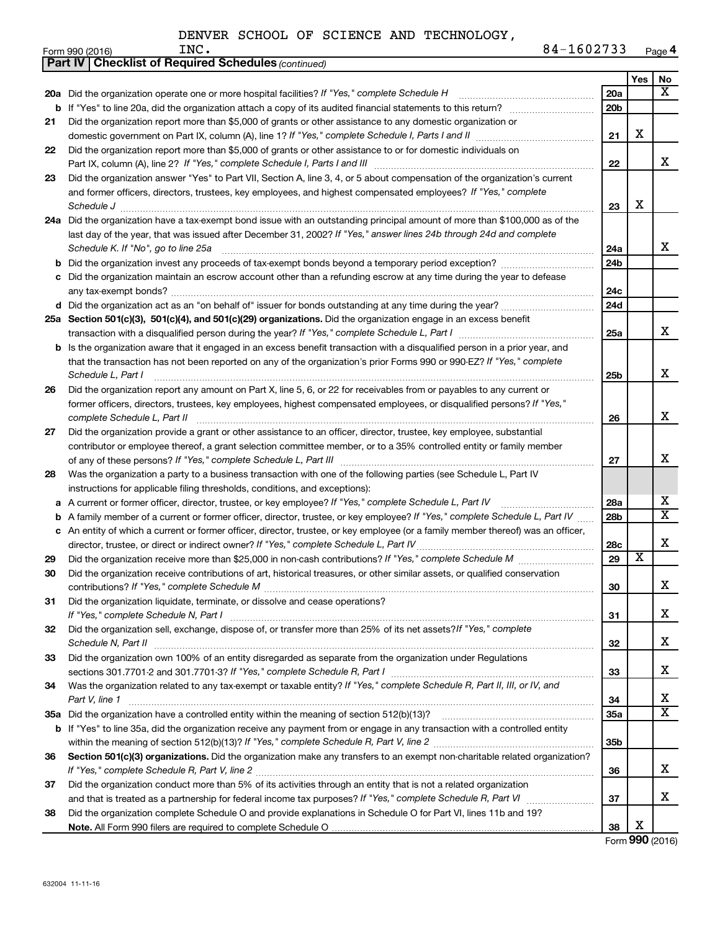|    | <b>Part IV   Checklist of Required Schedules (continued)</b>                                                                      |                 |                         |                         |
|----|-----------------------------------------------------------------------------------------------------------------------------------|-----------------|-------------------------|-------------------------|
|    |                                                                                                                                   |                 | Yes                     | No                      |
|    | 20a Did the organization operate one or more hospital facilities? If "Yes," complete Schedule H                                   | 20a             |                         | x                       |
| b  |                                                                                                                                   | 20 <sub>b</sub> |                         |                         |
| 21 | Did the organization report more than \$5,000 of grants or other assistance to any domestic organization or                       |                 |                         |                         |
|    |                                                                                                                                   | 21              | X                       |                         |
| 22 | Did the organization report more than \$5,000 of grants or other assistance to or for domestic individuals on                     |                 |                         |                         |
|    |                                                                                                                                   | 22              |                         | х                       |
| 23 | Did the organization answer "Yes" to Part VII, Section A, line 3, 4, or 5 about compensation of the organization's current        |                 |                         |                         |
|    | and former officers, directors, trustees, key employees, and highest compensated employees? If "Yes," complete                    |                 |                         |                         |
|    | Schedule J                                                                                                                        | 23              | X                       |                         |
|    | 24a Did the organization have a tax-exempt bond issue with an outstanding principal amount of more than \$100,000 as of the       |                 |                         |                         |
|    | last day of the year, that was issued after December 31, 2002? If "Yes," answer lines 24b through 24d and complete                |                 |                         |                         |
|    | Schedule K. If "No", go to line 25a                                                                                               | 24a             |                         | x                       |
| b  |                                                                                                                                   | 24 <sub>b</sub> |                         |                         |
|    | Did the organization maintain an escrow account other than a refunding escrow at any time during the year to defease              |                 |                         |                         |
|    |                                                                                                                                   | 24c             |                         |                         |
|    |                                                                                                                                   | 24d             |                         |                         |
|    | 25a Section 501(c)(3), 501(c)(4), and 501(c)(29) organizations. Did the organization engage in an excess benefit                  |                 |                         |                         |
|    |                                                                                                                                   | 25a             |                         | x                       |
| b  | Is the organization aware that it engaged in an excess benefit transaction with a disqualified person in a prior year, and        |                 |                         |                         |
|    | that the transaction has not been reported on any of the organization's prior Forms 990 or 990-EZ? If "Yes," complete             |                 |                         |                         |
|    | Schedule L, Part I                                                                                                                | 25b             |                         | х                       |
| 26 | Did the organization report any amount on Part X, line 5, 6, or 22 for receivables from or payables to any current or             |                 |                         |                         |
|    | former officers, directors, trustees, key employees, highest compensated employees, or disqualified persons? If "Yes,"            |                 |                         |                         |
|    | complete Schedule L, Part II                                                                                                      | 26              |                         | х                       |
| 27 | Did the organization provide a grant or other assistance to an officer, director, trustee, key employee, substantial              |                 |                         |                         |
|    | contributor or employee thereof, a grant selection committee member, or to a 35% controlled entity or family member               |                 |                         |                         |
|    |                                                                                                                                   | 27              |                         | x                       |
| 28 | Was the organization a party to a business transaction with one of the following parties (see Schedule L, Part IV                 |                 |                         |                         |
|    | instructions for applicable filing thresholds, conditions, and exceptions):                                                       |                 |                         |                         |
| а  | A current or former officer, director, trustee, or key employee? If "Yes," complete Schedule L, Part IV                           | 28a             |                         | x                       |
| b  | A family member of a current or former officer, director, trustee, or key employee? If "Yes," complete Schedule L, Part IV        | 28 <sub>b</sub> |                         | $\overline{\textbf{X}}$ |
|    | c An entity of which a current or former officer, director, trustee, or key employee (or a family member thereof) was an officer, |                 |                         |                         |
|    | director, trustee, or direct or indirect owner? If "Yes," complete Schedule L, Part IV                                            | 28c             |                         | х                       |
| 29 |                                                                                                                                   | 29              | $\overline{\textbf{x}}$ |                         |
| 30 | Did the organization receive contributions of art, historical treasures, or other similar assets, or qualified conservation       |                 |                         |                         |
|    |                                                                                                                                   | 30              |                         | ▵                       |
| 31 | Did the organization liquidate, terminate, or dissolve and cease operations?                                                      |                 |                         | x                       |
|    |                                                                                                                                   | 31              |                         |                         |
| 32 | Did the organization sell, exchange, dispose of, or transfer more than 25% of its net assets?/f "Yes," complete                   |                 |                         | x                       |
|    | Did the organization own 100% of an entity disregarded as separate from the organization under Regulations                        | 32              |                         |                         |
| 33 |                                                                                                                                   | 33              |                         | x                       |
| 34 | Was the organization related to any tax-exempt or taxable entity? If "Yes," complete Schedule R, Part II, III, or IV, and         |                 |                         |                         |
|    | Part V, line 1                                                                                                                    | 34              |                         | х                       |
|    |                                                                                                                                   | 35a             |                         | X                       |
|    | b If "Yes" to line 35a, did the organization receive any payment from or engage in any transaction with a controlled entity       |                 |                         |                         |
|    |                                                                                                                                   | 35 <sub>b</sub> |                         |                         |
| 36 | Section 501(c)(3) organizations. Did the organization make any transfers to an exempt non-charitable related organization?        |                 |                         |                         |
|    |                                                                                                                                   | 36              |                         | x                       |
| 37 | Did the organization conduct more than 5% of its activities through an entity that is not a related organization                  |                 |                         |                         |
|    |                                                                                                                                   | 37              |                         | x                       |
| 38 | Did the organization complete Schedule O and provide explanations in Schedule O for Part VI, lines 11b and 19?                    |                 |                         |                         |
|    |                                                                                                                                   | 38              | х                       |                         |

Form (2016) **990**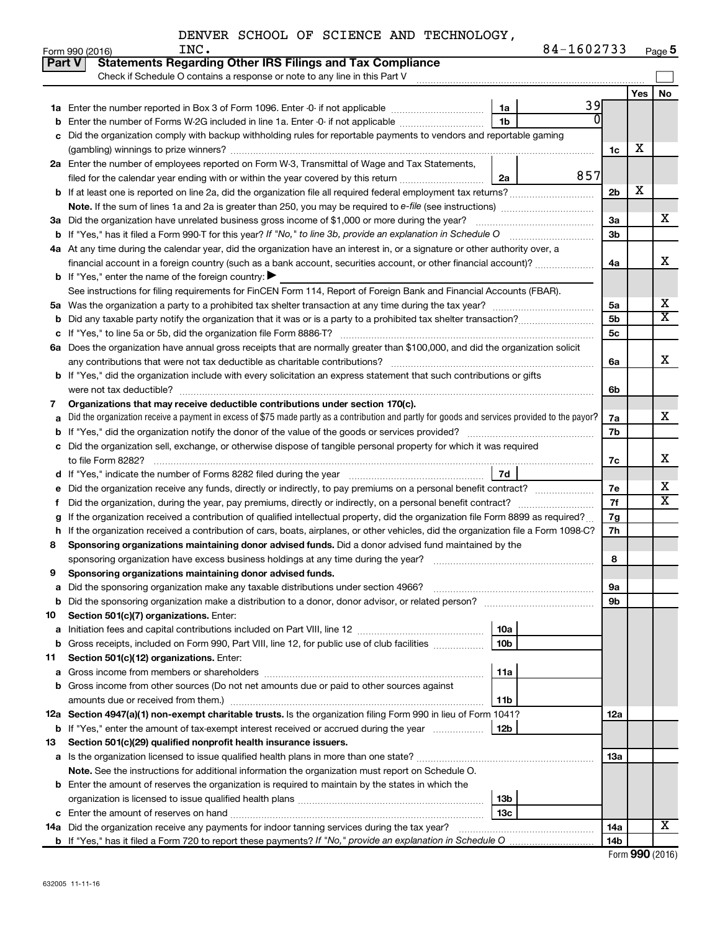| 84-1602733<br>Page 5 |
|----------------------|
|----------------------|

|               | 84-1602733<br>INC.<br>Form 990 (2016)                                                                                                           |                |     | Page 5                  |
|---------------|-------------------------------------------------------------------------------------------------------------------------------------------------|----------------|-----|-------------------------|
| <b>Part V</b> | <b>Statements Regarding Other IRS Filings and Tax Compliance</b>                                                                                |                |     |                         |
|               | Check if Schedule O contains a response or note to any line in this Part V                                                                      |                |     |                         |
|               |                                                                                                                                                 |                | Yes | No                      |
| 1а            | 39<br>Enter the number reported in Box 3 of Form 1096. Enter -0- if not applicable<br>1a                                                        |                |     |                         |
| b             | 1 <sub>b</sub><br>Enter the number of Forms W-2G included in line 1a. Enter -0- if not applicable                                               |                |     |                         |
| с             | Did the organization comply with backup withholding rules for reportable payments to vendors and reportable gaming                              |                |     |                         |
|               |                                                                                                                                                 | 1c             | x   |                         |
|               | 2a Enter the number of employees reported on Form W-3, Transmittal of Wage and Tax Statements,                                                  |                |     |                         |
|               | 857<br>filed for the calendar year ending with or within the year covered by this return <i>[[[[[[[[[[[[[[[]]]]</i> ]]<br>2a                    |                |     |                         |
| b             |                                                                                                                                                 | 2 <sub>b</sub> | X   |                         |
|               |                                                                                                                                                 |                |     |                         |
|               | 3a Did the organization have unrelated business gross income of \$1,000 or more during the year?                                                | 3a             |     | X                       |
| b             |                                                                                                                                                 | 3 <sub>b</sub> |     |                         |
|               | 4a At any time during the calendar year, did the organization have an interest in, or a signature or other authority over, a                    |                |     |                         |
|               | financial account in a foreign country (such as a bank account, securities account, or other financial account)?                                | 4a             |     | х                       |
|               | <b>b</b> If "Yes," enter the name of the foreign country: $\blacktriangleright$                                                                 |                |     |                         |
|               | See instructions for filing requirements for FinCEN Form 114, Report of Foreign Bank and Financial Accounts (FBAR).                             |                |     |                         |
| 5a            |                                                                                                                                                 | 5a             |     | x                       |
| b             |                                                                                                                                                 | 5 <sub>b</sub> |     | $\overline{\mathbf{x}}$ |
| с             |                                                                                                                                                 | 5 <sub>c</sub> |     |                         |
|               | 6a Does the organization have annual gross receipts that are normally greater than \$100,000, and did the organization solicit                  |                |     |                         |
|               |                                                                                                                                                 | 6а             |     | X                       |
|               | <b>b</b> If "Yes," did the organization include with every solicitation an express statement that such contributions or gifts                   |                |     |                         |
|               |                                                                                                                                                 | 6b             |     |                         |
| 7             | Organizations that may receive deductible contributions under section 170(c).                                                                   |                |     |                         |
| a             | Did the organization receive a payment in excess of \$75 made partly as a contribution and partly for goods and services provided to the payor? | 7a             |     | X                       |
| b             |                                                                                                                                                 | 7b             |     |                         |
| с             | Did the organization sell, exchange, or otherwise dispose of tangible personal property for which it was required                               |                |     |                         |
|               |                                                                                                                                                 | 7c             |     | x                       |
| d             | 7d                                                                                                                                              |                |     |                         |
| е             | Did the organization receive any funds, directly or indirectly, to pay premiums on a personal benefit contract?                                 | 7е             |     | х                       |
| Ť             | Did the organization, during the year, pay premiums, directly or indirectly, on a personal benefit contract?                                    | 7f             |     | $\overline{\mathbf{X}}$ |
| g             | If the organization received a contribution of qualified intellectual property, did the organization file Form 8899 as required?                | 7g             |     |                         |
| h             | If the organization received a contribution of cars, boats, airplanes, or other vehicles, did the organization file a Form 1098-C?              | 7h             |     |                         |
| 8             | Sponsoring organizations maintaining donor advised funds. Did a donor advised fund maintained by the                                            |                |     |                         |
|               | sponsoring organization have excess business holdings at any time during the year?                                                              | 8              |     |                         |
|               | Sponsoring organizations maintaining donor advised funds.                                                                                       |                |     |                         |
| а             | Did the sponsoring organization make any taxable distributions under section 4966?                                                              | 9а             |     |                         |
| b             | Did the sponsoring organization make a distribution to a donor, donor advisor, or related person?                                               | 9b             |     |                         |
| 10            | Section 501(c)(7) organizations. Enter:                                                                                                         |                |     |                         |
| а             | 10a                                                                                                                                             |                |     |                         |
| b             | 10 <sub>b</sub><br>Gross receipts, included on Form 990, Part VIII, line 12, for public use of club facilities                                  |                |     |                         |
| 11            | Section 501(c)(12) organizations. Enter:                                                                                                        |                |     |                         |
| а             | 11a                                                                                                                                             |                |     |                         |
| b             | Gross income from other sources (Do not net amounts due or paid to other sources against                                                        |                |     |                         |
|               | amounts due or received from them.)<br>11b                                                                                                      |                |     |                         |
|               | 12a Section 4947(a)(1) non-exempt charitable trusts. Is the organization filing Form 990 in lieu of Form 1041?                                  | 12a            |     |                         |
|               | 12b<br><b>b</b> If "Yes," enter the amount of tax-exempt interest received or accrued during the year                                           |                |     |                         |
| 13            | Section 501(c)(29) qualified nonprofit health insurance issuers.                                                                                |                |     |                         |
| а             | Is the organization licensed to issue qualified health plans in more than one state?                                                            | 13a            |     |                         |
|               | Note. See the instructions for additional information the organization must report on Schedule O.                                               |                |     |                         |
| b             | Enter the amount of reserves the organization is required to maintain by the states in which the                                                |                |     |                         |
|               | 13 <sub>b</sub>                                                                                                                                 |                |     |                         |
| c             | 13 <sub>c</sub>                                                                                                                                 |                |     |                         |
|               | 14a Did the organization receive any payments for indoor tanning services during the tax year?                                                  | 14a            |     | X                       |
|               |                                                                                                                                                 | 14b            |     |                         |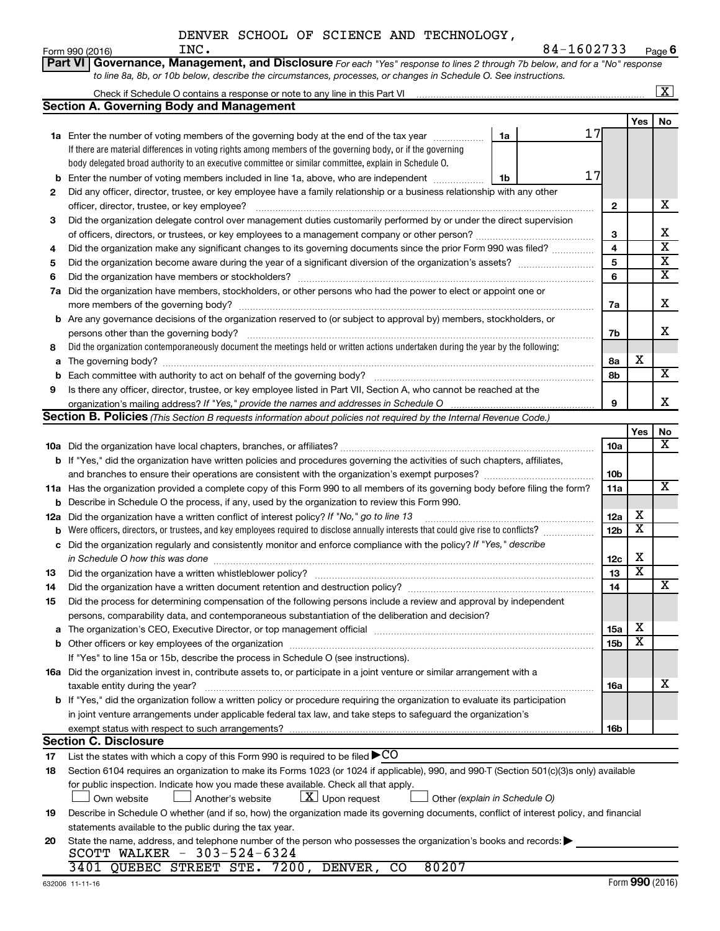| DENVER SCHOOL OF SCIENCE AND TECHNOLOGY, |  |  |  |  |  |  |  |
|------------------------------------------|--|--|--|--|--|--|--|
|------------------------------------------|--|--|--|--|--|--|--|

|    | Part VI<br>Governance, Management, and Disclosure For each "Yes" response to lines 2 through 7b below, and for a "No" response                                         |                 |                         |                         |  |  |  |  |  |  |
|----|------------------------------------------------------------------------------------------------------------------------------------------------------------------------|-----------------|-------------------------|-------------------------|--|--|--|--|--|--|
|    | to line 8a, 8b, or 10b below, describe the circumstances, processes, or changes in Schedule O. See instructions.                                                       |                 |                         |                         |  |  |  |  |  |  |
|    | Check if Schedule O contains a response or note to any line in this Part VI [11] [11] [12] Check if Schedule O contains a response or note to any line in this Part VI |                 |                         | $\overline{\mathbf{X}}$ |  |  |  |  |  |  |
|    | <b>Section A. Governing Body and Management</b>                                                                                                                        |                 |                         |                         |  |  |  |  |  |  |
|    |                                                                                                                                                                        |                 | Yes                     | No                      |  |  |  |  |  |  |
|    | 17<br>1a Enter the number of voting members of the governing body at the end of the tax year<br>1a                                                                     |                 |                         |                         |  |  |  |  |  |  |
|    | If there are material differences in voting rights among members of the governing body, or if the governing                                                            |                 |                         |                         |  |  |  |  |  |  |
|    | body delegated broad authority to an executive committee or similar committee, explain in Schedule O.                                                                  |                 |                         |                         |  |  |  |  |  |  |
| b  | 17<br>Enter the number of voting members included in line 1a, above, who are independent<br>1b                                                                         |                 |                         |                         |  |  |  |  |  |  |
| 2  | Did any officer, director, trustee, or key employee have a family relationship or a business relationship with any other                                               |                 |                         |                         |  |  |  |  |  |  |
|    |                                                                                                                                                                        |                 |                         |                         |  |  |  |  |  |  |
| 3  | Did the organization delegate control over management duties customarily performed by or under the direct supervision                                                  |                 |                         |                         |  |  |  |  |  |  |
|    |                                                                                                                                                                        | 3               |                         | х                       |  |  |  |  |  |  |
| 4  | Did the organization make any significant changes to its governing documents since the prior Form 990 was filed?                                                       | 4               |                         | $\overline{\textbf{x}}$ |  |  |  |  |  |  |
| 5  |                                                                                                                                                                        | 5               |                         | $\overline{\mathbf{x}}$ |  |  |  |  |  |  |
| 6  |                                                                                                                                                                        | 6               |                         | $\overline{\mathbf{x}}$ |  |  |  |  |  |  |
|    | 7a Did the organization have members, stockholders, or other persons who had the power to elect or appoint one or                                                      |                 |                         |                         |  |  |  |  |  |  |
|    |                                                                                                                                                                        | 7a              |                         | х                       |  |  |  |  |  |  |
|    | <b>b</b> Are any governance decisions of the organization reserved to (or subject to approval by) members, stockholders, or                                            |                 |                         |                         |  |  |  |  |  |  |
|    | persons other than the governing body?                                                                                                                                 | 7b              |                         | x                       |  |  |  |  |  |  |
| 8  | Did the organization contemporaneously document the meetings held or written actions undertaken during the year by the following:                                      |                 |                         |                         |  |  |  |  |  |  |
|    |                                                                                                                                                                        | 8а              | х                       |                         |  |  |  |  |  |  |
| b  |                                                                                                                                                                        | 8b              |                         | $\overline{\mathbf{X}}$ |  |  |  |  |  |  |
| 9  | Is there any officer, director, trustee, or key employee listed in Part VII, Section A, who cannot be reached at the                                                   |                 |                         |                         |  |  |  |  |  |  |
|    | organization's mailing address? If "Yes," provide the names and addresses in Schedule O multimarrow multimarrow                                                        | 9               |                         | х                       |  |  |  |  |  |  |
|    | Section B. Policies (This Section B requests information about policies not required by the Internal Revenue Code.)                                                    |                 |                         |                         |  |  |  |  |  |  |
|    |                                                                                                                                                                        |                 | Yes                     | No                      |  |  |  |  |  |  |
|    |                                                                                                                                                                        | 10a             |                         | х                       |  |  |  |  |  |  |
|    | b If "Yes," did the organization have written policies and procedures governing the activities of such chapters, affiliates,                                           |                 |                         |                         |  |  |  |  |  |  |
|    |                                                                                                                                                                        | 10b             |                         |                         |  |  |  |  |  |  |
|    | 11a Has the organization provided a complete copy of this Form 990 to all members of its governing body before filing the form?                                        |                 |                         |                         |  |  |  |  |  |  |
|    | <b>b</b> Describe in Schedule O the process, if any, used by the organization to review this Form 990.                                                                 |                 |                         |                         |  |  |  |  |  |  |
|    | 12a Did the organization have a written conflict of interest policy? If "No," go to line 13                                                                            | 12a             | x                       |                         |  |  |  |  |  |  |
|    | <b>b</b> Were officers, directors, or trustees, and key employees required to disclose annually interests that could give rise to conflicts?                           | 12b             | $\overline{\textbf{x}}$ |                         |  |  |  |  |  |  |
| с  | Did the organization regularly and consistently monitor and enforce compliance with the policy? If "Yes," describe                                                     |                 |                         |                         |  |  |  |  |  |  |
|    |                                                                                                                                                                        | 12c             | х                       |                         |  |  |  |  |  |  |
| 13 |                                                                                                                                                                        | 13              | $\overline{\texttt{x}}$ |                         |  |  |  |  |  |  |
| 14 | Did the organization have a written document retention and destruction policy? [11] manufaction manufaction in                                                         | 14              |                         | $\overline{\text{X}}$   |  |  |  |  |  |  |
| 15 | Did the process for determining compensation of the following persons include a review and approval by independent                                                     |                 |                         |                         |  |  |  |  |  |  |
|    | persons, comparability data, and contemporaneous substantiation of the deliberation and decision?                                                                      |                 |                         |                         |  |  |  |  |  |  |
|    |                                                                                                                                                                        | 15a             | х                       |                         |  |  |  |  |  |  |
|    |                                                                                                                                                                        | 15 <sub>b</sub> | $\overline{\texttt{x}}$ |                         |  |  |  |  |  |  |
|    | If "Yes" to line 15a or 15b, describe the process in Schedule O (see instructions).                                                                                    |                 |                         |                         |  |  |  |  |  |  |
|    | 16a Did the organization invest in, contribute assets to, or participate in a joint venture or similar arrangement with a                                              |                 |                         |                         |  |  |  |  |  |  |
|    | taxable entity during the year?                                                                                                                                        | 16a             |                         | х                       |  |  |  |  |  |  |
|    | b If "Yes," did the organization follow a written policy or procedure requiring the organization to evaluate its participation                                         |                 |                         |                         |  |  |  |  |  |  |
|    | in joint venture arrangements under applicable federal tax law, and take steps to safeguard the organization's                                                         |                 |                         |                         |  |  |  |  |  |  |
|    | exempt status with respect to such arrangements?                                                                                                                       | 16b             |                         |                         |  |  |  |  |  |  |
|    | <b>Section C. Disclosure</b>                                                                                                                                           |                 |                         |                         |  |  |  |  |  |  |
| 17 | List the states with which a copy of this Form 990 is required to be filed $\blacktriangleright$ CO                                                                    |                 |                         |                         |  |  |  |  |  |  |
| 18 | Section 6104 requires an organization to make its Forms 1023 (or 1024 if applicable), 990, and 990-T (Section 501(c)(3)s only) available                               |                 |                         |                         |  |  |  |  |  |  |
|    | for public inspection. Indicate how you made these available. Check all that apply.                                                                                    |                 |                         |                         |  |  |  |  |  |  |
|    | $ \underline{X} $ Upon request<br>Another's website<br>Other (explain in Schedule O)<br>Own website                                                                    |                 |                         |                         |  |  |  |  |  |  |
| 19 | Describe in Schedule O whether (and if so, how) the organization made its governing documents, conflict of interest policy, and financial                              |                 |                         |                         |  |  |  |  |  |  |
|    | statements available to the public during the tax year.                                                                                                                |                 |                         |                         |  |  |  |  |  |  |
| 20 | State the name, address, and telephone number of the person who possesses the organization's books and records:                                                        |                 |                         |                         |  |  |  |  |  |  |
|    | SCOTT WALKER - 303-524-6324                                                                                                                                            |                 |                         |                         |  |  |  |  |  |  |
|    | 3401 QUEBEC STREET STE. 7200, DENVER, CO<br>80207                                                                                                                      |                 |                         |                         |  |  |  |  |  |  |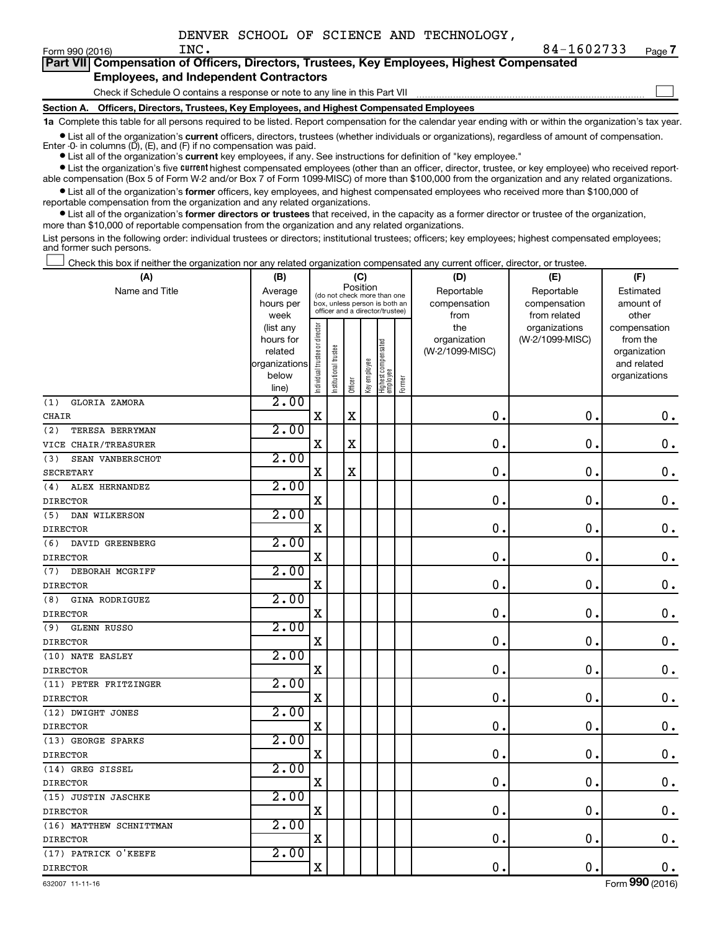$\Box$ 

| Part VII Compensation of Officers, Directors, Trustees, Key Employees, Highest Compensated |
|--------------------------------------------------------------------------------------------|
| <b>Employees, and Independent Contractors</b>                                              |

Check if Schedule O contains a response or note to any line in this Part VII

**Section A. Officers, Directors, Trustees, Key Employees, and Highest Compensated Employees**

**1a**  Complete this table for all persons required to be listed. Report compensation for the calendar year ending with or within the organization's tax year.

**•** List all of the organization's current officers, directors, trustees (whether individuals or organizations), regardless of amount of compensation. Enter -0- in columns  $(D)$ ,  $(E)$ , and  $(F)$  if no compensation was paid.

**•** List all of the organization's **current** key employees, if any. See instructions for definition of "key employee."

**•** List the organization's five current highest compensated employees (other than an officer, director, trustee, or key employee) who received reportable compensation (Box 5 of Form W-2 and/or Box 7 of Form 1099-MISC) of more than \$100,000 from the organization and any related organizations.

**•** List all of the organization's former officers, key employees, and highest compensated employees who received more than \$100,000 of reportable compensation from the organization and any related organizations.

**•** List all of the organization's former directors or trustees that received, in the capacity as a former director or trustee of the organization, more than \$10,000 of reportable compensation from the organization and any related organizations.

List persons in the following order: individual trustees or directors; institutional trustees; officers; key employees; highest compensated employees; and former such persons.

|  |  |  | Check this box if neither the organization nor any related organization compensated any current officer, director, or trustee. |  |  |
|--|--|--|--------------------------------------------------------------------------------------------------------------------------------|--|--|
|  |  |  |                                                                                                                                |  |  |

| (A)                       | (B)               |                                |                                                                  | (C)         |              |                                 |        | (D)                  | (E)                          | (F)                |
|---------------------------|-------------------|--------------------------------|------------------------------------------------------------------|-------------|--------------|---------------------------------|--------|----------------------|------------------------------|--------------------|
| Name and Title            | Average           |                                | (do not check more than one                                      | Position    |              |                                 |        | Reportable           | Reportable                   | Estimated          |
|                           | hours per<br>week |                                | box, unless person is both an<br>officer and a director/trustee) |             |              |                                 |        | compensation<br>from | compensation<br>from related | amount of<br>other |
|                           | (list any         |                                |                                                                  |             |              |                                 |        | the                  | organizations                | compensation       |
|                           | hours for         |                                |                                                                  |             |              |                                 |        | organization         | (W-2/1099-MISC)              | from the           |
|                           | related           |                                | trustee                                                          |             |              |                                 |        | (W-2/1099-MISC)      |                              | organization       |
|                           | organizations     |                                |                                                                  |             |              |                                 |        |                      |                              | and related        |
|                           | below             | Individual trustee or director | Institutional t                                                  | Officer     | Key employee | Highest compensated<br>employee | Former |                      |                              | organizations      |
| GLORIA ZAMORA<br>(1)      | line)<br>2.00     |                                |                                                                  |             |              |                                 |        |                      |                              |                    |
| <b>CHAIR</b>              |                   | $\mathbf X$                    |                                                                  | $\mathbf X$ |              |                                 |        | $\mathbf 0$ .        | $\mathbf 0$ .                | $\mathbf 0$ .      |
| (2)<br>TERESA BERRYMAN    | 2.00              |                                |                                                                  |             |              |                                 |        |                      |                              |                    |
| VICE CHAIR/TREASURER      |                   | $\mathbf X$                    |                                                                  | X           |              |                                 |        | $\mathbf 0$          | $\mathbf 0$                  | $\mathbf 0$ .      |
| SEAN VANBERSCHOT<br>(3)   | 2.00              |                                |                                                                  |             |              |                                 |        |                      |                              |                    |
| <b>SECRETARY</b>          |                   | X                              |                                                                  | $\rm X$     |              |                                 |        | 0                    | $\mathbf 0$                  | $\mathbf 0$ .      |
| ALEX HERNANDEZ<br>(4)     | 2.00              |                                |                                                                  |             |              |                                 |        |                      |                              |                    |
| <b>DIRECTOR</b>           |                   | $\mathbf X$                    |                                                                  |             |              |                                 |        | $\mathbf 0$          | $\mathbf 0$ .                | $\mathbf 0$ .      |
| DAN WILKERSON<br>(5)      | 2.00              |                                |                                                                  |             |              |                                 |        |                      |                              |                    |
| <b>DIRECTOR</b>           |                   | X                              |                                                                  |             |              |                                 |        | 0                    | $\mathbf 0$ .                | $\mathbf 0$ .      |
| (6)<br>DAVID GREENBERG    | 2.00              |                                |                                                                  |             |              |                                 |        |                      |                              |                    |
| <b>DIRECTOR</b>           |                   | $\mathbf X$                    |                                                                  |             |              |                                 |        | $\mathbf 0$          | $\mathbf 0$                  | $\mathbf 0$ .      |
| DEBORAH MCGRIFF<br>(7)    | 2.00              |                                |                                                                  |             |              |                                 |        |                      |                              |                    |
| <b>DIRECTOR</b>           |                   | X                              |                                                                  |             |              |                                 |        | 0                    | 0.                           | $\mathbf 0$ .      |
| GINA RODRIGUEZ<br>(8)     | 2.00              |                                |                                                                  |             |              |                                 |        |                      |                              |                    |
| <b>DIRECTOR</b>           |                   | $\mathbf X$                    |                                                                  |             |              |                                 |        | $\mathbf 0$ .        | $\mathbf 0$ .                | $\mathbf 0$ .      |
| <b>GLENN RUSSO</b><br>(9) | 2.00              |                                |                                                                  |             |              |                                 |        |                      |                              |                    |
| <b>DIRECTOR</b>           |                   | $\mathbf X$                    |                                                                  |             |              |                                 |        | $\mathbf 0$          | $\mathbf 0$ .                | $\mathbf 0$ .      |
| (10) NATE EASLEY          | 2.00              |                                |                                                                  |             |              |                                 |        |                      |                              |                    |
| <b>DIRECTOR</b>           |                   | X                              |                                                                  |             |              |                                 |        | $\mathbf 0$          | $\mathbf 0$                  | $\mathbf 0$ .      |
| (11) PETER FRITZINGER     | 2.00              |                                |                                                                  |             |              |                                 |        |                      |                              |                    |
| <b>DIRECTOR</b>           |                   | X                              |                                                                  |             |              |                                 |        | $\mathbf 0$          | $\mathbf 0$                  | $\mathbf 0$ .      |
| (12) DWIGHT JONES         | 2.00              |                                |                                                                  |             |              |                                 |        |                      |                              |                    |
| <b>DIRECTOR</b>           |                   | $\mathbf X$                    |                                                                  |             |              |                                 |        | $\mathbf 0$ .        | $\mathbf 0$                  | $\mathbf 0$ .      |
| (13) GEORGE SPARKS        | 2.00              |                                |                                                                  |             |              |                                 |        |                      |                              |                    |
| <b>DIRECTOR</b>           |                   | X                              |                                                                  |             |              |                                 |        | $\mathbf 0$          | $\mathbf 0$ .                | $\boldsymbol{0}$ . |
| (14) GREG SISSEL          | 2.00              |                                |                                                                  |             |              |                                 |        |                      |                              |                    |
| <b>DIRECTOR</b>           |                   | X                              |                                                                  |             |              |                                 |        | $\mathbf 0$          | $\mathbf 0$                  | $\mathbf 0$ .      |
| (15) JUSTIN JASCHKE       | 2.00              |                                |                                                                  |             |              |                                 |        |                      |                              |                    |
| <b>DIRECTOR</b>           |                   | X                              |                                                                  |             |              |                                 |        | $\mathbf 0$ .        | $\mathbf 0$                  | 0.                 |
| (16) MATTHEW SCHNITTMAN   | 2.00              |                                |                                                                  |             |              |                                 |        |                      |                              |                    |
| <b>DIRECTOR</b>           |                   | X                              |                                                                  |             |              |                                 |        | 0.                   | $\mathbf 0$ .                | $\mathbf 0$ .      |
| (17) PATRICK O'KEEFE      | 2.00              |                                |                                                                  |             |              |                                 |        |                      |                              |                    |
| <b>DIRECTOR</b>           |                   | $\mathbf X$                    |                                                                  |             |              |                                 |        | 0.                   | $\mathbf 0$ .                | 0.                 |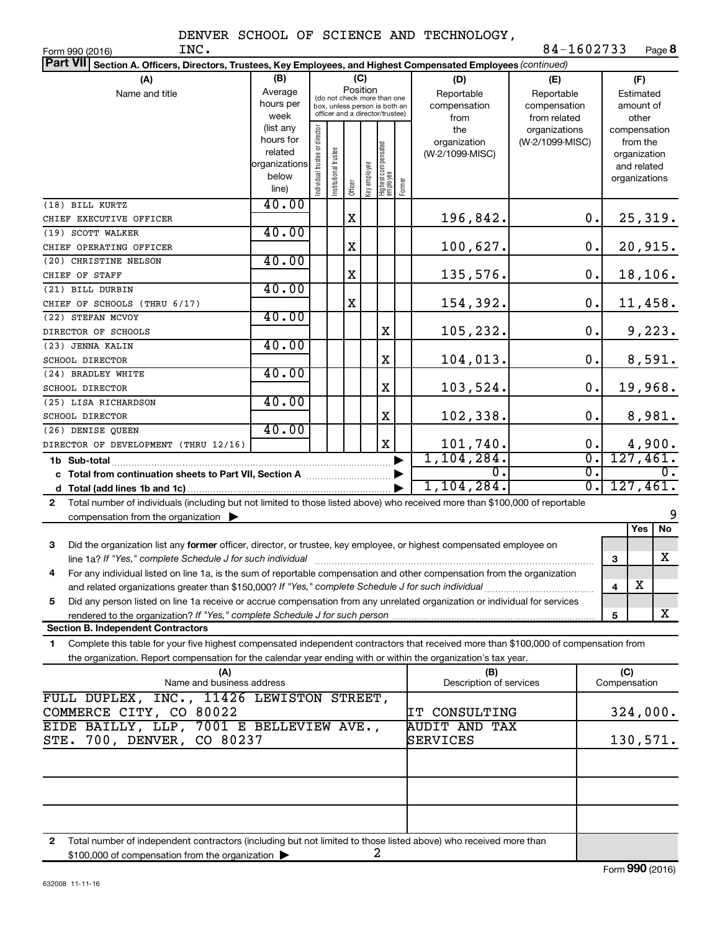Form 990 (2016) Page **8** INC. 84-1602733

| Part VII Section A. Officers, Directors, Trustees, Key Employees, and Highest Compensated Employees (continued)                                                                         |                        |                                |                       |             |              |                                                              |        |                             |                  |              |                         |
|-----------------------------------------------------------------------------------------------------------------------------------------------------------------------------------------|------------------------|--------------------------------|-----------------------|-------------|--------------|--------------------------------------------------------------|--------|-----------------------------|------------------|--------------|-------------------------|
| (A)                                                                                                                                                                                     | (B)                    |                                |                       |             | (C)          |                                                              |        | (D)                         | (E)              |              | (F)                     |
| Name and title                                                                                                                                                                          | Average                |                                |                       | Position    |              |                                                              |        | Reportable                  | Reportable       |              | Estimated               |
|                                                                                                                                                                                         | hours per              |                                |                       |             |              | (do not check more than one<br>box, unless person is both an |        | compensation                | compensation     |              | amount of               |
|                                                                                                                                                                                         | week                   |                                |                       |             |              | officer and a director/trustee)                              |        | from                        | from related     |              | other                   |
|                                                                                                                                                                                         | (list any              |                                |                       |             |              |                                                              |        | the                         | organizations    |              | compensation            |
|                                                                                                                                                                                         | hours for              |                                |                       |             |              |                                                              |        | organization                | (W-2/1099-MISC)  |              | from the                |
|                                                                                                                                                                                         | related                |                                |                       |             |              |                                                              |        | (W-2/1099-MISC)             |                  |              | organization            |
|                                                                                                                                                                                         | organizations<br>below |                                |                       |             |              |                                                              |        |                             |                  |              | and related             |
|                                                                                                                                                                                         | line)                  | Individual trustee or director | Institutional trustee | Officer     | Key employee | Highest compensated<br>  employee                            | Former |                             |                  |              | organizations           |
| (18) BILL KURTZ                                                                                                                                                                         | 40.00                  |                                |                       |             |              |                                                              |        |                             |                  |              |                         |
| CHIEF EXECUTIVE OFFICER                                                                                                                                                                 |                        |                                |                       | $\mathbf X$ |              |                                                              |        | 196,842.                    | 0.               |              | 25,319.                 |
| (19) SCOTT WALKER                                                                                                                                                                       | 40.00                  |                                |                       |             |              |                                                              |        |                             |                  |              |                         |
| CHIEF OPERATING OFFICER                                                                                                                                                                 |                        |                                |                       | X           |              |                                                              |        | 100,627.                    | 0.               |              | 20,915.                 |
| (20) CHRISTINE NELSON                                                                                                                                                                   | 40.00                  |                                |                       |             |              |                                                              |        |                             |                  |              |                         |
| CHIEF OF STAFF                                                                                                                                                                          |                        |                                |                       | X           |              |                                                              |        | 135,576.                    | 0.               |              | 18, 106.                |
| (21) BILL DURBIN                                                                                                                                                                        | 40.00                  |                                |                       |             |              |                                                              |        |                             |                  |              |                         |
| CHIEF OF SCHOOLS (THRU 6/17)                                                                                                                                                            |                        |                                |                       | X           |              |                                                              |        | 154,392.                    | 0.               |              | 11,458.                 |
| (22) STEFAN MCVOY                                                                                                                                                                       | 40.00                  |                                |                       |             |              |                                                              |        |                             |                  |              |                         |
| DIRECTOR OF SCHOOLS                                                                                                                                                                     |                        |                                |                       |             |              | X                                                            |        | 105,232.                    | 0.               |              | 9,223.                  |
| (23) JENNA KALIN                                                                                                                                                                        | 40.00                  |                                |                       |             |              | X                                                            |        | 104,013.                    | 0.               |              |                         |
| SCHOOL DIRECTOR<br>(24) BRADLEY WHITE                                                                                                                                                   | 40.00                  |                                |                       |             |              |                                                              |        |                             |                  |              | 8,591.                  |
| <b>SCHOOL DIRECTOR</b>                                                                                                                                                                  |                        |                                |                       |             |              | X                                                            |        | 103,524.                    | 0.               |              | 19,968.                 |
| (25) LISA RICHARDSON                                                                                                                                                                    | 40.00                  |                                |                       |             |              |                                                              |        |                             |                  |              |                         |
| SCHOOL DIRECTOR                                                                                                                                                                         |                        |                                |                       |             |              | X                                                            |        | 102,338.                    | $\mathbf 0$ .    |              | 8,981.                  |
| (26) DENISE QUEEN                                                                                                                                                                       | 40.00                  |                                |                       |             |              |                                                              |        |                             |                  |              |                         |
| DIRECTOR OF DEVELOPMENT (THRU 12/16)                                                                                                                                                    |                        |                                |                       |             |              | X                                                            |        | $\frac{101,740}{1,104,284}$ | 0.               |              | $\frac{4,900}{127,461}$ |
| 1b Sub-total                                                                                                                                                                            |                        |                                |                       |             |              |                                                              |        |                             | σ.               |              |                         |
|                                                                                                                                                                                         |                        |                                |                       |             |              |                                                              |        | $\Omega$ .                  | $\overline{0}$ . |              | 0.                      |
|                                                                                                                                                                                         |                        |                                |                       |             |              |                                                              |        | 1,104,284.                  | σ.               |              | 127,461.                |
| Total number of individuals (including but not limited to those listed above) who received more than \$100,000 of reportable<br>$\mathbf{2}$                                            |                        |                                |                       |             |              |                                                              |        |                             |                  |              |                         |
| compensation from the organization $\blacktriangleright$                                                                                                                                |                        |                                |                       |             |              |                                                              |        |                             |                  |              | 9                       |
|                                                                                                                                                                                         |                        |                                |                       |             |              |                                                              |        |                             |                  |              | No<br>Yes               |
| Did the organization list any former officer, director, or trustee, key employee, or highest compensated employee on<br>3<br>line 1a? If "Yes," complete Schedule J for such individual |                        |                                |                       |             |              |                                                              |        |                             |                  |              | х                       |
| For any individual listed on line 1a, is the sum of reportable compensation and other compensation from the organization<br>4                                                           |                        |                                |                       |             |              |                                                              |        |                             |                  | 3            |                         |
|                                                                                                                                                                                         |                        |                                |                       |             |              |                                                              |        |                             |                  | 4            | $\overline{\textbf{X}}$ |
| Did any person listed on line 1a receive or accrue compensation from any unrelated organization or individual for services<br>5                                                         |                        |                                |                       |             |              |                                                              |        |                             |                  |              |                         |
| rendered to the organization? If "Yes," complete Schedule J for such person.                                                                                                            |                        |                                |                       |             |              |                                                              |        |                             |                  | 5            | x                       |
| <b>Section B. Independent Contractors</b>                                                                                                                                               |                        |                                |                       |             |              |                                                              |        |                             |                  |              |                         |
| Complete this table for your five highest compensated independent contractors that received more than \$100,000 of compensation from<br>1                                               |                        |                                |                       |             |              |                                                              |        |                             |                  |              |                         |
| the organization. Report compensation for the calendar year ending with or within the organization's tax year.                                                                          |                        |                                |                       |             |              |                                                              |        |                             |                  |              |                         |
| (A)                                                                                                                                                                                     |                        |                                |                       |             |              |                                                              |        | (B)                         |                  | (C)          |                         |
| Name and business address                                                                                                                                                               |                        |                                |                       |             |              |                                                              |        | Description of services     |                  | Compensation |                         |
| FULL DUPLEX, INC., 11426 LEWISTON STREET,                                                                                                                                               |                        |                                |                       |             |              |                                                              |        | IT CONSULTING               |                  |              | 324,000.                |
| COMMERCE CITY, CO 80022<br>EIDE BAILLY, LLP, 7001 E BELLEVIEW AVE.,                                                                                                                     |                        |                                |                       |             |              |                                                              |        | <b>AUDIT AND TAX</b>        |                  |              |                         |
| 700, DENVER, CO 80237<br>STE.                                                                                                                                                           |                        |                                |                       |             |              |                                                              |        | SERVICES                    |                  |              | 130,571.                |
|                                                                                                                                                                                         |                        |                                |                       |             |              |                                                              |        |                             |                  |              |                         |
|                                                                                                                                                                                         |                        |                                |                       |             |              |                                                              |        |                             |                  |              |                         |
|                                                                                                                                                                                         |                        |                                |                       |             |              |                                                              |        |                             |                  |              |                         |
|                                                                                                                                                                                         |                        |                                |                       |             |              |                                                              |        |                             |                  |              |                         |
|                                                                                                                                                                                         |                        |                                |                       |             |              |                                                              |        |                             |                  |              |                         |
|                                                                                                                                                                                         |                        |                                |                       |             |              |                                                              |        |                             |                  |              |                         |

**2** Total number of independent contractors (including but not limited to those listed above) who received more than \$100,000 of compensation from the organization 2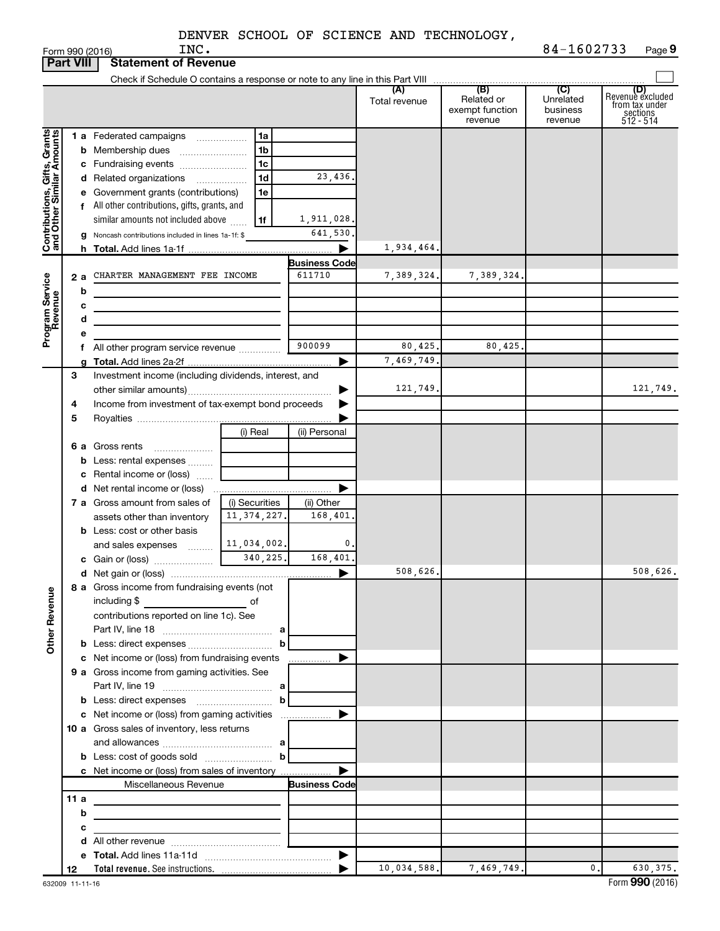|                              |                                                         | INC.<br>Form 990 (2016)                                                         |                |                      |                      |                                                 | 84-1602733                                         | Page 9                                                             |
|------------------------------|---------------------------------------------------------|---------------------------------------------------------------------------------|----------------|----------------------|----------------------|-------------------------------------------------|----------------------------------------------------|--------------------------------------------------------------------|
|                              | <b>Part VIII</b>                                        | <b>Statement of Revenue</b>                                                     |                |                      |                      |                                                 |                                                    |                                                                    |
|                              |                                                         |                                                                                 |                |                      |                      |                                                 |                                                    |                                                                    |
|                              |                                                         |                                                                                 |                |                      | (A)<br>Total revenue | (B)<br>Related or<br>exempt function<br>revenue | $\overline{C}$<br>Unrelated<br>business<br>revenue | (D)<br>Revenue excluded<br>from tax under<br>sections<br>512 - 514 |
|                              |                                                         | 1 a Federated campaigns                                                         | 1a             |                      |                      |                                                 |                                                    |                                                                    |
|                              |                                                         | <b>b</b> Membership dues                                                        | 1b             |                      |                      |                                                 |                                                    |                                                                    |
|                              |                                                         | c Fundraising events                                                            | 1c             |                      |                      |                                                 |                                                    |                                                                    |
|                              |                                                         | d Related organizations<br>$\overline{\phantom{a}}$                             | 1d             | 23,436.              |                      |                                                 |                                                    |                                                                    |
|                              |                                                         | e Government grants (contributions)                                             | 1e             |                      |                      |                                                 |                                                    |                                                                    |
|                              |                                                         | f All other contributions, gifts, grants, and                                   |                |                      |                      |                                                 |                                                    |                                                                    |
|                              |                                                         | similar amounts not included above                                              | 1f             | 1,911,028.           |                      |                                                 |                                                    |                                                                    |
| Contributions, Gifts, Grants |                                                         | g Noncash contributions included in lines 1a-1f: \$                             |                | 641,530.             |                      |                                                 |                                                    |                                                                    |
|                              |                                                         |                                                                                 |                |                      | 1,934,464.           |                                                 |                                                    |                                                                    |
|                              |                                                         |                                                                                 |                | <b>Business Code</b> |                      |                                                 |                                                    |                                                                    |
|                              | 2 a                                                     | CHARTER MANAGEMENT FEE INCOME                                                   |                | 611710               | 7,389,324.           | 7,389,324.                                      |                                                    |                                                                    |
|                              |                                                         | b                                                                               |                |                      |                      |                                                 |                                                    |                                                                    |
|                              |                                                         | с                                                                               |                |                      |                      |                                                 |                                                    |                                                                    |
|                              |                                                         | d                                                                               |                |                      |                      |                                                 |                                                    |                                                                    |
| Program Service<br>Revenue   |                                                         |                                                                                 |                |                      |                      |                                                 |                                                    |                                                                    |
|                              |                                                         | f All other program service revenue                                             |                | 900099               | 80,425.              | 80,425                                          |                                                    |                                                                    |
|                              |                                                         |                                                                                 |                |                      | 7,469,749            |                                                 |                                                    |                                                                    |
|                              | 3                                                       | Investment income (including dividends, interest, and                           |                |                      |                      |                                                 |                                                    |                                                                    |
|                              |                                                         |                                                                                 |                |                      | 121,749.             |                                                 |                                                    | 121,749.                                                           |
|                              | Income from investment of tax-exempt bond proceeds<br>4 |                                                                                 |                |                      |                      |                                                 |                                                    |                                                                    |
|                              | 5                                                       |                                                                                 |                |                      |                      |                                                 |                                                    |                                                                    |
|                              |                                                         |                                                                                 | (i) Real       | (ii) Personal        |                      |                                                 |                                                    |                                                                    |
|                              |                                                         | <b>6 a</b> Gross rents                                                          |                |                      |                      |                                                 |                                                    |                                                                    |
|                              |                                                         | <b>b</b> Less: rental expenses                                                  |                |                      |                      |                                                 |                                                    |                                                                    |
|                              |                                                         | c Rental income or (loss)                                                       |                |                      |                      |                                                 |                                                    |                                                                    |
|                              |                                                         |                                                                                 |                |                      |                      |                                                 |                                                    |                                                                    |
|                              |                                                         | 7 a Gross amount from sales of                                                  | (i) Securities | (ii) Other           |                      |                                                 |                                                    |                                                                    |
|                              |                                                         | assets other than inventory                                                     | 11, 374, 227.  | 168,401.             |                      |                                                 |                                                    |                                                                    |
|                              |                                                         | <b>b</b> Less: cost or other basis                                              |                |                      |                      |                                                 |                                                    |                                                                    |
|                              |                                                         | and sales expenses                                                              | 11,034,002.    | 0.                   |                      |                                                 |                                                    |                                                                    |
|                              |                                                         | c Gain or (loss)                                                                | 340,225.       | 168,401.             |                      |                                                 |                                                    |                                                                    |
|                              |                                                         |                                                                                 |                |                      | 508,626.             |                                                 |                                                    | 508,626.                                                           |
|                              |                                                         | 8 a Gross income from fundraising events (not                                   |                |                      |                      |                                                 |                                                    |                                                                    |
|                              |                                                         | including \$<br>$\overline{\phantom{a}}$ of                                     |                |                      |                      |                                                 |                                                    |                                                                    |
|                              |                                                         | contributions reported on line 1c). See                                         |                |                      |                      |                                                 |                                                    |                                                                    |
|                              |                                                         |                                                                                 |                |                      |                      |                                                 |                                                    |                                                                    |
| <b>Other Revenue</b>         |                                                         |                                                                                 |                |                      |                      |                                                 |                                                    |                                                                    |
|                              |                                                         |                                                                                 |                |                      |                      |                                                 |                                                    |                                                                    |
|                              |                                                         | 9 a Gross income from gaming activities. See                                    |                |                      |                      |                                                 |                                                    |                                                                    |
|                              |                                                         |                                                                                 |                |                      |                      |                                                 |                                                    |                                                                    |
|                              |                                                         |                                                                                 |                |                      |                      |                                                 |                                                    |                                                                    |
|                              |                                                         |                                                                                 |                |                      |                      |                                                 |                                                    |                                                                    |
|                              |                                                         | 10 a Gross sales of inventory, less returns                                     |                |                      |                      |                                                 |                                                    |                                                                    |
|                              |                                                         |                                                                                 |                |                      |                      |                                                 |                                                    |                                                                    |
|                              |                                                         | <b>b</b> Less: cost of goods sold $\ldots$ $\ldots$ <b>b</b>                    |                |                      |                      |                                                 |                                                    |                                                                    |
|                              |                                                         | c Net income or (loss) from sales of inventory                                  |                |                      |                      |                                                 |                                                    |                                                                    |
|                              |                                                         | Miscellaneous Revenue                                                           |                | <b>Business Code</b> |                      |                                                 |                                                    |                                                                    |
|                              | 11 a                                                    |                                                                                 |                |                      |                      |                                                 |                                                    |                                                                    |
|                              |                                                         | b<br><u> 1989 - Johann John Stein, mars an deus Amerikaansk kommunister (</u>   |                |                      |                      |                                                 |                                                    |                                                                    |
|                              |                                                         | с<br>the control of the control of the control of the control of the control of |                |                      |                      |                                                 |                                                    |                                                                    |
|                              |                                                         |                                                                                 |                |                      |                      |                                                 |                                                    |                                                                    |
|                              |                                                         |                                                                                 |                |                      |                      |                                                 |                                                    |                                                                    |
|                              | 12                                                      |                                                                                 |                |                      | 10,034,588.          | 7,469,749.                                      | 0.                                                 | 630, 375.                                                          |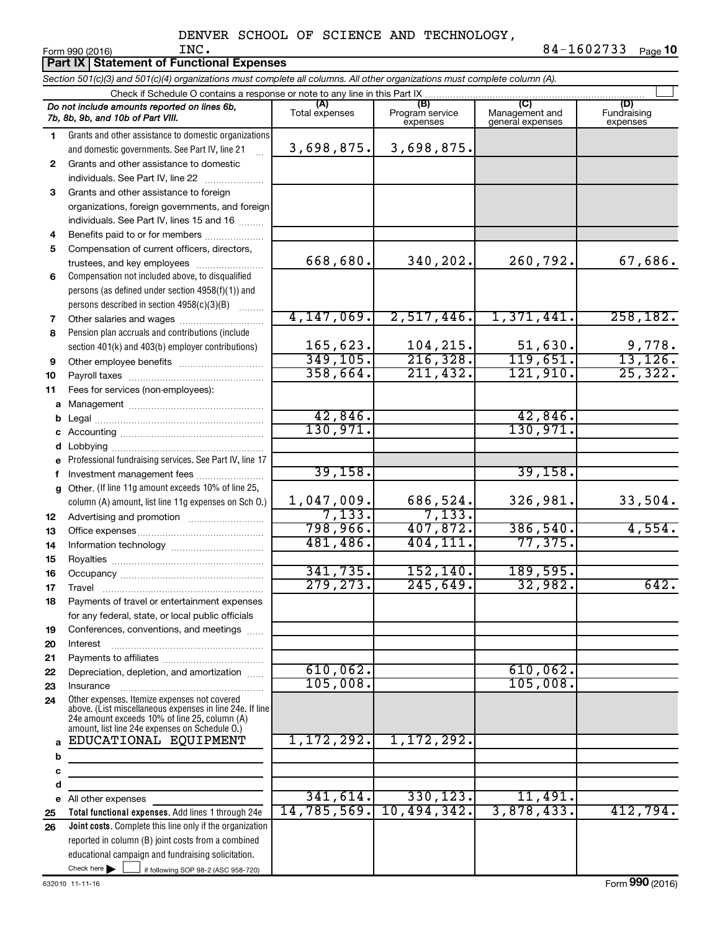|        | Part IX Statement of Functional Expenses                                                                                                                                                                    |                       |                                    |                                           |                                |
|--------|-------------------------------------------------------------------------------------------------------------------------------------------------------------------------------------------------------------|-----------------------|------------------------------------|-------------------------------------------|--------------------------------|
|        | Section 501(c)(3) and 501(c)(4) organizations must complete all columns. All other organizations must complete column (A).                                                                                  |                       |                                    |                                           |                                |
|        | Check if Schedule O contains a response or note to any line in this Part IX                                                                                                                                 |                       |                                    |                                           |                                |
|        | Do not include amounts reported on lines 6b,<br>7b, 8b, 9b, and 10b of Part VIII.                                                                                                                           | (A)<br>Total expenses | (B)<br>Program service<br>expenses | (C)<br>Management and<br>general expenses | (D)<br>Fundraising<br>expenses |
| 1      | Grants and other assistance to domestic organizations                                                                                                                                                       |                       |                                    |                                           |                                |
|        | and domestic governments. See Part IV, line 21                                                                                                                                                              | 3,698,875.            | 3,698,875.                         |                                           |                                |
| 2      | Grants and other assistance to domestic                                                                                                                                                                     |                       |                                    |                                           |                                |
|        | individuals. See Part IV, line 22                                                                                                                                                                           |                       |                                    |                                           |                                |
| 3      | Grants and other assistance to foreign                                                                                                                                                                      |                       |                                    |                                           |                                |
|        | organizations, foreign governments, and foreign                                                                                                                                                             |                       |                                    |                                           |                                |
|        | individuals. See Part IV, lines 15 and 16                                                                                                                                                                   |                       |                                    |                                           |                                |
| 4      | Benefits paid to or for members                                                                                                                                                                             |                       |                                    |                                           |                                |
| 5      | Compensation of current officers, directors,                                                                                                                                                                |                       |                                    |                                           |                                |
|        | trustees, and key employees                                                                                                                                                                                 | 668,680.              | 340,202.                           | 260,792.                                  | 67,686.                        |
| 6      | Compensation not included above, to disqualified                                                                                                                                                            |                       |                                    |                                           |                                |
|        | persons (as defined under section 4958(f)(1)) and                                                                                                                                                           |                       |                                    |                                           |                                |
|        | persons described in section 4958(c)(3)(B)                                                                                                                                                                  |                       |                                    | 1,371,441.                                | 258, 182.                      |
| 7      | Other salaries and wages                                                                                                                                                                                    | 4,147,069.            | 2,517,446.                         |                                           |                                |
| 8      | Pension plan accruals and contributions (include                                                                                                                                                            | 165,623.              | 104,215.                           | 51,630.                                   | 9,778.                         |
|        | section 401(k) and 403(b) employer contributions)                                                                                                                                                           | 349, 105.             | 216, 328.                          | 119,651.                                  | 13,126.                        |
| 9      |                                                                                                                                                                                                             | 358,664.              | 211, 432.                          | 121,910.                                  | 25,322.                        |
| 10     |                                                                                                                                                                                                             |                       |                                    |                                           |                                |
| 11     | Fees for services (non-employees):                                                                                                                                                                          |                       |                                    |                                           |                                |
| а<br>b |                                                                                                                                                                                                             | 42,846.               |                                    | 42,846.                                   |                                |
|        |                                                                                                                                                                                                             | 130,971.              |                                    | 130,971.                                  |                                |
| d      |                                                                                                                                                                                                             |                       |                                    |                                           |                                |
|        | Professional fundraising services. See Part IV, line 17                                                                                                                                                     |                       |                                    |                                           |                                |
| f.     | Investment management fees                                                                                                                                                                                  | 39,158.               |                                    | 39,158.                                   |                                |
|        | g Other. (If line 11g amount exceeds 10% of line 25,                                                                                                                                                        |                       |                                    |                                           |                                |
|        | column (A) amount, list line 11g expenses on Sch O.)                                                                                                                                                        | 1,047,009.            | 686,524.                           | 326,981.                                  | 33,504.                        |
| 12     |                                                                                                                                                                                                             | 7,133.                | 7,133.                             |                                           |                                |
| 13     |                                                                                                                                                                                                             | 798,966.              | 407,872.                           | 386, 540.                                 | 4,554.                         |
| 14     |                                                                                                                                                                                                             | 481,486.              | 404, 111.                          | 77, 375.                                  |                                |
| 15     |                                                                                                                                                                                                             |                       |                                    |                                           |                                |
| 16     |                                                                                                                                                                                                             | 341, 735.             | 152, 140.                          | 189,595.                                  |                                |
| 17     | <b>ravel</b>                                                                                                                                                                                                | 279, 273.             | 245,649.                           | 32,982.                                   | 642.                           |
| 18     | Payments of travel or entertainment expenses                                                                                                                                                                |                       |                                    |                                           |                                |
|        | for any federal, state, or local public officials                                                                                                                                                           |                       |                                    |                                           |                                |
| 19     | Conferences, conventions, and meetings                                                                                                                                                                      |                       |                                    |                                           |                                |
| 20     | Interest                                                                                                                                                                                                    |                       |                                    |                                           |                                |
| 21     |                                                                                                                                                                                                             |                       |                                    |                                           |                                |
| 22     | Depreciation, depletion, and amortization                                                                                                                                                                   | 610,062.              |                                    | 610,062.                                  |                                |
| 23     | Insurance                                                                                                                                                                                                   | 105,008.              |                                    | 105,008.                                  |                                |
| 24     | Other expenses. Itemize expenses not covered<br>above. (List miscellaneous expenses in line 24e. If line<br>24e amount exceeds 10% of line 25, column (A)<br>amount, list line 24e expenses on Schedule O.) |                       |                                    |                                           |                                |
| a      | EDUCATIONAL EQUIPMENT                                                                                                                                                                                       | 1,172,292.            | 1,172,292.                         |                                           |                                |
| b      |                                                                                                                                                                                                             |                       |                                    |                                           |                                |
| с      |                                                                                                                                                                                                             |                       |                                    |                                           |                                |
| d      |                                                                                                                                                                                                             |                       |                                    |                                           |                                |
| е      | All other expenses                                                                                                                                                                                          | 341,614.              | 330, 123.                          | 11,491.                                   |                                |
| 25     | Total functional expenses. Add lines 1 through 24e                                                                                                                                                          | 14,785,569.           | 10,494,342.                        | 3,878,433.                                | 412,794.                       |
| 26     | Joint costs. Complete this line only if the organization                                                                                                                                                    |                       |                                    |                                           |                                |
|        | reported in column (B) joint costs from a combined                                                                                                                                                          |                       |                                    |                                           |                                |
|        | educational campaign and fundraising solicitation.                                                                                                                                                          |                       |                                    |                                           |                                |
|        | Check here $\blacktriangleright$<br>if following SOP 98-2 (ASC 958-720)                                                                                                                                     |                       |                                    |                                           |                                |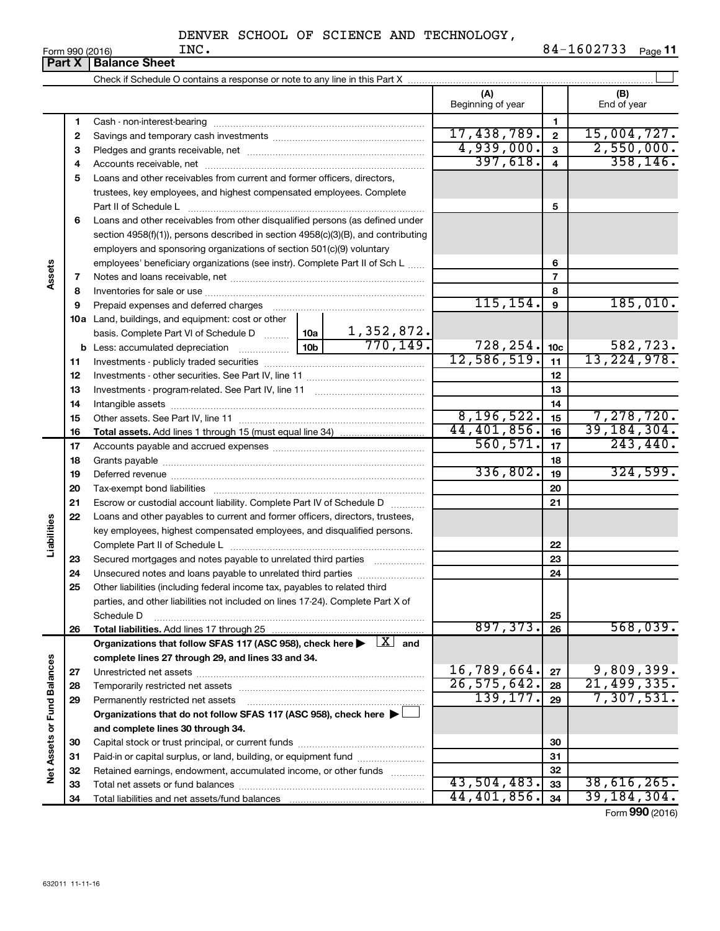|                             |    | <b>Part X   Balance Sheet</b>                                                                                              |                 |                               |                          |                 |                         |
|-----------------------------|----|----------------------------------------------------------------------------------------------------------------------------|-----------------|-------------------------------|--------------------------|-----------------|-------------------------|
|                             |    |                                                                                                                            |                 |                               |                          |                 |                         |
|                             |    |                                                                                                                            |                 |                               | (A)<br>Beginning of year |                 | (B)<br>End of year      |
|                             | 1  |                                                                                                                            |                 |                               |                          | 1               |                         |
|                             | 2  |                                                                                                                            |                 |                               | 17,438,789.              | $\overline{2}$  | 15,004,727.             |
|                             | з  |                                                                                                                            |                 |                               | 4,939,000.               | $\mathbf{3}$    | 2,550,000.              |
|                             | 4  |                                                                                                                            |                 |                               | 397,618.                 | $\overline{4}$  | 358, 146.               |
|                             | 5  | Loans and other receivables from current and former officers, directors,                                                   |                 |                               |                          |                 |                         |
|                             |    | trustees, key employees, and highest compensated employees. Complete                                                       |                 |                               |                          |                 |                         |
|                             |    | Part II of Schedule L                                                                                                      |                 |                               |                          | 5               |                         |
|                             | 6  | Loans and other receivables from other disqualified persons (as defined under                                              |                 |                               |                          |                 |                         |
|                             |    | section 4958(f)(1)), persons described in section 4958(c)(3)(B), and contributing                                          |                 |                               |                          |                 |                         |
|                             |    | employers and sponsoring organizations of section 501(c)(9) voluntary                                                      |                 |                               |                          |                 |                         |
|                             |    | employees' beneficiary organizations (see instr). Complete Part II of Sch L                                                |                 |                               |                          | 6               |                         |
| Assets                      | 7  |                                                                                                                            |                 |                               |                          | 7               |                         |
|                             | 8  |                                                                                                                            |                 |                               |                          | 8               |                         |
|                             | 9  | Prepaid expenses and deferred charges                                                                                      |                 |                               | 115, 154.                | 9               | 185,010.                |
|                             |    | 10a Land, buildings, and equipment: cost or other                                                                          |                 |                               |                          |                 |                         |
|                             |    | basis. Complete Part VI of Schedule D  10a                                                                                 |                 | $\frac{1,352,872.}{770,149.}$ |                          |                 |                         |
|                             | b  | Less: accumulated depreciation                                                                                             | 10 <sub>b</sub> |                               | 728,254.                 | 10 <sub>c</sub> | 582,723.<br>13,224,978. |
|                             | 11 |                                                                                                                            |                 | 12,586,519.                   | 11                       |                 |                         |
|                             | 12 |                                                                                                                            |                 | 12                            |                          |                 |                         |
|                             | 13 |                                                                                                                            |                 | 13                            |                          |                 |                         |
|                             | 14 |                                                                                                                            |                 |                               |                          | 14              |                         |
|                             | 15 |                                                                                                                            |                 |                               | 8, 196, 522.             | 15              | 7,278,720.              |
|                             | 16 |                                                                                                                            |                 | 44,401,856.                   | 16                       | 39, 184, 304.   |                         |
|                             | 17 |                                                                                                                            | 560, 571.       | 17                            | 243, 440.                |                 |                         |
|                             | 18 |                                                                                                                            |                 | 18                            |                          |                 |                         |
|                             | 19 |                                                                                                                            | 336,802.        | 19                            | 324,599.                 |                 |                         |
|                             | 20 |                                                                                                                            |                 |                               | 20                       |                 |                         |
|                             | 21 | Escrow or custodial account liability. Complete Part IV of Schedule D                                                      |                 |                               |                          | 21              |                         |
|                             | 22 | Loans and other payables to current and former officers, directors, trustees,                                              |                 |                               |                          |                 |                         |
|                             |    | key employees, highest compensated employees, and disqualified persons.                                                    |                 |                               |                          |                 |                         |
| Liabilities                 |    |                                                                                                                            |                 |                               |                          | 22              |                         |
|                             | 23 | Secured mortgages and notes payable to unrelated third parties                                                             |                 |                               |                          | 23              |                         |
|                             | 24 | Unsecured notes and loans payable to unrelated third parties                                                               |                 |                               |                          | 24              |                         |
|                             | 25 | Other liabilities (including federal income tax, payables to related third                                                 |                 |                               |                          |                 |                         |
|                             |    | parties, and other liabilities not included on lines 17-24). Complete Part X of                                            |                 |                               |                          |                 |                         |
|                             | 26 | Schedule D<br>Total liabilities. Add lines 17 through 25                                                                   |                 |                               | 897,373.                 | 25<br>26        | 568,039.                |
|                             |    | Organizations that follow SFAS 117 (ASC 958), check here $\blacktriangleright \begin{array}{c} \perp X \\ \end{array}$ and |                 |                               |                          |                 |                         |
|                             |    | complete lines 27 through 29, and lines 33 and 34.                                                                         |                 |                               |                          |                 |                         |
|                             | 27 |                                                                                                                            |                 |                               | 16,789,664.              | 27              | 9,809,399.              |
|                             | 28 |                                                                                                                            |                 |                               | 26, 575, 642.            | 28              | 21,499,335.             |
|                             | 29 | Permanently restricted net assets                                                                                          |                 |                               | 139, 177.                | 29              | 7,307,531.              |
|                             |    | Organizations that do not follow SFAS 117 (ASC 958), check here $\blacktriangleright$                                      |                 |                               |                          |                 |                         |
|                             |    | and complete lines 30 through 34.                                                                                          |                 |                               |                          |                 |                         |
|                             | 30 |                                                                                                                            |                 |                               |                          | 30              |                         |
|                             | 31 | Paid-in or capital surplus, or land, building, or equipment fund                                                           |                 |                               |                          | 31              |                         |
| Net Assets or Fund Balances | 32 | Retained earnings, endowment, accumulated income, or other funds                                                           |                 |                               |                          | 32              |                         |
|                             | 33 |                                                                                                                            |                 |                               | 43,504,483.              | 33              | 38,616,265.             |
|                             | 34 |                                                                                                                            |                 |                               | 44,401,856.              | 34              | 39, 184, 304.           |

Form (2016) **990**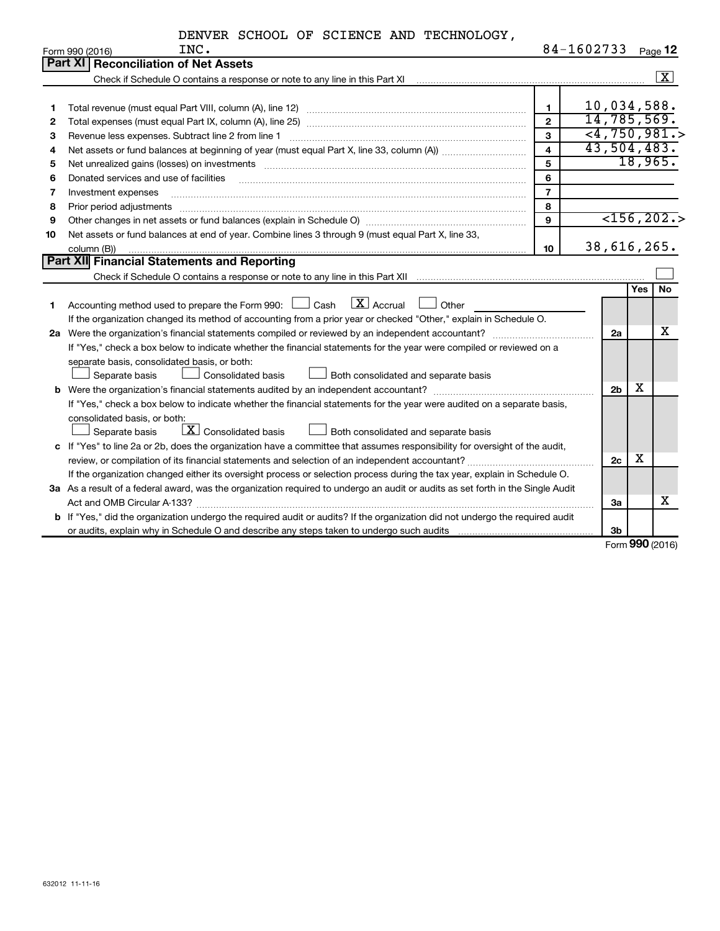|    | DENVER SCHOOL OF SCIENCE AND TECHNOLOGY,                                                                                                                     |                         |                |            |                         |  |  |  |
|----|--------------------------------------------------------------------------------------------------------------------------------------------------------------|-------------------------|----------------|------------|-------------------------|--|--|--|
|    | INC.<br>Form 990 (2016)                                                                                                                                      |                         | 84-1602733     |            | Page 12                 |  |  |  |
|    | <b>Reconciliation of Net Assets</b><br>Part XI                                                                                                               |                         |                |            |                         |  |  |  |
|    | Check if Schedule O contains a response or note to any line in this Part XI [11] Check if Schedule O contains a response or note to any line in this Part XI |                         |                |            | $\boxed{\text{X}}$      |  |  |  |
|    |                                                                                                                                                              |                         |                |            |                         |  |  |  |
| 1  |                                                                                                                                                              | $\mathbf{1}$            | 10,034,588.    |            |                         |  |  |  |
| 2  |                                                                                                                                                              | $\mathbf{2}$            | 14,785,569.    |            |                         |  |  |  |
| З  | $<$ 4,750,981.><br>$\mathbf{3}$<br>Revenue less expenses. Subtract line 2 from line 1                                                                        |                         |                |            |                         |  |  |  |
| 4  |                                                                                                                                                              | $\overline{\mathbf{4}}$ | 43,504,483.    |            |                         |  |  |  |
| 5  |                                                                                                                                                              | 5                       |                | 18,965.    |                         |  |  |  |
| 6  | Donated services and use of facilities                                                                                                                       | 6                       |                |            |                         |  |  |  |
| 7  | Investment expenses                                                                                                                                          | $\overline{7}$          |                |            |                         |  |  |  |
| 8  | Prior period adjustments                                                                                                                                     | 8                       |                |            |                         |  |  |  |
| 9  |                                                                                                                                                              | 9                       |                |            | $\overline{<}156, 202.$ |  |  |  |
| 10 | Net assets or fund balances at end of year. Combine lines 3 through 9 (must equal Part X, line 33,                                                           |                         |                |            |                         |  |  |  |
|    | column (B))                                                                                                                                                  | 10                      | 38,616,265.    |            |                         |  |  |  |
|    | Part XII Financial Statements and Reporting                                                                                                                  |                         |                |            |                         |  |  |  |
|    |                                                                                                                                                              |                         |                |            |                         |  |  |  |
|    |                                                                                                                                                              |                         |                | <b>Yes</b> | <b>No</b>               |  |  |  |
| 1. | $\boxed{\text{X}}$ Accrual<br>Accounting method used to prepare the Form 990: $\Box$ Cash<br>Other                                                           |                         |                |            |                         |  |  |  |
|    | If the organization changed its method of accounting from a prior year or checked "Other," explain in Schedule O.                                            |                         |                |            |                         |  |  |  |
|    |                                                                                                                                                              |                         | 2a             |            | х                       |  |  |  |
|    | If "Yes," check a box below to indicate whether the financial statements for the year were compiled or reviewed on a                                         |                         |                |            |                         |  |  |  |
|    | separate basis, consolidated basis, or both:                                                                                                                 |                         |                |            |                         |  |  |  |
|    | Separate basis<br><b>Consolidated basis</b><br>Both consolidated and separate basis                                                                          |                         |                |            |                         |  |  |  |
|    |                                                                                                                                                              |                         | 2 <sub>b</sub> | х          |                         |  |  |  |
|    | If "Yes," check a box below to indicate whether the financial statements for the year were audited on a separate basis,                                      |                         |                |            |                         |  |  |  |
|    | consolidated basis, or both:                                                                                                                                 |                         |                |            |                         |  |  |  |
|    | $\boxed{\textbf{X}}$ Consolidated basis<br>Both consolidated and separate basis<br>Separate basis                                                            |                         |                |            |                         |  |  |  |
|    | c If "Yes" to line 2a or 2b, does the organization have a committee that assumes responsibility for oversight of the audit,                                  |                         |                |            |                         |  |  |  |
|    | review, or compilation of its financial statements and selection of an independent accountant?                                                               |                         | 2c             | х          |                         |  |  |  |
|    | If the organization changed either its oversight process or selection process during the tax year, explain in Schedule O.                                    |                         |                |            |                         |  |  |  |
|    | 3a As a result of a federal award, was the organization required to undergo an audit or audits as set forth in the Single Audit                              |                         |                |            |                         |  |  |  |
|    |                                                                                                                                                              |                         | За             |            | x                       |  |  |  |
|    | b If "Yes," did the organization undergo the required audit or audits? If the organization did not undergo the required audit                                |                         |                |            |                         |  |  |  |
|    |                                                                                                                                                              |                         | 3 <sub>b</sub> |            |                         |  |  |  |

Form (2016) **990**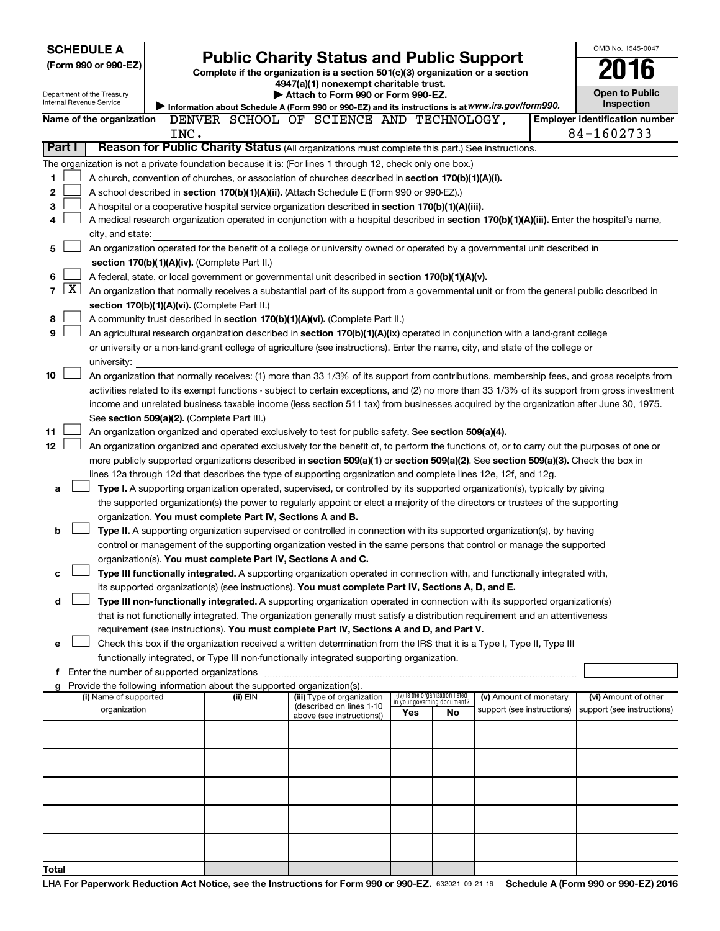|                | <b>SCHEDULE A</b>                                                                                                                             |      |                                                                          |                                                                                                                                                                                                                                               |                                                                |    |                            |  | OMB No. 1545-0047                     |  |
|----------------|-----------------------------------------------------------------------------------------------------------------------------------------------|------|--------------------------------------------------------------------------|-----------------------------------------------------------------------------------------------------------------------------------------------------------------------------------------------------------------------------------------------|----------------------------------------------------------------|----|----------------------------|--|---------------------------------------|--|
|                | (Form 990 or 990-EZ)                                                                                                                          |      |                                                                          | <b>Public Charity Status and Public Support</b><br>Complete if the organization is a section 501(c)(3) organization or a section                                                                                                              |                                                                |    |                            |  |                                       |  |
|                |                                                                                                                                               |      |                                                                          | 4947(a)(1) nonexempt charitable trust.                                                                                                                                                                                                        |                                                                |    |                            |  |                                       |  |
|                | Department of the Treasury<br>Internal Revenue Service                                                                                        |      |                                                                          | Attach to Form 990 or Form 990-EZ.                                                                                                                                                                                                            |                                                                |    |                            |  | <b>Open to Public</b><br>Inspection   |  |
|                | Name of the organization                                                                                                                      |      |                                                                          | Information about Schedule A (Form 990 or 990-EZ) and its instructions is at WWW.irs.gov/form990.<br>DENVER SCHOOL OF SCIENCE AND TECHNOLOGY,                                                                                                 |                                                                |    |                            |  | <b>Employer identification number</b> |  |
|                |                                                                                                                                               | INC. |                                                                          |                                                                                                                                                                                                                                               |                                                                |    |                            |  | 84-1602733                            |  |
|                | Part I                                                                                                                                        |      |                                                                          | Reason for Public Charity Status (All organizations must complete this part.) See instructions.                                                                                                                                               |                                                                |    |                            |  |                                       |  |
|                |                                                                                                                                               |      |                                                                          | The organization is not a private foundation because it is: (For lines 1 through 12, check only one box.)                                                                                                                                     |                                                                |    |                            |  |                                       |  |
| 1              |                                                                                                                                               |      |                                                                          | A church, convention of churches, or association of churches described in section 170(b)(1)(A)(i).                                                                                                                                            |                                                                |    |                            |  |                                       |  |
| 2              |                                                                                                                                               |      |                                                                          | A school described in section 170(b)(1)(A)(ii). (Attach Schedule E (Form 990 or 990-EZ).)                                                                                                                                                     |                                                                |    |                            |  |                                       |  |
| з              |                                                                                                                                               |      |                                                                          | A hospital or a cooperative hospital service organization described in section 170(b)(1)(A)(iii).                                                                                                                                             |                                                                |    |                            |  |                                       |  |
| 4              |                                                                                                                                               |      |                                                                          | A medical research organization operated in conjunction with a hospital described in section 170(b)(1)(A)(iii). Enter the hospital's name,                                                                                                    |                                                                |    |                            |  |                                       |  |
|                | city, and state:<br>An organization operated for the benefit of a college or university owned or operated by a governmental unit described in |      |                                                                          |                                                                                                                                                                                                                                               |                                                                |    |                            |  |                                       |  |
| 5              |                                                                                                                                               |      |                                                                          |                                                                                                                                                                                                                                               |                                                                |    |                            |  |                                       |  |
|                |                                                                                                                                               |      | section 170(b)(1)(A)(iv). (Complete Part II.)                            |                                                                                                                                                                                                                                               |                                                                |    |                            |  |                                       |  |
| 6              | $\mathbf{X}$                                                                                                                                  |      |                                                                          | A federal, state, or local government or governmental unit described in section 170(b)(1)(A)(v).                                                                                                                                              |                                                                |    |                            |  |                                       |  |
| $\overline{7}$ |                                                                                                                                               |      | section 170(b)(1)(A)(vi). (Complete Part II.)                            | An organization that normally receives a substantial part of its support from a governmental unit or from the general public described in                                                                                                     |                                                                |    |                            |  |                                       |  |
| 8              |                                                                                                                                               |      |                                                                          | A community trust described in section 170(b)(1)(A)(vi). (Complete Part II.)                                                                                                                                                                  |                                                                |    |                            |  |                                       |  |
| 9              |                                                                                                                                               |      |                                                                          | An agricultural research organization described in section 170(b)(1)(A)(ix) operated in conjunction with a land-grant college                                                                                                                 |                                                                |    |                            |  |                                       |  |
|                |                                                                                                                                               |      |                                                                          | or university or a non-land-grant college of agriculture (see instructions). Enter the name, city, and state of the college or                                                                                                                |                                                                |    |                            |  |                                       |  |
|                | university:                                                                                                                                   |      |                                                                          |                                                                                                                                                                                                                                               |                                                                |    |                            |  |                                       |  |
| 10             |                                                                                                                                               |      |                                                                          | An organization that normally receives: (1) more than 33 1/3% of its support from contributions, membership fees, and gross receipts from                                                                                                     |                                                                |    |                            |  |                                       |  |
|                |                                                                                                                                               |      |                                                                          | activities related to its exempt functions - subject to certain exceptions, and (2) no more than 33 1/3% of its support from gross investment                                                                                                 |                                                                |    |                            |  |                                       |  |
|                |                                                                                                                                               |      |                                                                          | income and unrelated business taxable income (less section 511 tax) from businesses acquired by the organization after June 30, 1975.                                                                                                         |                                                                |    |                            |  |                                       |  |
|                |                                                                                                                                               |      | See section 509(a)(2). (Complete Part III.)                              |                                                                                                                                                                                                                                               |                                                                |    |                            |  |                                       |  |
| 11             |                                                                                                                                               |      |                                                                          | An organization organized and operated exclusively to test for public safety. See section 509(a)(4).                                                                                                                                          |                                                                |    |                            |  |                                       |  |
| 12             |                                                                                                                                               |      |                                                                          | An organization organized and operated exclusively for the benefit of, to perform the functions of, or to carry out the purposes of one or                                                                                                    |                                                                |    |                            |  |                                       |  |
|                |                                                                                                                                               |      |                                                                          | more publicly supported organizations described in section 509(a)(1) or section 509(a)(2). See section 509(a)(3). Check the box in                                                                                                            |                                                                |    |                            |  |                                       |  |
| a              |                                                                                                                                               |      |                                                                          | lines 12a through 12d that describes the type of supporting organization and complete lines 12e, 12f, and 12g.<br>Type I. A supporting organization operated, supervised, or controlled by its supported organization(s), typically by giving |                                                                |    |                            |  |                                       |  |
|                |                                                                                                                                               |      |                                                                          | the supported organization(s) the power to regularly appoint or elect a majority of the directors or trustees of the supporting                                                                                                               |                                                                |    |                            |  |                                       |  |
|                |                                                                                                                                               |      | organization. You must complete Part IV, Sections A and B.               |                                                                                                                                                                                                                                               |                                                                |    |                            |  |                                       |  |
| b              |                                                                                                                                               |      |                                                                          | Type II. A supporting organization supervised or controlled in connection with its supported organization(s), by having                                                                                                                       |                                                                |    |                            |  |                                       |  |
|                |                                                                                                                                               |      |                                                                          | control or management of the supporting organization vested in the same persons that control or manage the supported                                                                                                                          |                                                                |    |                            |  |                                       |  |
|                |                                                                                                                                               |      | organization(s). You must complete Part IV, Sections A and C.            |                                                                                                                                                                                                                                               |                                                                |    |                            |  |                                       |  |
| с              |                                                                                                                                               |      |                                                                          | Type III functionally integrated. A supporting organization operated in connection with, and functionally integrated with,                                                                                                                    |                                                                |    |                            |  |                                       |  |
|                |                                                                                                                                               |      |                                                                          | its supported organization(s) (see instructions). You must complete Part IV, Sections A, D, and E.                                                                                                                                            |                                                                |    |                            |  |                                       |  |
| d              |                                                                                                                                               |      |                                                                          | Type III non-functionally integrated. A supporting organization operated in connection with its supported organization(s)                                                                                                                     |                                                                |    |                            |  |                                       |  |
|                |                                                                                                                                               |      |                                                                          | that is not functionally integrated. The organization generally must satisfy a distribution requirement and an attentiveness                                                                                                                  |                                                                |    |                            |  |                                       |  |
|                |                                                                                                                                               |      |                                                                          | requirement (see instructions). You must complete Part IV, Sections A and D, and Part V.<br>Check this box if the organization received a written determination from the IRS that it is a Type I, Type II, Type III                           |                                                                |    |                            |  |                                       |  |
| е              |                                                                                                                                               |      |                                                                          | functionally integrated, or Type III non-functionally integrated supporting organization.                                                                                                                                                     |                                                                |    |                            |  |                                       |  |
|                | f Enter the number of supported organizations                                                                                                 |      |                                                                          |                                                                                                                                                                                                                                               |                                                                |    |                            |  |                                       |  |
|                |                                                                                                                                               |      | g Provide the following information about the supported organization(s). |                                                                                                                                                                                                                                               |                                                                |    |                            |  |                                       |  |
|                | (i) Name of supported                                                                                                                         |      | (ii) EIN                                                                 | (iii) Type of organization<br>(described on lines 1-10                                                                                                                                                                                        | (iv) Is the organization listed<br>in your governing document? |    | (v) Amount of monetary     |  | (vi) Amount of other                  |  |
|                | organization                                                                                                                                  |      |                                                                          | above (see instructions))                                                                                                                                                                                                                     | Yes                                                            | No | support (see instructions) |  | support (see instructions)            |  |
|                |                                                                                                                                               |      |                                                                          |                                                                                                                                                                                                                                               |                                                                |    |                            |  |                                       |  |
|                |                                                                                                                                               |      |                                                                          |                                                                                                                                                                                                                                               |                                                                |    |                            |  |                                       |  |
|                |                                                                                                                                               |      |                                                                          |                                                                                                                                                                                                                                               |                                                                |    |                            |  |                                       |  |
|                |                                                                                                                                               |      |                                                                          |                                                                                                                                                                                                                                               |                                                                |    |                            |  |                                       |  |
|                |                                                                                                                                               |      |                                                                          |                                                                                                                                                                                                                                               |                                                                |    |                            |  |                                       |  |
|                |                                                                                                                                               |      |                                                                          |                                                                                                                                                                                                                                               |                                                                |    |                            |  |                                       |  |
|                |                                                                                                                                               |      |                                                                          |                                                                                                                                                                                                                                               |                                                                |    |                            |  |                                       |  |
|                |                                                                                                                                               |      |                                                                          |                                                                                                                                                                                                                                               |                                                                |    |                            |  |                                       |  |
|                |                                                                                                                                               |      |                                                                          |                                                                                                                                                                                                                                               |                                                                |    |                            |  |                                       |  |
| Total          |                                                                                                                                               |      |                                                                          |                                                                                                                                                                                                                                               |                                                                |    |                            |  |                                       |  |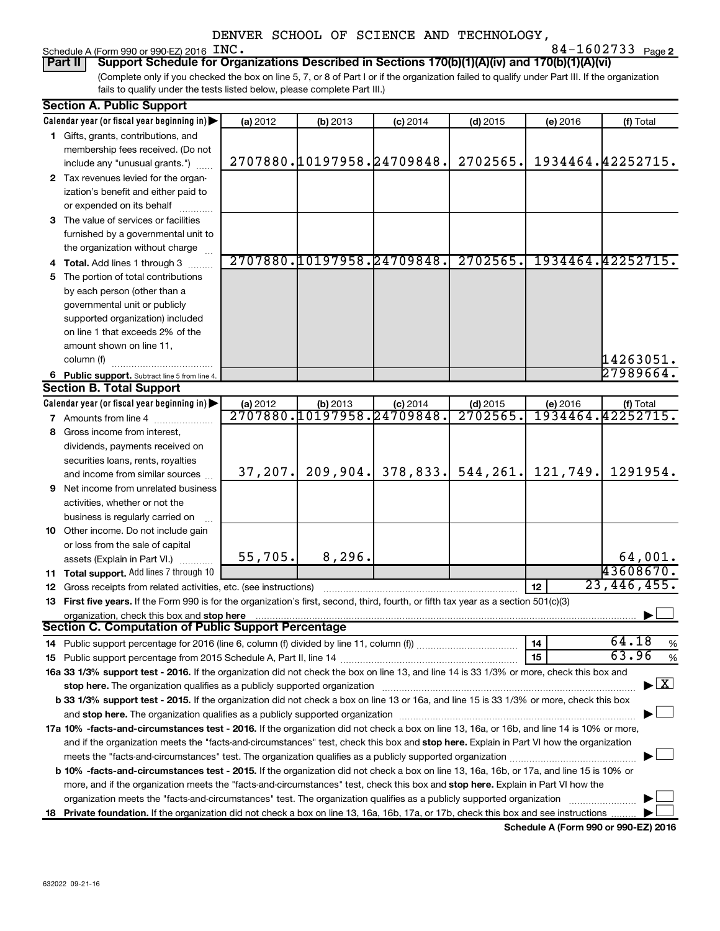# Schedule A (Form 990 or 990-EZ) 2016 INC.<br>**Part II** Support Schedule for Orga

**2** INC. 84-1602733

(Complete only if you checked the box on line 5, 7, or 8 of Part I or if the organization failed to qualify under Part III. If the organization fails to qualify under the tests listed below, please complete Part III.) **Part Schedule for Organizations Described in Sections 170(b)(1)(A)(iv) and 170(b)(1)(A)(vi)** 

| <b>Section A. Public Support</b>                                                                                                                                                                                               |          |                                               |                            |                       |            |                                    |
|--------------------------------------------------------------------------------------------------------------------------------------------------------------------------------------------------------------------------------|----------|-----------------------------------------------|----------------------------|-----------------------|------------|------------------------------------|
| Calendar year (or fiscal year beginning in)                                                                                                                                                                                    | (a) 2012 | (b) 2013                                      | $(c)$ 2014                 | $(d)$ 2015            | $(e)$ 2016 | (f) Total                          |
| 1 Gifts, grants, contributions, and                                                                                                                                                                                            |          |                                               |                            |                       |            |                                    |
| membership fees received. (Do not                                                                                                                                                                                              |          |                                               |                            |                       |            |                                    |
| include any "unusual grants.")                                                                                                                                                                                                 |          |                                               | 2707880.10197958.24709848. | 2702565.              |            | 1934464.42252715.                  |
| 2 Tax revenues levied for the organ-                                                                                                                                                                                           |          |                                               |                            |                       |            |                                    |
| ization's benefit and either paid to                                                                                                                                                                                           |          |                                               |                            |                       |            |                                    |
| or expended on its behalf                                                                                                                                                                                                      |          |                                               |                            |                       |            |                                    |
| 3 The value of services or facilities                                                                                                                                                                                          |          |                                               |                            |                       |            |                                    |
| furnished by a governmental unit to                                                                                                                                                                                            |          |                                               |                            |                       |            |                                    |
| the organization without charge                                                                                                                                                                                                |          |                                               |                            |                       |            |                                    |
| 4 Total. Add lines 1 through 3                                                                                                                                                                                                 |          |                                               | 2707880.10197958.24709848. | 2702565.              |            | 1934464.42252715.                  |
| 5 The portion of total contributions                                                                                                                                                                                           |          |                                               |                            |                       |            |                                    |
| by each person (other than a                                                                                                                                                                                                   |          |                                               |                            |                       |            |                                    |
| governmental unit or publicly                                                                                                                                                                                                  |          |                                               |                            |                       |            |                                    |
| supported organization) included                                                                                                                                                                                               |          |                                               |                            |                       |            |                                    |
| on line 1 that exceeds 2% of the                                                                                                                                                                                               |          |                                               |                            |                       |            |                                    |
| amount shown on line 11,                                                                                                                                                                                                       |          |                                               |                            |                       |            |                                    |
| column (f)                                                                                                                                                                                                                     |          |                                               |                            |                       |            | 14263051.                          |
|                                                                                                                                                                                                                                |          |                                               |                            |                       |            | 27989664.                          |
| 6 Public support. Subtract line 5 from line 4.<br><b>Section B. Total Support</b>                                                                                                                                              |          |                                               |                            |                       |            |                                    |
| Calendar year (or fiscal year beginning in)                                                                                                                                                                                    |          |                                               |                            |                       |            |                                    |
|                                                                                                                                                                                                                                | (a) 2012 | (b) 2013<br><u>2707880.10197958.24709848.</u> | $(c)$ 2014                 | $(d)$ 2015<br>2702565 | (e) 2016   | (f) Total<br>1934464.42252715.     |
| <b>7</b> Amounts from line 4                                                                                                                                                                                                   |          |                                               |                            |                       |            |                                    |
| 8 Gross income from interest,                                                                                                                                                                                                  |          |                                               |                            |                       |            |                                    |
| dividends, payments received on                                                                                                                                                                                                |          |                                               |                            |                       |            |                                    |
| securities loans, rents, royalties                                                                                                                                                                                             |          | 209,904.                                      | 378,833.                   |                       |            | 1291954.                           |
| and income from similar sources                                                                                                                                                                                                | 37, 207. |                                               |                            | 544, 261.             | 121,749.   |                                    |
| <b>9</b> Net income from unrelated business                                                                                                                                                                                    |          |                                               |                            |                       |            |                                    |
| activities, whether or not the                                                                                                                                                                                                 |          |                                               |                            |                       |            |                                    |
| business is regularly carried on                                                                                                                                                                                               |          |                                               |                            |                       |            |                                    |
| 10 Other income. Do not include gain                                                                                                                                                                                           |          |                                               |                            |                       |            |                                    |
| or loss from the sale of capital                                                                                                                                                                                               |          |                                               |                            |                       |            |                                    |
| assets (Explain in Part VI.)                                                                                                                                                                                                   | 55,705.  | 8, 296.                                       |                            |                       |            | 64,001.                            |
| 11 Total support. Add lines 7 through 10                                                                                                                                                                                       |          |                                               |                            |                       |            | 43608670.                          |
| <b>12</b> Gross receipts from related activities, etc. (see instructions)                                                                                                                                                      |          |                                               |                            |                       | 12         | 23,446,455.                        |
| 13 First five years. If the Form 990 is for the organization's first, second, third, fourth, or fifth tax year as a section 501(c)(3)                                                                                          |          |                                               |                            |                       |            |                                    |
| organization, check this box and stop here                                                                                                                                                                                     |          |                                               |                            |                       |            |                                    |
| <b>Section C. Computation of Public Support Percentage</b>                                                                                                                                                                     |          |                                               |                            |                       |            |                                    |
|                                                                                                                                                                                                                                |          |                                               |                            |                       | 14         | 64.18<br>%                         |
|                                                                                                                                                                                                                                |          |                                               |                            |                       | 15         | 63.96<br>%                         |
| 16a 33 1/3% support test - 2016. If the organization did not check the box on line 13, and line 14 is 33 1/3% or more, check this box and                                                                                      |          |                                               |                            |                       |            |                                    |
| stop here. The organization qualifies as a publicly supported organization manufactured content and the support of the state of the state of the state of the state of the state of the state of the state of the state of the |          |                                               |                            |                       |            | $\blacktriangleright$ $\mathbf{X}$ |
| b 33 1/3% support test - 2015. If the organization did not check a box on line 13 or 16a, and line 15 is 33 1/3% or more, check this box                                                                                       |          |                                               |                            |                       |            |                                    |
|                                                                                                                                                                                                                                |          |                                               |                            |                       |            |                                    |
| 17a 10% -facts-and-circumstances test - 2016. If the organization did not check a box on line 13, 16a, or 16b, and line 14 is 10% or more,                                                                                     |          |                                               |                            |                       |            |                                    |
| and if the organization meets the "facts-and-circumstances" test, check this box and stop here. Explain in Part VI how the organization                                                                                        |          |                                               |                            |                       |            |                                    |
|                                                                                                                                                                                                                                |          |                                               |                            |                       |            |                                    |
| b 10% -facts-and-circumstances test - 2015. If the organization did not check a box on line 13, 16a, 16b, or 17a, and line 15 is 10% or                                                                                        |          |                                               |                            |                       |            |                                    |
| more, and if the organization meets the "facts-and-circumstances" test, check this box and stop here. Explain in Part VI how the                                                                                               |          |                                               |                            |                       |            |                                    |
| organization meets the "facts-and-circumstances" test. The organization qualifies as a publicly supported organization                                                                                                         |          |                                               |                            |                       |            |                                    |
| 18 Private foundation. If the organization did not check a box on line 13, 16a, 16b, 17a, or 17b, check this box and see instructions                                                                                          |          |                                               |                            |                       |            |                                    |
|                                                                                                                                                                                                                                |          |                                               |                            |                       |            |                                    |

**Schedule A (Form 990 or 990-EZ) 2016**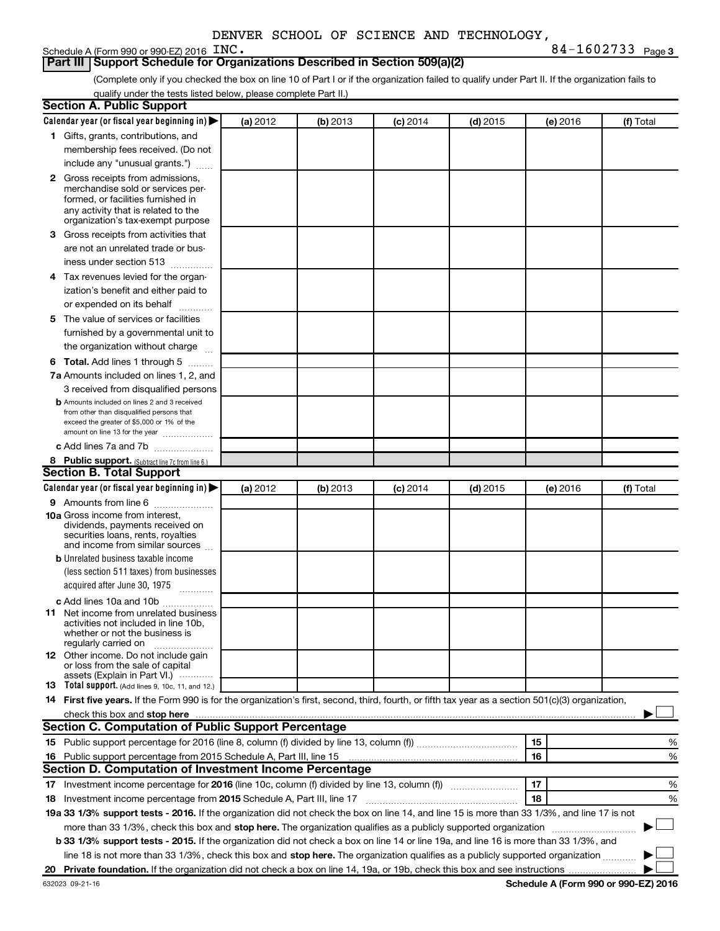## Schedule A (Form 990 or 990-EZ) 2016 INC.

**INC.** 84-1602733 Page 3

## **Part III Support Schedule for Organizations Described in Section 509(a)(2)**

(Complete only if you checked the box on line 10 of Part I or if the organization failed to qualify under Part II. If the organization fails to qualify under the tests listed below, please complete Part II.)

| <b>Section A. Public Support</b>                                                                                                                    |          |          |            |            |          |           |
|-----------------------------------------------------------------------------------------------------------------------------------------------------|----------|----------|------------|------------|----------|-----------|
| Calendar year (or fiscal year beginning in)                                                                                                         | (a) 2012 | (b) 2013 | $(c)$ 2014 | $(d)$ 2015 | (e) 2016 | (f) Total |
| 1 Gifts, grants, contributions, and                                                                                                                 |          |          |            |            |          |           |
| membership fees received. (Do not                                                                                                                   |          |          |            |            |          |           |
| include any "unusual grants.")                                                                                                                      |          |          |            |            |          |           |
| 2 Gross receipts from admissions,                                                                                                                   |          |          |            |            |          |           |
| merchandise sold or services per-                                                                                                                   |          |          |            |            |          |           |
| formed, or facilities furnished in                                                                                                                  |          |          |            |            |          |           |
| any activity that is related to the<br>organization's tax-exempt purpose                                                                            |          |          |            |            |          |           |
| 3 Gross receipts from activities that                                                                                                               |          |          |            |            |          |           |
| are not an unrelated trade or bus-                                                                                                                  |          |          |            |            |          |           |
| iness under section 513                                                                                                                             |          |          |            |            |          |           |
| 4 Tax revenues levied for the organ-                                                                                                                |          |          |            |            |          |           |
| ization's benefit and either paid to                                                                                                                |          |          |            |            |          |           |
| or expended on its behalf                                                                                                                           |          |          |            |            |          |           |
| 5 The value of services or facilities                                                                                                               |          |          |            |            |          |           |
| furnished by a governmental unit to                                                                                                                 |          |          |            |            |          |           |
| the organization without charge                                                                                                                     |          |          |            |            |          |           |
| <b>6 Total.</b> Add lines 1 through 5                                                                                                               |          |          |            |            |          |           |
| 7a Amounts included on lines 1, 2, and                                                                                                              |          |          |            |            |          |           |
| 3 received from disqualified persons                                                                                                                |          |          |            |            |          |           |
| <b>b</b> Amounts included on lines 2 and 3 received                                                                                                 |          |          |            |            |          |           |
| from other than disqualified persons that                                                                                                           |          |          |            |            |          |           |
| exceed the greater of \$5,000 or 1% of the<br>amount on line 13 for the year                                                                        |          |          |            |            |          |           |
| c Add lines 7a and 7b                                                                                                                               |          |          |            |            |          |           |
| 8 Public support. (Subtract line 7c from line 6.)                                                                                                   |          |          |            |            |          |           |
| <b>Section B. Total Support</b>                                                                                                                     |          |          |            |            |          |           |
| Calendar year (or fiscal year beginning in)                                                                                                         | (a) 2012 | (b) 2013 | $(c)$ 2014 | $(d)$ 2015 | (e) 2016 | (f) Total |
| <b>9</b> Amounts from line 6                                                                                                                        |          |          |            |            |          |           |
| <b>10a</b> Gross income from interest,                                                                                                              |          |          |            |            |          |           |
| dividends, payments received on                                                                                                                     |          |          |            |            |          |           |
| securities loans, rents, royalties<br>and income from similar sources                                                                               |          |          |            |            |          |           |
| <b>b</b> Unrelated business taxable income                                                                                                          |          |          |            |            |          |           |
| (less section 511 taxes) from businesses                                                                                                            |          |          |            |            |          |           |
| acquired after June 30, 1975                                                                                                                        |          |          |            |            |          |           |
| c Add lines 10a and 10b                                                                                                                             |          |          |            |            |          |           |
| <b>11</b> Net income from unrelated business                                                                                                        |          |          |            |            |          |           |
| activities not included in line 10b.                                                                                                                |          |          |            |            |          |           |
| whether or not the business is                                                                                                                      |          |          |            |            |          |           |
| regularly carried on<br><b>12</b> Other income. Do not include gain                                                                                 |          |          |            |            |          |           |
| or loss from the sale of capital                                                                                                                    |          |          |            |            |          |           |
| assets (Explain in Part VI.)<br><b>13</b> Total support. (Add lines 9, 10c, 11, and 12.)                                                            |          |          |            |            |          |           |
|                                                                                                                                                     |          |          |            |            |          |           |
| 14 First five years. If the Form 990 is for the organization's first, second, third, fourth, or fifth tax year as a section 501(c)(3) organization, |          |          |            |            |          |           |
| <b>Section C. Computation of Public Support Percentage</b>                                                                                          |          |          |            |            |          |           |
|                                                                                                                                                     |          |          |            |            |          |           |
|                                                                                                                                                     |          |          |            |            | 15       | ℅         |
| 16 Public support percentage from 2015 Schedule A, Part III, line 15<br>Section D. Computation of Investment Income Percentage                      |          |          |            |            | 16       | %         |
|                                                                                                                                                     |          |          |            |            |          |           |
| 17 Investment income percentage for 2016 (line 10c, column (f) divided by line 13, column (f))                                                      |          |          |            |            | 17       | %         |
| 18 Investment income percentage from 2015 Schedule A, Part III, line 17                                                                             |          |          |            |            | 18       | %         |
| 19a 33 1/3% support tests - 2016. If the organization did not check the box on line 14, and line 15 is more than 33 1/3%, and line 17 is not        |          |          |            |            |          |           |
| more than 33 1/3%, check this box and stop here. The organization qualifies as a publicly supported organization                                    |          |          |            |            |          |           |
| b 33 1/3% support tests - 2015. If the organization did not check a box on line 14 or line 19a, and line 16 is more than 33 1/3%, and               |          |          |            |            |          |           |
| line 18 is not more than 33 1/3%, check this box and stop here. The organization qualifies as a publicly supported organization                     |          |          |            |            |          |           |
|                                                                                                                                                     |          |          |            |            |          |           |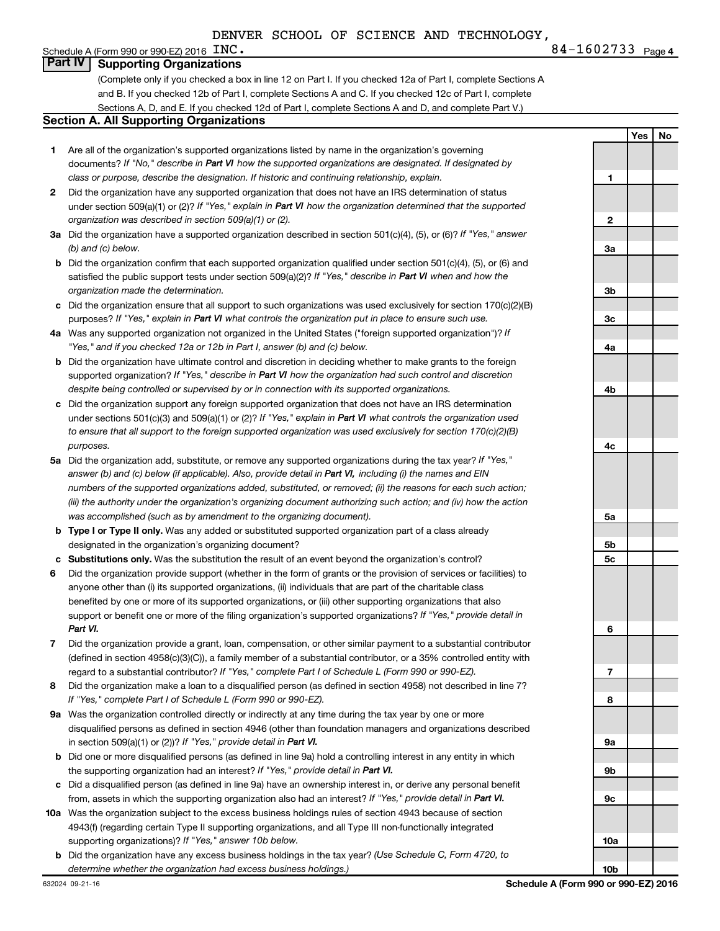**INC.** 84-1602733 Page 4

**1**

**Yes No**

### Schedule A (Form 990 or 990-EZ) 2016  $\overline{INC}$ . **Part IV Supporting Organizations**

(Complete only if you checked a box in line 12 on Part I. If you checked 12a of Part I, complete Sections A and B. If you checked 12b of Part I, complete Sections A and C. If you checked 12c of Part I, complete Sections A, D, and E. If you checked 12d of Part I, complete Sections A and D, and complete Part V.)

### **Section A. All Supporting Organizations**

- **1** Are all of the organization's supported organizations listed by name in the organization's governing documents? If "No," describe in Part VI how the supported organizations are designated. If designated by *class or purpose, describe the designation. If historic and continuing relationship, explain.*
- **2** Did the organization have any supported organization that does not have an IRS determination of status under section 509(a)(1) or (2)? If "Yes," explain in Part VI how the organization determined that the supported *organization was described in section 509(a)(1) or (2).*
- **3a** Did the organization have a supported organization described in section 501(c)(4), (5), or (6)? If "Yes," answer *(b) and (c) below.*
- **b** Did the organization confirm that each supported organization qualified under section 501(c)(4), (5), or (6) and satisfied the public support tests under section 509(a)(2)? If "Yes," describe in Part VI when and how the *organization made the determination.*
- **c** Did the organization ensure that all support to such organizations was used exclusively for section 170(c)(2)(B) purposes? If "Yes," explain in Part VI what controls the organization put in place to ensure such use.
- **4 a** *If* Was any supported organization not organized in the United States ("foreign supported organization")? *"Yes," and if you checked 12a or 12b in Part I, answer (b) and (c) below.*
- **b** Did the organization have ultimate control and discretion in deciding whether to make grants to the foreign supported organization? If "Yes," describe in Part VI how the organization had such control and discretion *despite being controlled or supervised by or in connection with its supported organizations.*
- **c** Did the organization support any foreign supported organization that does not have an IRS determination under sections 501(c)(3) and 509(a)(1) or (2)? If "Yes," explain in Part VI what controls the organization used *to ensure that all support to the foreign supported organization was used exclusively for section 170(c)(2)(B) purposes.*
- **5a** Did the organization add, substitute, or remove any supported organizations during the tax year? If "Yes," answer (b) and (c) below (if applicable). Also, provide detail in Part VI, including (i) the names and EIN *numbers of the supported organizations added, substituted, or removed; (ii) the reasons for each such action; (iii) the authority under the organization's organizing document authorizing such action; and (iv) how the action was accomplished (such as by amendment to the organizing document).*
- **b Type I or Type II only.** Was any added or substituted supported organization part of a class already designated in the organization's organizing document?
- **c Substitutions only.**  Was the substitution the result of an event beyond the organization's control?
- **6** Did the organization provide support (whether in the form of grants or the provision of services or facilities) to support or benefit one or more of the filing organization's supported organizations? If "Yes," provide detail in anyone other than (i) its supported organizations, (ii) individuals that are part of the charitable class benefited by one or more of its supported organizations, or (iii) other supporting organizations that also *Part VI.*
- **7** Did the organization provide a grant, loan, compensation, or other similar payment to a substantial contributor regard to a substantial contributor? If "Yes," complete Part I of Schedule L (Form 990 or 990-EZ). (defined in section 4958(c)(3)(C)), a family member of a substantial contributor, or a 35% controlled entity with
- **8** Did the organization make a loan to a disqualified person (as defined in section 4958) not described in line 7? *If "Yes," complete Part I of Schedule L (Form 990 or 990-EZ).*
- **9 a** Was the organization controlled directly or indirectly at any time during the tax year by one or more in section 509(a)(1) or (2))? If "Yes," provide detail in Part VI. disqualified persons as defined in section 4946 (other than foundation managers and organizations described
- **b** Did one or more disqualified persons (as defined in line 9a) hold a controlling interest in any entity in which the supporting organization had an interest? If "Yes," provide detail in Part VI.
- **c** Did a disqualified person (as defined in line 9a) have an ownership interest in, or derive any personal benefit from, assets in which the supporting organization also had an interest? If "Yes," provide detail in Part VI.
- **10 a** Was the organization subject to the excess business holdings rules of section 4943 because of section supporting organizations)? If "Yes," answer 10b below. 4943(f) (regarding certain Type II supporting organizations, and all Type III non-functionally integrated
- **b** Did the organization have any excess business holdings in the tax year? (Use Schedule C, Form 4720, to *determine whether the organization had excess business holdings.)*

**2 3a 3b 3c 4a 4b 4c 5a 5b 5c 6 7 8 9a 9b 9c 10a 10b**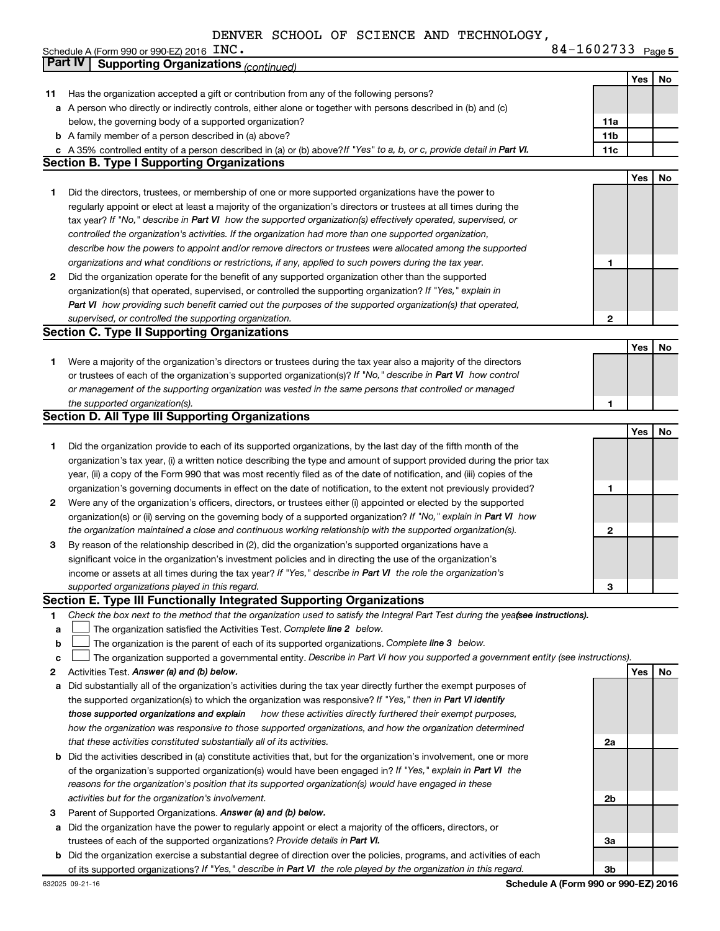**INC.** 84-1602733 Page 5 **Yes No 11** Has the organization accepted a gift or contribution from any of the following persons? **a** A person who directly or indirectly controls, either alone or together with persons described in (b) and (c) **b** A family member of a person described in (a) above? **c** A 35% controlled entity of a person described in (a) or (b) above?If "Yes" to a, b, or c, provide detail in Part VI. **11a 11b 11c Yes No 1** Did the directors, trustees, or membership of one or more supported organizations have the power to **2** Did the organization operate for the benefit of any supported organization other than the supported **1 2 Yes No 1** Were a majority of the organization's directors or trustees during the tax year also a majority of the directors **1 Yes No 1** Did the organization provide to each of its supported organizations, by the last day of the fifth month of the **2** Were any of the organization's officers, directors, or trustees either (i) appointed or elected by the supported **3** By reason of the relationship described in (2), did the organization's supported organizations have a **1 2 3 1 2** Activities Test.  *Answer (a) and (b) below.* **a b c** The organization is the parent of each of its supported organizations. Complete line 3 below. **Yes No a** Did substantially all of the organization's activities during the tax year directly further the exempt purposes of **b** Did the activities described in (a) constitute activities that, but for the organization's involvement, one or more **2a 2b** tax year? If "No," describe in **Part VI** how the supported organization(s) effectively operated, supervised, or *controlled the organization's activities. If the organization had more than one supported organization, describe how the powers to appoint and/or remove directors or trustees were allocated among the supported organizations and what conditions or restrictions, if any, applied to such powers during the tax year.* organization(s) that operated, supervised, or controlled the supporting organization? If "Yes," explain in  *how providing such benefit carried out the purposes of the supported organization(s) that operated, Part VI supervised, or controlled the supporting organization.* or trustees of each of the organization's supported organization(s)? If "No," describe in Part VI how control *or management of the supporting organization was vested in the same persons that controlled or managed the supported organization(s).* organization(s) or (ii) serving on the governing body of a supported organization? If "No," explain in Part VI how *the organization maintained a close and continuous working relationship with the supported organization(s).* income or assets at all times during the tax year? If "Yes," describe in Part VI the role the organization's *supported organizations played in this regard.* Check the box next to the method that the organization used to satisfy the Integral Part Test during the yea**fsee instructions).** *Complete line* 2 below. The organization supported a governmental entity. Describe in Part VI how you supported a government entity (see instructions). the supported organization(s) to which the organization was responsive? If "Yes," then in Part VI identify  *how these activities directly furthered their exempt purposes, how the organization was responsive to those supported organizations, and how the organization determined that these activities constituted substantially all of its activities.* of the organization's supported organization(s) would have been engaged in? If "Yes," explain in Part VI the *reasons for the organization's position that its supported organization(s) would have engaged in these activities but for the organization's involvement.* Schedule A (Form 990 or 990-EZ) 2016  $~\text{INC}$ . below, the governing body of a supported organization? regularly appoint or elect at least a majority of the organization's directors or trustees at all times during the organization's tax year, (i) a written notice describing the type and amount of support provided during the prior tax year, (ii) a copy of the Form 990 that was most recently filed as of the date of notification, and (iii) copies of the organization's governing documents in effect on the date of notification, to the extent not previously provided? significant voice in the organization's investment policies and in directing the use of the organization's *those supported organizations and explain* **Part IV Supporting Organizations** *(continued)* **Section B. Type I Supporting Organizations Section C. Type II Supporting Organizations Section D. All Type III Supporting Organizations Section E. Type III Functionally Integrated Supporting Organizations**  $\Box$  $\Box$ 

- **3** Parent of Supported Organizations. *Answer (a) and (b) below.*
- **a** Did the organization have the power to regularly appoint or elect a majority of the officers, directors, or *Provide details in* trustees of each of the supported organizations? *Part VI.*
- **b** Did the organization exercise a substantial degree of direction over the policies, programs, and activities of each of its supported organizations? If "Yes," describe in Part VI the role played by the organization in this regard.

**3a**

**3b**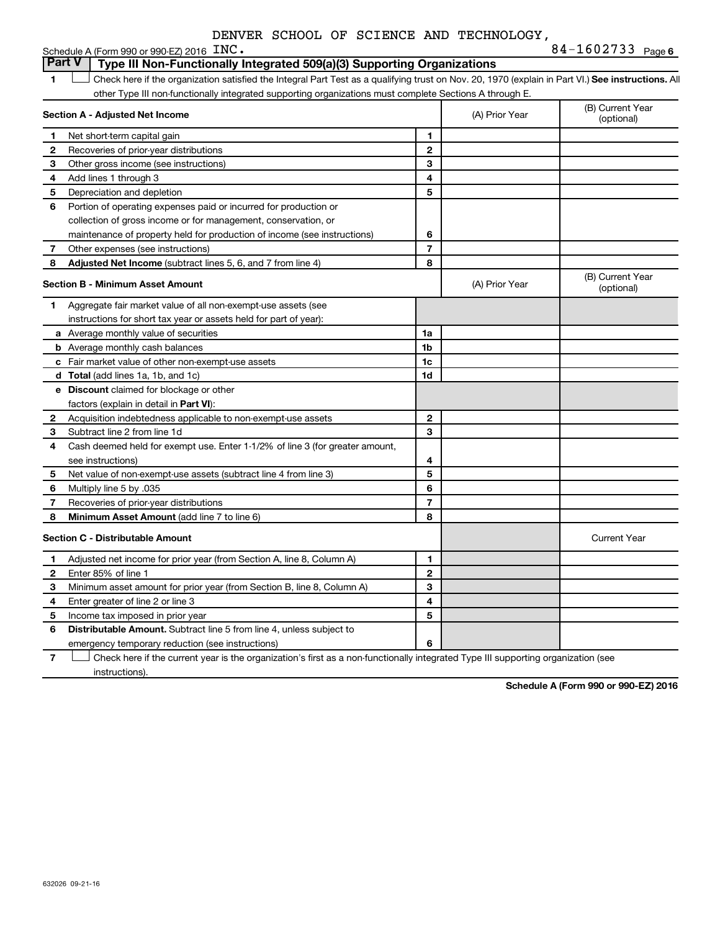| DENVER SCHOOL OF SCIENCE AND TECHNOLOGY, |  |  |  |  |  |  |
|------------------------------------------|--|--|--|--|--|--|
|------------------------------------------|--|--|--|--|--|--|

|   | Schedule A (Form 990 or 990-EZ) 2016 INC.                                                                                                          |                          |                | 84-1602733 Page 6              |
|---|----------------------------------------------------------------------------------------------------------------------------------------------------|--------------------------|----------------|--------------------------------|
|   | <b>Part V</b><br>Type III Non-Functionally Integrated 509(a)(3) Supporting Organizations                                                           |                          |                |                                |
| 1 | Check here if the organization satisfied the Integral Part Test as a qualifying trust on Nov. 20, 1970 (explain in Part VI.) See instructions. All |                          |                |                                |
|   | other Type III non-functionally integrated supporting organizations must complete Sections A through E.                                            |                          |                |                                |
|   | Section A - Adjusted Net Income                                                                                                                    |                          | (A) Prior Year | (B) Current Year<br>(optional) |
| 1 | Net short-term capital gain                                                                                                                        | 1                        |                |                                |
| 2 | Recoveries of prior-year distributions                                                                                                             | $\mathbf{2}$             |                |                                |
| З | Other gross income (see instructions)                                                                                                              | 3                        |                |                                |
| 4 | Add lines 1 through 3                                                                                                                              | 4                        |                |                                |
| 5 | Depreciation and depletion                                                                                                                         | 5                        |                |                                |
| 6 | Portion of operating expenses paid or incurred for production or                                                                                   |                          |                |                                |
|   | collection of gross income or for management, conservation, or                                                                                     |                          |                |                                |
|   | maintenance of property held for production of income (see instructions)                                                                           | 6                        |                |                                |
| 7 | Other expenses (see instructions)                                                                                                                  | $\overline{\phantom{a}}$ |                |                                |
| 8 | Adjusted Net Income (subtract lines 5, 6, and 7 from line 4)                                                                                       | 8                        |                |                                |
|   | Section B - Minimum Asset Amount                                                                                                                   |                          | (A) Prior Year | (B) Current Year<br>(optional) |
| 1 | Aggregate fair market value of all non-exempt-use assets (see                                                                                      |                          |                |                                |
|   | instructions for short tax year or assets held for part of year):                                                                                  |                          |                |                                |
|   | a Average monthly value of securities                                                                                                              | 1a                       |                |                                |
|   | <b>b</b> Average monthly cash balances                                                                                                             | 1 <sub>b</sub>           |                |                                |
|   | c Fair market value of other non-exempt-use assets                                                                                                 | 1c                       |                |                                |
|   | <b>d</b> Total (add lines 1a, 1b, and 1c)                                                                                                          | 1d                       |                |                                |
|   | e Discount claimed for blockage or other                                                                                                           |                          |                |                                |
|   | factors (explain in detail in Part VI):                                                                                                            |                          |                |                                |
| 2 | Acquisition indebtedness applicable to non-exempt-use assets                                                                                       | $\mathbf{2}$             |                |                                |
| 3 | Subtract line 2 from line 1d                                                                                                                       | 3                        |                |                                |
| 4 | Cash deemed held for exempt use. Enter 1-1/2% of line 3 (for greater amount,                                                                       |                          |                |                                |
|   | see instructions)                                                                                                                                  | 4                        |                |                                |
| 5 | Net value of non-exempt-use assets (subtract line 4 from line 3)                                                                                   | 5                        |                |                                |
| 6 | Multiply line 5 by .035                                                                                                                            | 6                        |                |                                |
| 7 | Recoveries of prior-year distributions                                                                                                             | $\overline{7}$           |                |                                |
| 8 | Minimum Asset Amount (add line 7 to line 6)                                                                                                        | 8                        |                |                                |
|   | <b>Section C - Distributable Amount</b>                                                                                                            |                          |                | <b>Current Year</b>            |
| 1 | Adjusted net income for prior year (from Section A, line 8, Column A)                                                                              | 1                        |                |                                |
| 2 | Enter 85% of line 1                                                                                                                                | $\mathbf{2}$             |                |                                |
| З | Minimum asset amount for prior year (from Section B, line 8, Column A)                                                                             | 3                        |                |                                |
| 4 | Enter greater of line 2 or line 3                                                                                                                  | 4                        |                |                                |
| 5 | Income tax imposed in prior year                                                                                                                   | 5                        |                |                                |
| 6 | <b>Distributable Amount.</b> Subtract line 5 from line 4, unless subject to                                                                        |                          |                |                                |
|   | emergency temporary reduction (see instructions)                                                                                                   | 6                        |                |                                |

**7** Let Check here if the current year is the organization's first as a non-functionally integrated Type III supporting organization (see instructions).

**Schedule A (Form 990 or 990-EZ) 2016**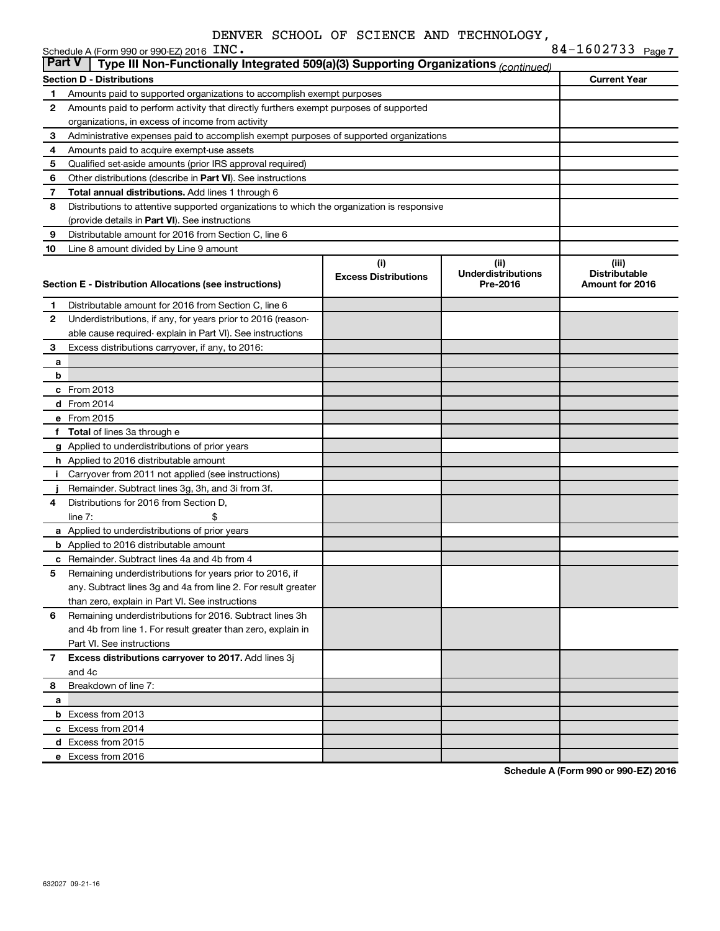|                                                           | Schedule A (Form 990 or 990-EZ) 2016 INC.                                                                        |                             |                           | 84-1602733 Page 7    |  |  |  |  |  |  |  |
|-----------------------------------------------------------|------------------------------------------------------------------------------------------------------------------|-----------------------------|---------------------------|----------------------|--|--|--|--|--|--|--|
| <b>Part V</b>                                             | Type III Non-Functionally Integrated 509(a)(3) Supporting Organizations (continued)                              |                             |                           |                      |  |  |  |  |  |  |  |
|                                                           | <b>Section D - Distributions</b>                                                                                 |                             |                           | <b>Current Year</b>  |  |  |  |  |  |  |  |
| 1                                                         | Amounts paid to supported organizations to accomplish exempt purposes                                            |                             |                           |                      |  |  |  |  |  |  |  |
| 2                                                         | Amounts paid to perform activity that directly furthers exempt purposes of supported                             |                             |                           |                      |  |  |  |  |  |  |  |
|                                                           | organizations, in excess of income from activity                                                                 |                             |                           |                      |  |  |  |  |  |  |  |
| 3                                                         | Administrative expenses paid to accomplish exempt purposes of supported organizations                            |                             |                           |                      |  |  |  |  |  |  |  |
| 4                                                         | Amounts paid to acquire exempt-use assets                                                                        |                             |                           |                      |  |  |  |  |  |  |  |
| 5                                                         | Qualified set-aside amounts (prior IRS approval required)                                                        |                             |                           |                      |  |  |  |  |  |  |  |
| 6                                                         | Other distributions (describe in Part VI). See instructions                                                      |                             |                           |                      |  |  |  |  |  |  |  |
| 7                                                         | Total annual distributions. Add lines 1 through 6                                                                |                             |                           |                      |  |  |  |  |  |  |  |
| 8                                                         | Distributions to attentive supported organizations to which the organization is responsive                       |                             |                           |                      |  |  |  |  |  |  |  |
|                                                           | (provide details in Part VI). See instructions                                                                   |                             |                           |                      |  |  |  |  |  |  |  |
| 9                                                         | Distributable amount for 2016 from Section C, line 6                                                             |                             |                           |                      |  |  |  |  |  |  |  |
| 10                                                        | Line 8 amount divided by Line 9 amount                                                                           |                             |                           |                      |  |  |  |  |  |  |  |
|                                                           |                                                                                                                  | (i)                         | (ii)                      | (iii)                |  |  |  |  |  |  |  |
|                                                           |                                                                                                                  | <b>Excess Distributions</b> | <b>Underdistributions</b> | <b>Distributable</b> |  |  |  |  |  |  |  |
|                                                           | Section E - Distribution Allocations (see instructions)                                                          |                             | Pre-2016                  | Amount for 2016      |  |  |  |  |  |  |  |
| 1                                                         | Distributable amount for 2016 from Section C, line 6                                                             |                             |                           |                      |  |  |  |  |  |  |  |
| 2                                                         | Underdistributions, if any, for years prior to 2016 (reason-                                                     |                             |                           |                      |  |  |  |  |  |  |  |
|                                                           | able cause required- explain in Part VI). See instructions                                                       |                             |                           |                      |  |  |  |  |  |  |  |
| 3                                                         | Excess distributions carryover, if any, to 2016:                                                                 |                             |                           |                      |  |  |  |  |  |  |  |
| a                                                         |                                                                                                                  |                             |                           |                      |  |  |  |  |  |  |  |
| b                                                         |                                                                                                                  |                             |                           |                      |  |  |  |  |  |  |  |
|                                                           | $c$ From 2013                                                                                                    |                             |                           |                      |  |  |  |  |  |  |  |
|                                                           | <b>d</b> From 2014                                                                                               |                             |                           |                      |  |  |  |  |  |  |  |
|                                                           | e From 2015                                                                                                      |                             |                           |                      |  |  |  |  |  |  |  |
|                                                           | f Total of lines 3a through e                                                                                    |                             |                           |                      |  |  |  |  |  |  |  |
|                                                           | g Applied to underdistributions of prior years                                                                   |                             |                           |                      |  |  |  |  |  |  |  |
|                                                           | <b>h</b> Applied to 2016 distributable amount                                                                    |                             |                           |                      |  |  |  |  |  |  |  |
| Ť.                                                        | Carryover from 2011 not applied (see instructions)                                                               |                             |                           |                      |  |  |  |  |  |  |  |
|                                                           | Remainder. Subtract lines 3g, 3h, and 3i from 3f.                                                                |                             |                           |                      |  |  |  |  |  |  |  |
| 4                                                         | Distributions for 2016 from Section D,                                                                           |                             |                           |                      |  |  |  |  |  |  |  |
|                                                           | line $7:$                                                                                                        |                             |                           |                      |  |  |  |  |  |  |  |
|                                                           |                                                                                                                  |                             |                           |                      |  |  |  |  |  |  |  |
|                                                           | a Applied to underdistributions of prior years                                                                   |                             |                           |                      |  |  |  |  |  |  |  |
|                                                           | <b>b</b> Applied to 2016 distributable amount<br>c Remainder. Subtract lines 4a and 4b from 4                    |                             |                           |                      |  |  |  |  |  |  |  |
|                                                           | 5 Remaining underdistributions for years prior to 2016, if                                                       |                             |                           |                      |  |  |  |  |  |  |  |
|                                                           |                                                                                                                  |                             |                           |                      |  |  |  |  |  |  |  |
|                                                           | any. Subtract lines 3g and 4a from line 2. For result greater<br>than zero, explain in Part VI. See instructions |                             |                           |                      |  |  |  |  |  |  |  |
|                                                           |                                                                                                                  |                             |                           |                      |  |  |  |  |  |  |  |
| 6                                                         | Remaining underdistributions for 2016. Subtract lines 3h                                                         |                             |                           |                      |  |  |  |  |  |  |  |
|                                                           | and 4b from line 1. For result greater than zero, explain in                                                     |                             |                           |                      |  |  |  |  |  |  |  |
|                                                           | Part VI. See instructions                                                                                        |                             |                           |                      |  |  |  |  |  |  |  |
| Excess distributions carryover to 2017. Add lines 3j<br>7 |                                                                                                                  |                             |                           |                      |  |  |  |  |  |  |  |
|                                                           | and 4c                                                                                                           |                             |                           |                      |  |  |  |  |  |  |  |
| 8                                                         | Breakdown of line 7:                                                                                             |                             |                           |                      |  |  |  |  |  |  |  |
| а                                                         |                                                                                                                  |                             |                           |                      |  |  |  |  |  |  |  |
|                                                           | <b>b</b> Excess from 2013                                                                                        |                             |                           |                      |  |  |  |  |  |  |  |
|                                                           | c Excess from 2014                                                                                               |                             |                           |                      |  |  |  |  |  |  |  |
|                                                           | d Excess from 2015                                                                                               |                             |                           |                      |  |  |  |  |  |  |  |
|                                                           | e Excess from 2016                                                                                               |                             |                           |                      |  |  |  |  |  |  |  |

**Schedule A (Form 990 or 990-EZ) 2016**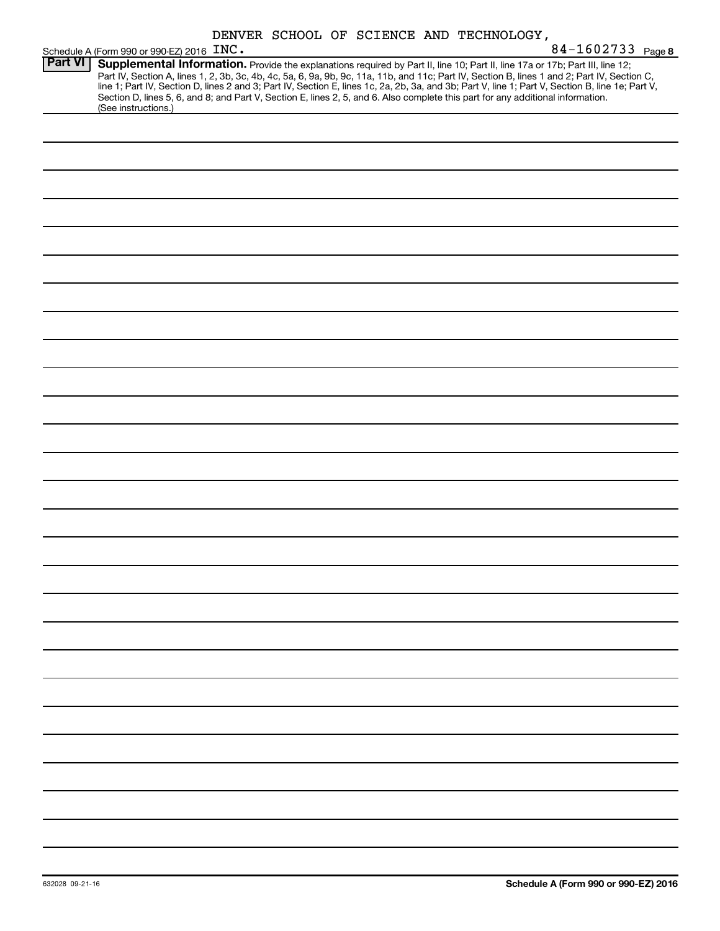|                |                                           |  |  | DENVER SCHOOL OF SCIENCE AND TECHNOLOGY,                                                                                                                                                                                                                                                                                                                                                                                                                                                                                                                             |
|----------------|-------------------------------------------|--|--|----------------------------------------------------------------------------------------------------------------------------------------------------------------------------------------------------------------------------------------------------------------------------------------------------------------------------------------------------------------------------------------------------------------------------------------------------------------------------------------------------------------------------------------------------------------------|
|                | Schedule A (Form 990 or 990-EZ) 2016 INC. |  |  | 84-1602733 Page 8                                                                                                                                                                                                                                                                                                                                                                                                                                                                                                                                                    |
| <b>Part VI</b> | (See instructions.)                       |  |  | Supplemental Information. Provide the explanations required by Part II, line 10; Part II, line 17a or 17b; Part III, line 12;<br>Part IV, Section A, lines 1, 2, 3b, 3c, 4b, 4c, 5a, 6, 9a, 9b, 9c, 11a, 11b, and 11c; Part IV, Section B, lines 1 and 2; Part IV, Section C,<br>line 1; Part IV, Section D, lines 2 and 3; Part IV, Section E, lines 1c, 2a, 2b, 3a, and 3b; Part V, line 1; Part V, Section B, line 1e; Part V,<br>Section D, lines 5, 6, and 8; and Part V, Section E, lines 2, 5, and 6. Also complete this part for any additional information. |
|                |                                           |  |  |                                                                                                                                                                                                                                                                                                                                                                                                                                                                                                                                                                      |
|                |                                           |  |  |                                                                                                                                                                                                                                                                                                                                                                                                                                                                                                                                                                      |
|                |                                           |  |  |                                                                                                                                                                                                                                                                                                                                                                                                                                                                                                                                                                      |
|                |                                           |  |  |                                                                                                                                                                                                                                                                                                                                                                                                                                                                                                                                                                      |
|                |                                           |  |  |                                                                                                                                                                                                                                                                                                                                                                                                                                                                                                                                                                      |
|                |                                           |  |  |                                                                                                                                                                                                                                                                                                                                                                                                                                                                                                                                                                      |
|                |                                           |  |  |                                                                                                                                                                                                                                                                                                                                                                                                                                                                                                                                                                      |
|                |                                           |  |  |                                                                                                                                                                                                                                                                                                                                                                                                                                                                                                                                                                      |
|                |                                           |  |  |                                                                                                                                                                                                                                                                                                                                                                                                                                                                                                                                                                      |
|                |                                           |  |  |                                                                                                                                                                                                                                                                                                                                                                                                                                                                                                                                                                      |
|                |                                           |  |  |                                                                                                                                                                                                                                                                                                                                                                                                                                                                                                                                                                      |
|                |                                           |  |  |                                                                                                                                                                                                                                                                                                                                                                                                                                                                                                                                                                      |
|                |                                           |  |  |                                                                                                                                                                                                                                                                                                                                                                                                                                                                                                                                                                      |
|                |                                           |  |  |                                                                                                                                                                                                                                                                                                                                                                                                                                                                                                                                                                      |
|                |                                           |  |  |                                                                                                                                                                                                                                                                                                                                                                                                                                                                                                                                                                      |
|                |                                           |  |  |                                                                                                                                                                                                                                                                                                                                                                                                                                                                                                                                                                      |
|                |                                           |  |  |                                                                                                                                                                                                                                                                                                                                                                                                                                                                                                                                                                      |
|                |                                           |  |  |                                                                                                                                                                                                                                                                                                                                                                                                                                                                                                                                                                      |
|                |                                           |  |  |                                                                                                                                                                                                                                                                                                                                                                                                                                                                                                                                                                      |
|                |                                           |  |  |                                                                                                                                                                                                                                                                                                                                                                                                                                                                                                                                                                      |
|                |                                           |  |  |                                                                                                                                                                                                                                                                                                                                                                                                                                                                                                                                                                      |
|                |                                           |  |  |                                                                                                                                                                                                                                                                                                                                                                                                                                                                                                                                                                      |
|                |                                           |  |  |                                                                                                                                                                                                                                                                                                                                                                                                                                                                                                                                                                      |
|                |                                           |  |  |                                                                                                                                                                                                                                                                                                                                                                                                                                                                                                                                                                      |
|                |                                           |  |  |                                                                                                                                                                                                                                                                                                                                                                                                                                                                                                                                                                      |
|                |                                           |  |  |                                                                                                                                                                                                                                                                                                                                                                                                                                                                                                                                                                      |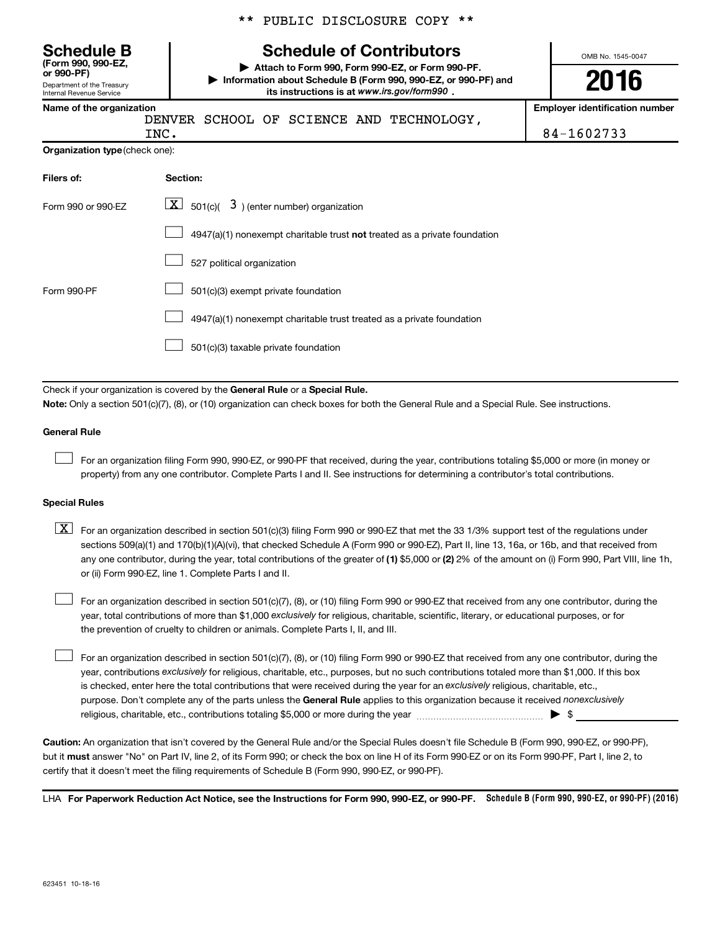|  |  | ** PUBLIC DISCLOSURE COPY ** |  |  |
|--|--|------------------------------|--|--|
|--|--|------------------------------|--|--|

# **Schedule B Schedule of Contributors**

**or 990-PF) | Attach to Form 990, Form 990-EZ, or Form 990-PF. | Information about Schedule B (Form 990, 990-EZ, or 990-PF) and** its instructions is at www.irs.gov/form990.

**Name of the organization Employer identification number**

Department of the Treasury Internal Revenue Service

**(Form 990, 990-EZ,**

|  |  |  | DENVER SCHOOL OF SCIENCE AND TECHNOLOGY, |
|--|--|--|------------------------------------------|
|  |  |  |                                          |

OMB No. 1545-0047

**2016**

|                                       | INC.     | 84-1602733 |
|---------------------------------------|----------|------------|
| <b>Organization type (check one):</b> |          |            |
| Filers of:                            | Section: |            |

| Form 990 or 990-EZ | $\mathbf{X}$<br>$\vert$ 501(c)( $\vert$ 3) (enter number) organization      |
|--------------------|-----------------------------------------------------------------------------|
|                    | $4947(a)(1)$ nonexempt charitable trust not treated as a private foundation |
|                    | 527 political organization                                                  |
| Form 990-PF        | 501(c)(3) exempt private foundation                                         |
|                    | 4947(a)(1) nonexempt charitable trust treated as a private foundation       |
|                    | 501(c)(3) taxable private foundation                                        |

Check if your organization is covered by the General Rule or a Special Rule.

**Note:**  Only a section 501(c)(7), (8), or (10) organization can check boxes for both the General Rule and a Special Rule. See instructions.

#### **General Rule**

 $\Box$ 

For an organization filing Form 990, 990-EZ, or 990-PF that received, during the year, contributions totaling \$5,000 or more (in money or property) from any one contributor. Complete Parts I and II. See instructions for determining a contributor's total contributions.

#### **Special Rules**

any one contributor, during the year, total contributions of the greater of **(1)** \$5,000 or **(2)** 2% of the amount on (i) Form 990, Part VIII, line 1h,  $\boxed{\text{X}}$  For an organization described in section 501(c)(3) filing Form 990 or 990-EZ that met the 33 1/3% support test of the regulations under sections 509(a)(1) and 170(b)(1)(A)(vi), that checked Schedule A (Form 990 or 990-EZ), Part II, line 13, 16a, or 16b, and that received from or (ii) Form 990-EZ, line 1. Complete Parts I and II.

year, total contributions of more than \$1,000 *exclusively* for religious, charitable, scientific, literary, or educational purposes, or for For an organization described in section 501(c)(7), (8), or (10) filing Form 990 or 990-EZ that received from any one contributor, during the the prevention of cruelty to children or animals. Complete Parts I, II, and III.  $\Box$ 

purpose. Don't complete any of the parts unless the General Rule applies to this organization because it received nonexclusively year, contributions exclusively for religious, charitable, etc., purposes, but no such contributions totaled more than \$1,000. If this box is checked, enter here the total contributions that were received during the year for an exclusively religious, charitable, etc., For an organization described in section 501(c)(7), (8), or (10) filing Form 990 or 990-EZ that received from any one contributor, during the religious, charitable, etc., contributions totaling \$5,000 or more during the year  $\ldots$  $\ldots$  $\ldots$  $\ldots$  $\ldots$  $\ldots$  $\Box$ 

**Caution:**  An organization that isn't covered by the General Rule and/or the Special Rules doesn't file Schedule B (Form 990, 990-EZ, or 990-PF),  **must** but it answer "No" on Part IV, line 2, of its Form 990; or check the box on line H of its Form 990-EZ or on its Form 990-PF, Part I, line 2, to certify that it doesn't meet the filing requirements of Schedule B (Form 990, 990-EZ, or 990-PF).

LHA For Paperwork Reduction Act Notice, see the Instructions for Form 990, 990-EZ, or 990-PF. Schedule B (Form 990, 990-EZ, or 990-PF) (2016)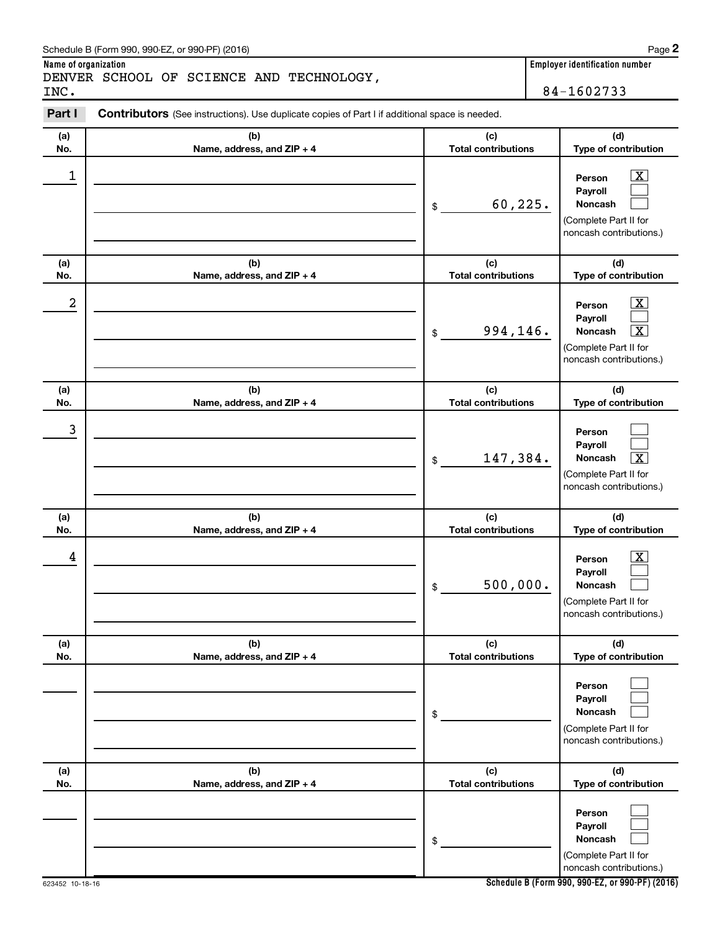| INC.             | DENVER SCHOOL OF SCIENCE AND TECHNOLOGY,                                                       |                                   | 84-1602733                                                                                                                  |
|------------------|------------------------------------------------------------------------------------------------|-----------------------------------|-----------------------------------------------------------------------------------------------------------------------------|
| Part I           | Contributors (See instructions). Use duplicate copies of Part I if additional space is needed. |                                   |                                                                                                                             |
| (a)<br>No.       | (b)<br>Name, address, and ZIP + 4                                                              | (c)<br><b>Total contributions</b> | (d)<br>Type of contribution                                                                                                 |
| 1                |                                                                                                | 60,225.<br>\$                     | $\overline{\mathbf{X}}$<br>Person<br>Payroll<br><b>Noncash</b><br>(Complete Part II for<br>noncash contributions.)          |
| (a)<br>No.       | (b)<br>Name, address, and ZIP + 4                                                              | (c)<br><b>Total contributions</b> | (d)<br>Type of contribution                                                                                                 |
| $\boldsymbol{2}$ |                                                                                                | 994,146.<br>\$                    | $\mathbf{X}$<br>Person<br>Payroll<br>$\overline{\mathbf{X}}$<br>Noncash<br>(Complete Part II for<br>noncash contributions.) |
| (a)<br>No.       | (b)<br>Name, address, and ZIP + 4                                                              | (c)<br><b>Total contributions</b> | (d)<br>Type of contribution                                                                                                 |
| 3                |                                                                                                | 147,384.<br>\$                    | Person<br>Payroll<br>$\overline{\mathbf{X}}$<br>Noncash<br>(Complete Part II for<br>noncash contributions.)                 |
| (a)<br>No.       | (b)<br>Name, address, and ZIP + 4                                                              | (c)<br><b>Total contributions</b> | (d)<br>Type of contribution                                                                                                 |
| 4                |                                                                                                | 500,000.<br>\$                    | $\overline{\mathbf{X}}$<br>Person<br>Payroll<br>Noncash<br>(Complete Part II for<br>noncash contributions.)                 |
| (a)<br>No.       | (b)<br>Name, address, and ZIP + 4                                                              | (c)<br><b>Total contributions</b> | (d)<br>Type of contribution                                                                                                 |
|                  |                                                                                                | \$                                | Person<br>Payroll<br>Noncash<br>(Complete Part II for<br>noncash contributions.)                                            |
| (a)<br>No.       | (b)<br>Name, address, and ZIP + 4                                                              | (c)<br><b>Total contributions</b> | (d)<br>Type of contribution                                                                                                 |
|                  |                                                                                                | \$                                | Person<br>Payroll<br>Noncash<br>(Complete Part II for<br>noncash contributions.)                                            |

**Name of organization**<br> **NAME OF OCH DISTRIBUTE AND PEQUALE COVERTS** 

**2**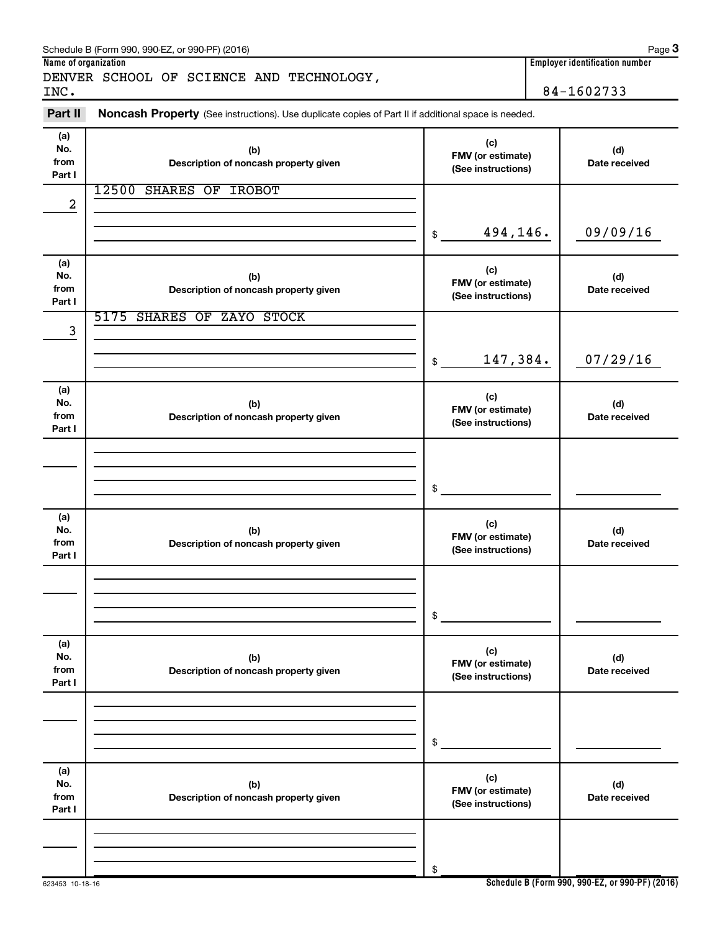|                              | Schedule B (Form 990, 990-EZ, or 990-PF) (2016)                                                     |                                                | Page 3                                |
|------------------------------|-----------------------------------------------------------------------------------------------------|------------------------------------------------|---------------------------------------|
| Name of organization         |                                                                                                     |                                                | <b>Employer identification number</b> |
| INC.                         | DENVER SCHOOL OF SCIENCE AND TECHNOLOGY,                                                            |                                                | 84-1602733                            |
| Part II                      | Noncash Property (See instructions). Use duplicate copies of Part II if additional space is needed. |                                                |                                       |
| (a)<br>No.<br>from<br>Part I | (b)<br>Description of noncash property given                                                        | (c)<br>FMV (or estimate)<br>(See instructions) | (d)<br>Date received                  |
| 2                            | 12500<br><b>SHARES OF IROBOT</b>                                                                    |                                                |                                       |
|                              |                                                                                                     | 494,146.<br>\$                                 | 09/09/16                              |
| (a)<br>No.<br>from<br>Part I | (b)<br>Description of noncash property given                                                        | (c)<br>FMV (or estimate)<br>(See instructions) | (d)<br>Date received                  |
| 3                            | 5175 SHARES OF ZAYO STOCK                                                                           |                                                |                                       |
|                              |                                                                                                     | 147,384.<br>\$                                 | 07/29/16                              |
| (a)<br>No.<br>from<br>Part I | (b)<br>Description of noncash property given                                                        | (c)<br>FMV (or estimate)<br>(See instructions) | (d)<br>Date received                  |
|                              |                                                                                                     | \$                                             |                                       |
| (a)<br>No.<br>from<br>Part I | (b)<br>Description of noncash property given                                                        | (c)<br>FMV (or estimate)<br>(See instructions) | (d)<br>Date received                  |
|                              |                                                                                                     | \$                                             |                                       |
| (a)<br>No.<br>from<br>Part I | (b)<br>Description of noncash property given                                                        | (c)<br>FMV (or estimate)<br>(See instructions) | (d)<br>Date received                  |
|                              |                                                                                                     | \$                                             |                                       |
| (a)<br>No.<br>from<br>Part I | (b)<br>Description of noncash property given                                                        | (c)<br>FMV (or estimate)<br>(See instructions) | (d)<br>Date received                  |
|                              |                                                                                                     | \$                                             |                                       |

**Schedule B (Form 990, 990-EZ, or 990-PF) (2016)**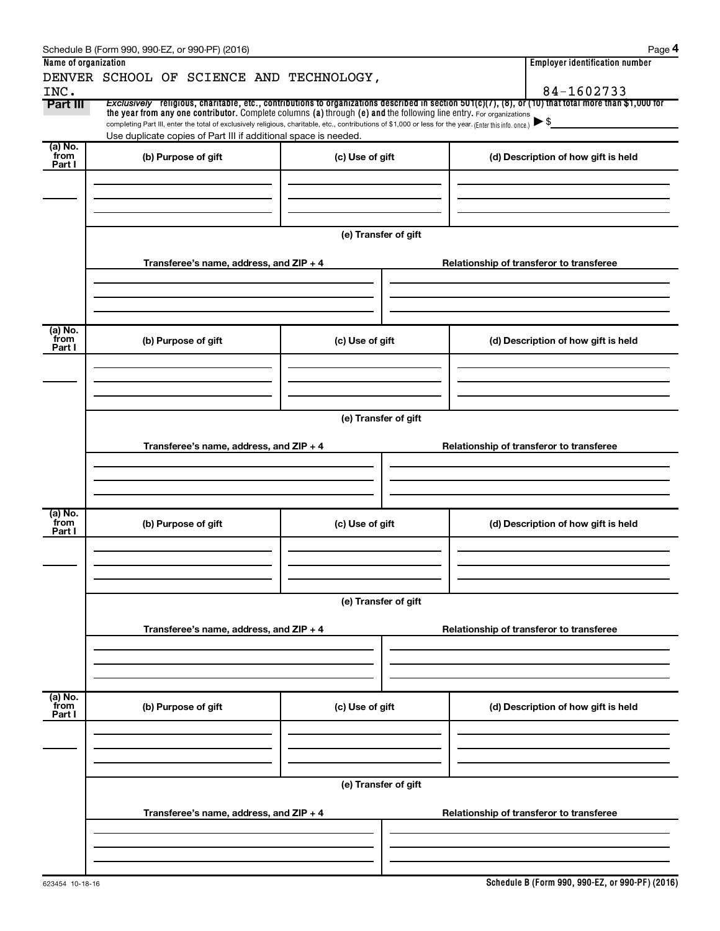|                           | Schedule B (Form 990, 990-EZ, or 990-PF) (2016)                                                                                                                                                                                                                                                                                                                                                                                             |                      |  |  | Page 4                                   |  |  |
|---------------------------|---------------------------------------------------------------------------------------------------------------------------------------------------------------------------------------------------------------------------------------------------------------------------------------------------------------------------------------------------------------------------------------------------------------------------------------------|----------------------|--|--|------------------------------------------|--|--|
| Name of organization      |                                                                                                                                                                                                                                                                                                                                                                                                                                             |                      |  |  | <b>Employer identification number</b>    |  |  |
| INC.                      | DENVER SCHOOL OF SCIENCE AND TECHNOLOGY,                                                                                                                                                                                                                                                                                                                                                                                                    |                      |  |  | 84-1602733                               |  |  |
| Part III                  | Exclusively religious, charitable, etc., contributions to organizations described in section $501(c)(7)$ , (8), or (10) that total more than \$1,000 for<br>the year from any one contributor. Complete columns (a) through (e) and the following line entry. For organizations<br>completing Part III, enter the total of exclusively religious, charitable, etc., contributions of \$1,000 or less for the year. (Enter this info. once.) |                      |  |  | $\blacktriangleright$ \$                 |  |  |
|                           | Use duplicate copies of Part III if additional space is needed.                                                                                                                                                                                                                                                                                                                                                                             |                      |  |  |                                          |  |  |
| (a) No.<br>from           | (b) Purpose of gift                                                                                                                                                                                                                                                                                                                                                                                                                         | (c) Use of gift      |  |  | (d) Description of how gift is held      |  |  |
| Part I                    |                                                                                                                                                                                                                                                                                                                                                                                                                                             |                      |  |  |                                          |  |  |
|                           |                                                                                                                                                                                                                                                                                                                                                                                                                                             |                      |  |  |                                          |  |  |
|                           |                                                                                                                                                                                                                                                                                                                                                                                                                                             |                      |  |  |                                          |  |  |
|                           |                                                                                                                                                                                                                                                                                                                                                                                                                                             |                      |  |  |                                          |  |  |
|                           |                                                                                                                                                                                                                                                                                                                                                                                                                                             | (e) Transfer of gift |  |  |                                          |  |  |
|                           | Transferee's name, address, and ZIP + 4                                                                                                                                                                                                                                                                                                                                                                                                     |                      |  |  | Relationship of transferor to transferee |  |  |
|                           |                                                                                                                                                                                                                                                                                                                                                                                                                                             |                      |  |  |                                          |  |  |
|                           |                                                                                                                                                                                                                                                                                                                                                                                                                                             |                      |  |  |                                          |  |  |
| (a) No.                   |                                                                                                                                                                                                                                                                                                                                                                                                                                             |                      |  |  |                                          |  |  |
| from<br>Part I            | (b) Purpose of gift                                                                                                                                                                                                                                                                                                                                                                                                                         | (c) Use of gift      |  |  | (d) Description of how gift is held      |  |  |
|                           |                                                                                                                                                                                                                                                                                                                                                                                                                                             |                      |  |  |                                          |  |  |
|                           |                                                                                                                                                                                                                                                                                                                                                                                                                                             |                      |  |  |                                          |  |  |
|                           |                                                                                                                                                                                                                                                                                                                                                                                                                                             |                      |  |  |                                          |  |  |
|                           | (e) Transfer of gift                                                                                                                                                                                                                                                                                                                                                                                                                        |                      |  |  |                                          |  |  |
|                           |                                                                                                                                                                                                                                                                                                                                                                                                                                             |                      |  |  |                                          |  |  |
|                           | Transferee's name, address, and ZIP + 4                                                                                                                                                                                                                                                                                                                                                                                                     |                      |  |  | Relationship of transferor to transferee |  |  |
|                           |                                                                                                                                                                                                                                                                                                                                                                                                                                             |                      |  |  |                                          |  |  |
|                           |                                                                                                                                                                                                                                                                                                                                                                                                                                             |                      |  |  |                                          |  |  |
| (a) No.                   |                                                                                                                                                                                                                                                                                                                                                                                                                                             |                      |  |  |                                          |  |  |
| from<br>Part I            | (b) Purpose of gift                                                                                                                                                                                                                                                                                                                                                                                                                         | (c) Use of gift      |  |  | (d) Description of how gift is held      |  |  |
|                           |                                                                                                                                                                                                                                                                                                                                                                                                                                             |                      |  |  |                                          |  |  |
|                           |                                                                                                                                                                                                                                                                                                                                                                                                                                             |                      |  |  |                                          |  |  |
|                           |                                                                                                                                                                                                                                                                                                                                                                                                                                             |                      |  |  |                                          |  |  |
|                           |                                                                                                                                                                                                                                                                                                                                                                                                                                             | (e) Transfer of gift |  |  |                                          |  |  |
|                           |                                                                                                                                                                                                                                                                                                                                                                                                                                             |                      |  |  |                                          |  |  |
|                           | Transferee's name, address, and ZIP + 4                                                                                                                                                                                                                                                                                                                                                                                                     |                      |  |  | Relationship of transferor to transferee |  |  |
|                           |                                                                                                                                                                                                                                                                                                                                                                                                                                             |                      |  |  |                                          |  |  |
|                           |                                                                                                                                                                                                                                                                                                                                                                                                                                             |                      |  |  |                                          |  |  |
|                           |                                                                                                                                                                                                                                                                                                                                                                                                                                             |                      |  |  |                                          |  |  |
| (a) No.<br>from<br>Part I | (b) Purpose of gift                                                                                                                                                                                                                                                                                                                                                                                                                         | (c) Use of gift      |  |  | (d) Description of how gift is held      |  |  |
|                           |                                                                                                                                                                                                                                                                                                                                                                                                                                             |                      |  |  |                                          |  |  |
|                           |                                                                                                                                                                                                                                                                                                                                                                                                                                             |                      |  |  |                                          |  |  |
|                           |                                                                                                                                                                                                                                                                                                                                                                                                                                             |                      |  |  |                                          |  |  |
|                           |                                                                                                                                                                                                                                                                                                                                                                                                                                             | (e) Transfer of gift |  |  |                                          |  |  |
|                           |                                                                                                                                                                                                                                                                                                                                                                                                                                             |                      |  |  |                                          |  |  |
|                           | Transferee's name, address, and ZIP + 4                                                                                                                                                                                                                                                                                                                                                                                                     |                      |  |  | Relationship of transferor to transferee |  |  |
|                           |                                                                                                                                                                                                                                                                                                                                                                                                                                             |                      |  |  |                                          |  |  |
|                           |                                                                                                                                                                                                                                                                                                                                                                                                                                             |                      |  |  |                                          |  |  |
|                           |                                                                                                                                                                                                                                                                                                                                                                                                                                             |                      |  |  |                                          |  |  |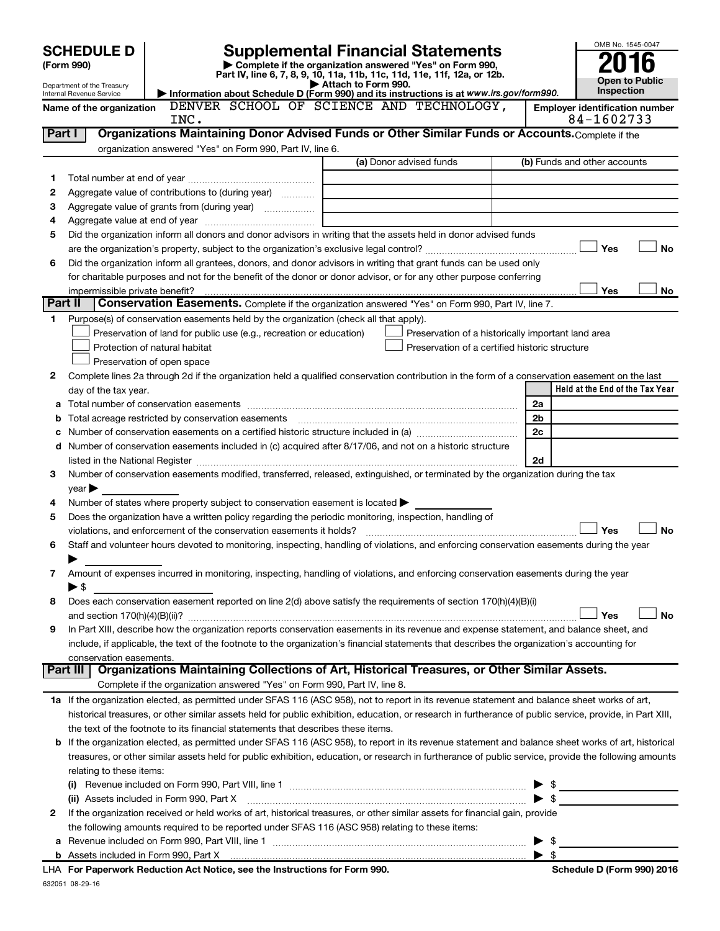|         | <b>Supplemental Financial Statements</b><br><b>SCHEDULE D</b> |                                                                                                                                                                                                                               |                     |                                                    | OMB No. 1545-0047        |                                       |                       |
|---------|---------------------------------------------------------------|-------------------------------------------------------------------------------------------------------------------------------------------------------------------------------------------------------------------------------|---------------------|----------------------------------------------------|--------------------------|---------------------------------------|-----------------------|
|         | (Form 990)                                                    | Complete if the organization answered "Yes" on Form 990,                                                                                                                                                                      |                     |                                                    |                          |                                       |                       |
|         |                                                               | Part IV, line 6, 7, 8, 9, 10, 11a, 11b, 11c, 11d, 11e, 11f, 12a, or 12b.                                                                                                                                                      | Attach to Form 990. |                                                    |                          |                                       | <b>Open to Public</b> |
|         | Department of the Treasury<br>Internal Revenue Service        | Information about Schedule D (Form 990) and its instructions is at www.irs.gov/form990.                                                                                                                                       |                     |                                                    |                          |                                       | Inspection            |
|         | Name of the organization                                      | DENVER SCHOOL OF SCIENCE AND TECHNOLOGY,                                                                                                                                                                                      |                     |                                                    |                          | <b>Employer identification number</b> |                       |
|         |                                                               | INC.                                                                                                                                                                                                                          |                     |                                                    |                          | 84-1602733                            |                       |
| Part I  |                                                               | Organizations Maintaining Donor Advised Funds or Other Similar Funds or Accounts. Complete if the                                                                                                                             |                     |                                                    |                          |                                       |                       |
|         |                                                               | organization answered "Yes" on Form 990, Part IV, line 6.                                                                                                                                                                     |                     |                                                    |                          |                                       |                       |
|         |                                                               |                                                                                                                                                                                                                               |                     | (a) Donor advised funds                            |                          | (b) Funds and other accounts          |                       |
| 1       |                                                               |                                                                                                                                                                                                                               |                     |                                                    |                          |                                       |                       |
| 2       |                                                               | Aggregate value of contributions to (during year)                                                                                                                                                                             |                     |                                                    |                          |                                       |                       |
| з<br>4  |                                                               | Aggregate value of grants from (during year)                                                                                                                                                                                  |                     |                                                    |                          |                                       |                       |
| 5       |                                                               | Did the organization inform all donors and donor advisors in writing that the assets held in donor advised funds                                                                                                              |                     |                                                    |                          |                                       |                       |
|         |                                                               |                                                                                                                                                                                                                               |                     |                                                    |                          | Yes                                   | <b>No</b>             |
| 6       |                                                               | Did the organization inform all grantees, donors, and donor advisors in writing that grant funds can be used only                                                                                                             |                     |                                                    |                          |                                       |                       |
|         |                                                               | for charitable purposes and not for the benefit of the donor or donor advisor, or for any other purpose conferring                                                                                                            |                     |                                                    |                          |                                       |                       |
|         | impermissible private benefit?                                |                                                                                                                                                                                                                               |                     |                                                    |                          | Yes                                   | No                    |
| Part II |                                                               | Conservation Easements. Complete if the organization answered "Yes" on Form 990, Part IV, line 7.                                                                                                                             |                     |                                                    |                          |                                       |                       |
| 1.      |                                                               | Purpose(s) of conservation easements held by the organization (check all that apply).                                                                                                                                         |                     |                                                    |                          |                                       |                       |
|         |                                                               | Preservation of land for public use (e.g., recreation or education)                                                                                                                                                           |                     | Preservation of a historically important land area |                          |                                       |                       |
|         |                                                               | Protection of natural habitat                                                                                                                                                                                                 |                     | Preservation of a certified historic structure     |                          |                                       |                       |
|         |                                                               | Preservation of open space                                                                                                                                                                                                    |                     |                                                    |                          |                                       |                       |
| 2       |                                                               | Complete lines 2a through 2d if the organization held a qualified conservation contribution in the form of a conservation easement on the last                                                                                |                     |                                                    |                          |                                       |                       |
|         | day of the tax year.                                          |                                                                                                                                                                                                                               |                     |                                                    |                          | Held at the End of the Tax Year       |                       |
|         |                                                               |                                                                                                                                                                                                                               |                     |                                                    | 2a                       |                                       |                       |
|         |                                                               |                                                                                                                                                                                                                               |                     |                                                    | 2b                       |                                       |                       |
|         |                                                               | c Number of conservation easements on a certified historic structure included in (a) manufacture included in (a)                                                                                                              |                     |                                                    | 2c                       |                                       |                       |
|         |                                                               | d Number of conservation easements included in (c) acquired after 8/17/06, and not on a historic structure                                                                                                                    |                     |                                                    |                          |                                       |                       |
|         |                                                               | listed in the National Register [111] Marshall Register [11] Marshall Register [11] Marshall Register [11] Marshall Register [11] Marshall Register [11] Marshall Register [11] Marshall Register [11] Marshall Register [11] |                     |                                                    | 2d                       |                                       |                       |
| 3       |                                                               | Number of conservation easements modified, transferred, released, extinguished, or terminated by the organization during the tax                                                                                              |                     |                                                    |                          |                                       |                       |
| 4       | $year \triangleright$                                         | Number of states where property subject to conservation easement is located $\blacktriangleright$                                                                                                                             |                     |                                                    |                          |                                       |                       |
| 5       |                                                               | Does the organization have a written policy regarding the periodic monitoring, inspection, handling of                                                                                                                        |                     |                                                    |                          |                                       |                       |
|         |                                                               | violations, and enforcement of the conservation easements it holds?                                                                                                                                                           |                     |                                                    |                          | Yes                                   | <b>No</b>             |
| 6       |                                                               | Staff and volunteer hours devoted to monitoring, inspecting, handling of violations, and enforcing conservation easements during the year                                                                                     |                     |                                                    |                          |                                       |                       |
|         |                                                               |                                                                                                                                                                                                                               |                     |                                                    |                          |                                       |                       |
| 7       |                                                               | Amount of expenses incurred in monitoring, inspecting, handling of violations, and enforcing conservation easements during the year                                                                                           |                     |                                                    |                          |                                       |                       |
|         | $\blacktriangleright$ \$                                      |                                                                                                                                                                                                                               |                     |                                                    |                          |                                       |                       |
| 8       |                                                               | Does each conservation easement reported on line $2(d)$ above satisfy the requirements of section 170(h)(4)(B)(i)                                                                                                             |                     |                                                    |                          |                                       |                       |
|         |                                                               |                                                                                                                                                                                                                               |                     |                                                    |                          | Yes                                   | <b>No</b>             |
| 9       |                                                               | In Part XIII, describe how the organization reports conservation easements in its revenue and expense statement, and balance sheet, and                                                                                       |                     |                                                    |                          |                                       |                       |
|         |                                                               | include, if applicable, the text of the footnote to the organization's financial statements that describes the organization's accounting for                                                                                  |                     |                                                    |                          |                                       |                       |
|         | conservation easements.                                       |                                                                                                                                                                                                                               |                     |                                                    |                          |                                       |                       |
|         | Part III                                                      | Organizations Maintaining Collections of Art, Historical Treasures, or Other Similar Assets.                                                                                                                                  |                     |                                                    |                          |                                       |                       |
|         |                                                               | Complete if the organization answered "Yes" on Form 990, Part IV, line 8.                                                                                                                                                     |                     |                                                    |                          |                                       |                       |
|         |                                                               | 1a If the organization elected, as permitted under SFAS 116 (ASC 958), not to report in its revenue statement and balance sheet works of art,                                                                                 |                     |                                                    |                          |                                       |                       |
|         |                                                               | historical treasures, or other similar assets held for public exhibition, education, or research in furtherance of public service, provide, in Part XIII,                                                                     |                     |                                                    |                          |                                       |                       |
|         |                                                               | the text of the footnote to its financial statements that describes these items.                                                                                                                                              |                     |                                                    |                          |                                       |                       |
|         |                                                               | b If the organization elected, as permitted under SFAS 116 (ASC 958), to report in its revenue statement and balance sheet works of art, historical                                                                           |                     |                                                    |                          |                                       |                       |
|         | relating to these items:                                      | treasures, or other similar assets held for public exhibition, education, or research in furtherance of public service, provide the following amounts                                                                         |                     |                                                    |                          |                                       |                       |
|         |                                                               |                                                                                                                                                                                                                               |                     |                                                    |                          | \$                                    |                       |
|         |                                                               | (ii) Assets included in Form 990, Part X                                                                                                                                                                                      |                     |                                                    | $\blacktriangleright$ \$ |                                       |                       |
| 2       |                                                               | If the organization received or held works of art, historical treasures, or other similar assets for financial gain, provide                                                                                                  |                     |                                                    |                          |                                       |                       |
|         |                                                               | the following amounts required to be reported under SFAS 116 (ASC 958) relating to these items:                                                                                                                               |                     |                                                    |                          |                                       |                       |
|         |                                                               |                                                                                                                                                                                                                               |                     |                                                    |                          | -\$                                   |                       |
|         |                                                               |                                                                                                                                                                                                                               |                     |                                                    |                          |                                       |                       |
|         |                                                               |                                                                                                                                                                                                                               |                     |                                                    |                          |                                       |                       |

| LHA For Paperwork Reduction Act Notice, see the Instructions for Form 990. |
|----------------------------------------------------------------------------|
| 632051 08-29-16                                                            |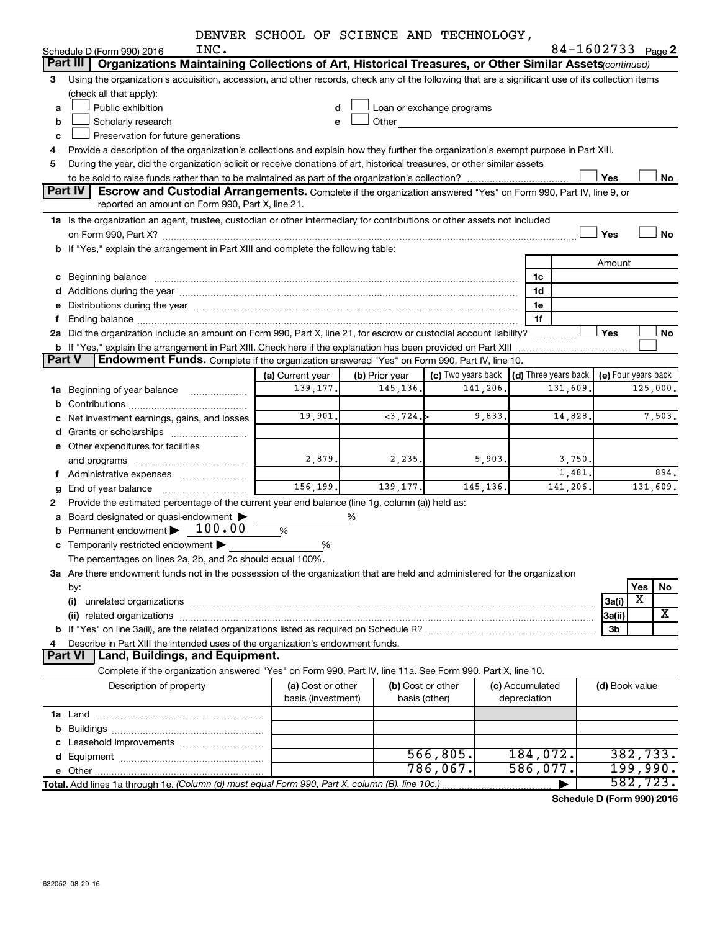|  |  | DENVER SCHOOL OF SCIENCE AND TECHNOLOGY, |
|--|--|------------------------------------------|
|  |  |                                          |

|               |                                                                                                                                                                                                                                | DENVER SCHOOL OF SCIENCE AND TECHNOLOGY, |                |                           |                 |                      |                     |          |           |
|---------------|--------------------------------------------------------------------------------------------------------------------------------------------------------------------------------------------------------------------------------|------------------------------------------|----------------|---------------------------|-----------------|----------------------|---------------------|----------|-----------|
|               | INC.<br>Schedule D (Form 990) 2016                                                                                                                                                                                             |                                          |                |                           |                 |                      | 84-1602733 Page 2   |          |           |
|               | Part III<br>Organizations Maintaining Collections of Art, Historical Treasures, or Other Similar Assets (continued)                                                                                                            |                                          |                |                           |                 |                      |                     |          |           |
| 3             | Using the organization's acquisition, accession, and other records, check any of the following that are a significant use of its collection items                                                                              |                                          |                |                           |                 |                      |                     |          |           |
|               | (check all that apply):                                                                                                                                                                                                        |                                          |                |                           |                 |                      |                     |          |           |
| a             | Public exhibition                                                                                                                                                                                                              | d                                        |                | Loan or exchange programs |                 |                      |                     |          |           |
| b             | Scholarly research                                                                                                                                                                                                             | e                                        | Other          |                           |                 |                      |                     |          |           |
| c             | Preservation for future generations                                                                                                                                                                                            |                                          |                |                           |                 |                      |                     |          |           |
| 4             | Provide a description of the organization's collections and explain how they further the organization's exempt purpose in Part XIII.                                                                                           |                                          |                |                           |                 |                      |                     |          |           |
| 5             | During the year, did the organization solicit or receive donations of art, historical treasures, or other similar assets                                                                                                       |                                          |                |                           |                 |                      |                     |          |           |
|               |                                                                                                                                                                                                                                |                                          |                |                           |                 |                      | Yes                 |          | No        |
|               | Part IV<br>Escrow and Custodial Arrangements. Complete if the organization answered "Yes" on Form 990, Part IV, line 9, or                                                                                                     |                                          |                |                           |                 |                      |                     |          |           |
|               | reported an amount on Form 990, Part X, line 21.                                                                                                                                                                               |                                          |                |                           |                 |                      |                     |          |           |
|               | 1a Is the organization an agent, trustee, custodian or other intermediary for contributions or other assets not included                                                                                                       |                                          |                |                           |                 |                      |                     |          |           |
|               | on Form 990, Part X? [11] matter and the contract of the contract of the contract of the contract of the contract of the contract of the contract of the contract of the contract of the contract of the contract of the contr |                                          |                |                           |                 |                      | Yes                 |          | <b>No</b> |
|               | b If "Yes," explain the arrangement in Part XIII and complete the following table:                                                                                                                                             |                                          |                |                           |                 |                      |                     |          |           |
|               |                                                                                                                                                                                                                                |                                          |                |                           |                 |                      | Amount              |          |           |
|               | c Beginning balance                                                                                                                                                                                                            |                                          |                |                           |                 | 1c                   |                     |          |           |
|               |                                                                                                                                                                                                                                |                                          |                |                           |                 | 1d                   |                     |          |           |
|               | e Distributions during the year manufactured and contained and contained and contained and contained and contained and contained and contained and contained and contained and contained and contained and contained and conta |                                          |                |                           |                 | 1e                   |                     |          |           |
| f             |                                                                                                                                                                                                                                |                                          |                |                           |                 | 1f                   |                     |          |           |
|               | 2a Did the organization include an amount on Form 990, Part X, line 21, for escrow or custodial account liability?                                                                                                             |                                          |                |                           |                 |                      | Yes                 |          | No        |
|               | b If "Yes," explain the arrangement in Part XIII. Check here if the explanation has been provided on Part XIII                                                                                                                 |                                          |                |                           |                 |                      |                     |          |           |
| <b>Part V</b> | Endowment Funds. Complete if the organization answered "Yes" on Form 990, Part IV, line 10.                                                                                                                                    |                                          |                |                           |                 |                      |                     |          |           |
|               |                                                                                                                                                                                                                                | (a) Current year                         | (b) Prior year | (c) Two years back        |                 | (d) Three years back | (e) Four years back |          |           |
|               | 1a Beginning of year balance                                                                                                                                                                                                   | 139, 177.                                | 145, 136.      | 141,206.                  |                 | 131,609.             |                     | 125,000. |           |
|               |                                                                                                                                                                                                                                |                                          |                |                           |                 |                      |                     |          |           |
|               | c Net investment earnings, gains, and losses                                                                                                                                                                                   | 19,901.                                  | $<$ 3,724.     | 9,833.                    |                 | 14,828.              |                     |          | 7,503.    |
|               |                                                                                                                                                                                                                                |                                          |                |                           |                 |                      |                     |          |           |
|               | e Other expenditures for facilities                                                                                                                                                                                            |                                          |                |                           |                 |                      |                     |          |           |
|               | and programs                                                                                                                                                                                                                   | 2,879.                                   | 2,235.         | 5,903.                    |                 | 3,750.               |                     |          |           |
|               | f Administrative expenses                                                                                                                                                                                                      |                                          |                |                           |                 | 1,481.               |                     |          | 894.      |
| g             |                                                                                                                                                                                                                                | 156,199.                                 | 139, 177.      | 145, 136.                 |                 | 141,206.             |                     | 131,609. |           |
| 2             | Provide the estimated percentage of the current year end balance (line 1g, column (a)) held as:                                                                                                                                |                                          |                |                           |                 |                      |                     |          |           |
|               | a Board designated or quasi-endowment >                                                                                                                                                                                        |                                          | %              |                           |                 |                      |                     |          |           |
|               | 100.00<br><b>b</b> Permanent endowment $\blacktriangleright$                                                                                                                                                                   | %                                        |                |                           |                 |                      |                     |          |           |
|               | c Temporarily restricted endowment                                                                                                                                                                                             | %                                        |                |                           |                 |                      |                     |          |           |
|               | The percentages on lines 2a, 2b, and 2c should equal 100%.                                                                                                                                                                     |                                          |                |                           |                 |                      |                     |          |           |
|               | 3a Are there endowment funds not in the possession of the organization that are held and administered for the organization                                                                                                     |                                          |                |                           |                 |                      |                     |          |           |
|               | by:                                                                                                                                                                                                                            |                                          |                |                           |                 |                      |                     | Yes      | No        |
|               | (i)                                                                                                                                                                                                                            |                                          |                |                           |                 |                      | 3a(i)               | X        |           |
|               |                                                                                                                                                                                                                                |                                          |                |                           |                 |                      | 3a(ii)              |          | x         |
|               |                                                                                                                                                                                                                                |                                          |                |                           |                 |                      | 3 <sub>b</sub>      |          |           |
| 4             | Describe in Part XIII the intended uses of the organization's endowment funds.                                                                                                                                                 |                                          |                |                           |                 |                      |                     |          |           |
|               | Land, Buildings, and Equipment.<br><b>Part VI</b>                                                                                                                                                                              |                                          |                |                           |                 |                      |                     |          |           |
|               | Complete if the organization answered "Yes" on Form 990, Part IV, line 11a. See Form 990, Part X, line 10.                                                                                                                     |                                          |                |                           |                 |                      |                     |          |           |
|               | Description of property                                                                                                                                                                                                        | (a) Cost or other                        |                | (b) Cost or other         | (c) Accumulated |                      | (d) Book value      |          |           |
|               |                                                                                                                                                                                                                                | basis (investment)                       |                | basis (other)             | depreciation    |                      |                     |          |           |
|               |                                                                                                                                                                                                                                |                                          |                |                           |                 |                      |                     |          |           |
|               |                                                                                                                                                                                                                                |                                          |                |                           |                 |                      |                     |          |           |
|               |                                                                                                                                                                                                                                |                                          |                |                           |                 |                      |                     |          |           |
|               |                                                                                                                                                                                                                                |                                          |                | 566, 805.                 |                 | 184,072.             |                     | 382,733. |           |
|               |                                                                                                                                                                                                                                |                                          |                | 786,067.                  |                 | 586,077.             |                     | 199,990. |           |
|               | Total. Add lines 1a through 1e. (Column (d) must equal Form 990, Part X, column (B), line 10c.)                                                                                                                                |                                          |                |                           |                 |                      |                     | 582,723. |           |

**Schedule D (Form 990) 2016**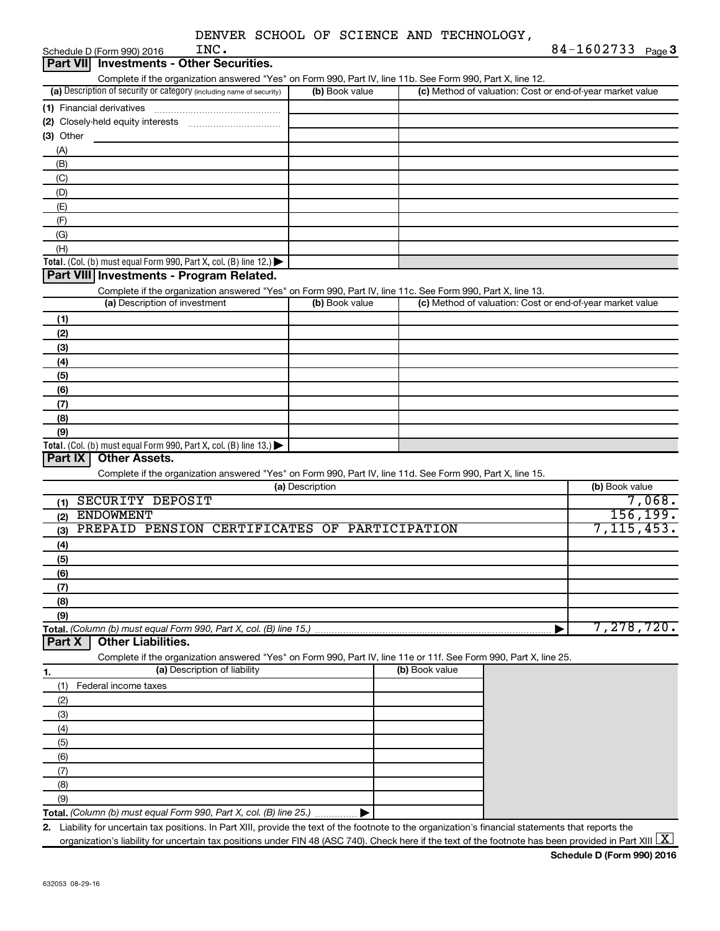| DENVER SCHOOL OF SCIENCE AND TECHNOLOGY, |  |
|------------------------------------------|--|
|------------------------------------------|--|

| INC.<br>Schedule D (Form 990) 2016                                                                                                                   |                 |                                                           | 84-1602733 Page 3 |
|------------------------------------------------------------------------------------------------------------------------------------------------------|-----------------|-----------------------------------------------------------|-------------------|
| <b>Part VII</b> Investments - Other Securities.                                                                                                      |                 |                                                           |                   |
| Complete if the organization answered "Yes" on Form 990, Part IV, line 11b. See Form 990, Part X, line 12.                                           |                 |                                                           |                   |
| (a) Description of security or category (including name of security)                                                                                 | (b) Book value  | (c) Method of valuation: Cost or end-of-year market value |                   |
| (1) Financial derivatives                                                                                                                            |                 |                                                           |                   |
|                                                                                                                                                      |                 |                                                           |                   |
| (3) Other                                                                                                                                            |                 |                                                           |                   |
| (A)                                                                                                                                                  |                 |                                                           |                   |
| (B)                                                                                                                                                  |                 |                                                           |                   |
| (C)                                                                                                                                                  |                 |                                                           |                   |
| (D)                                                                                                                                                  |                 |                                                           |                   |
|                                                                                                                                                      |                 |                                                           |                   |
| (E)                                                                                                                                                  |                 |                                                           |                   |
| (F)                                                                                                                                                  |                 |                                                           |                   |
| (G)                                                                                                                                                  |                 |                                                           |                   |
| (H)                                                                                                                                                  |                 |                                                           |                   |
| Total. (Col. (b) must equal Form 990, Part X, col. (B) line 12.)                                                                                     |                 |                                                           |                   |
| Part VIII Investments - Program Related.                                                                                                             |                 |                                                           |                   |
| Complete if the organization answered "Yes" on Form 990, Part IV, line 11c. See Form 990, Part X, line 13.<br>(a) Description of investment          |                 |                                                           |                   |
|                                                                                                                                                      | (b) Book value  | (c) Method of valuation: Cost or end-of-year market value |                   |
| (1)                                                                                                                                                  |                 |                                                           |                   |
| (2)                                                                                                                                                  |                 |                                                           |                   |
| (3)                                                                                                                                                  |                 |                                                           |                   |
| (4)                                                                                                                                                  |                 |                                                           |                   |
| (5)                                                                                                                                                  |                 |                                                           |                   |
| (6)                                                                                                                                                  |                 |                                                           |                   |
| (7)                                                                                                                                                  |                 |                                                           |                   |
| (8)                                                                                                                                                  |                 |                                                           |                   |
| (9)                                                                                                                                                  |                 |                                                           |                   |
| Total. (Col. (b) must equal Form 990, Part X, col. (B) line 13.)                                                                                     |                 |                                                           |                   |
| <b>Other Assets.</b><br><b>Part IX</b>                                                                                                               |                 |                                                           |                   |
| Complete if the organization answered "Yes" on Form 990, Part IV, line 11d. See Form 990, Part X, line 15.                                           |                 |                                                           |                   |
|                                                                                                                                                      | (a) Description |                                                           | (b) Book value    |
| SECURITY DEPOSIT<br>(1)                                                                                                                              |                 |                                                           | 7,068.            |
| <b>ENDOWMENT</b><br>(2)                                                                                                                              |                 |                                                           | 156,199.          |
| PREPAID PENSION CERTIFICATES OF PARTICIPATION<br>(3)                                                                                                 |                 |                                                           | 7, 115, 453.      |
| (4)                                                                                                                                                  |                 |                                                           |                   |
| (5)                                                                                                                                                  |                 |                                                           |                   |
| (6)                                                                                                                                                  |                 |                                                           |                   |
| (7)                                                                                                                                                  |                 |                                                           |                   |
| (8)                                                                                                                                                  |                 |                                                           |                   |
| (9)                                                                                                                                                  |                 |                                                           |                   |
| Total. (Column (b) must equal Form 990, Part X, col. (B) line 15.)                                                                                   |                 |                                                           | 7,278,720.        |
| <b>Other Liabilities.</b><br>Part X                                                                                                                  |                 |                                                           |                   |
| Complete if the organization answered "Yes" on Form 990, Part IV, line 11e or 11f. See Form 990, Part X, line 25.                                    |                 |                                                           |                   |
| (a) Description of liability<br>1.                                                                                                                   |                 | (b) Book value                                            |                   |
| (1)<br>Federal income taxes                                                                                                                          |                 |                                                           |                   |
| (2)                                                                                                                                                  |                 |                                                           |                   |
| (3)                                                                                                                                                  |                 |                                                           |                   |
| (4)                                                                                                                                                  |                 |                                                           |                   |
|                                                                                                                                                      |                 |                                                           |                   |
| (5)                                                                                                                                                  |                 |                                                           |                   |
| (6)                                                                                                                                                  |                 |                                                           |                   |
| (7)                                                                                                                                                  |                 |                                                           |                   |
| (8)                                                                                                                                                  |                 |                                                           |                   |
| (9)                                                                                                                                                  |                 |                                                           |                   |
| Total. (Column (b) must equal Form 990, Part X, col. (B) line 25.)                                                                                   |                 |                                                           |                   |
| 2. Liability for uncertain tax positions. In Part XIII, provide the text of the footnote to the organization's financial statements that reports the |                 |                                                           | <b>Castle</b>     |

organization's liability for uncertain tax positions under FIN 48 (ASC 740). Check here if the text of the footnote has been provided in Part XIII  $\boxed{\text{X}}$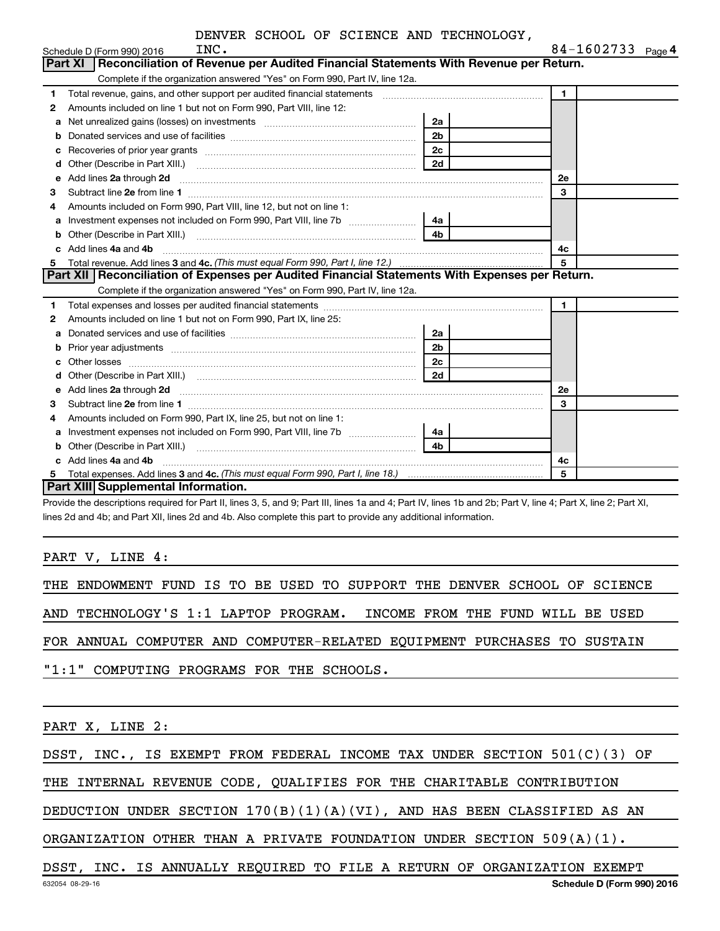|    | Schedule D (Form 990) 2016<br>INC.                                                                                                                                                                                                   |                | 84-1602/33 Page 4 |  |
|----|--------------------------------------------------------------------------------------------------------------------------------------------------------------------------------------------------------------------------------------|----------------|-------------------|--|
|    | Part XI   Reconciliation of Revenue per Audited Financial Statements With Revenue per Return.                                                                                                                                        |                |                   |  |
|    | Complete if the organization answered "Yes" on Form 990, Part IV, line 12a.                                                                                                                                                          |                |                   |  |
| 1. | Total revenue, gains, and other support per audited financial statements [111] [11] Total revenue, gains, and other support per audited financial statements                                                                         |                | 1                 |  |
| 2  | Amounts included on line 1 but not on Form 990, Part VIII, line 12:                                                                                                                                                                  |                |                   |  |
| a  |                                                                                                                                                                                                                                      | 2a             |                   |  |
| b  |                                                                                                                                                                                                                                      | 2 <sub>b</sub> |                   |  |
| c  |                                                                                                                                                                                                                                      | 2 <sub>c</sub> |                   |  |
| d  |                                                                                                                                                                                                                                      | 2d             |                   |  |
| e  | Add lines 2a through 2d                                                                                                                                                                                                              |                | <b>2e</b>         |  |
| 3  |                                                                                                                                                                                                                                      |                | 3                 |  |
| 4  | Amounts included on Form 990, Part VIII, line 12, but not on line 1:                                                                                                                                                                 |                |                   |  |
| a  |                                                                                                                                                                                                                                      |                |                   |  |
|    |                                                                                                                                                                                                                                      | 4 <sub>b</sub> |                   |  |
|    | Add lines 4a and 4b                                                                                                                                                                                                                  |                | 4c                |  |
| C. |                                                                                                                                                                                                                                      |                |                   |  |
| 5  |                                                                                                                                                                                                                                      |                | 5                 |  |
|    | Part XII Reconciliation of Expenses per Audited Financial Statements With Expenses per Return.                                                                                                                                       |                |                   |  |
|    | Complete if the organization answered "Yes" on Form 990, Part IV, line 12a.                                                                                                                                                          |                |                   |  |
| 1  |                                                                                                                                                                                                                                      |                | $\mathbf{1}$      |  |
| 2  | Amounts included on line 1 but not on Form 990, Part IX, line 25:                                                                                                                                                                    |                |                   |  |
| a  |                                                                                                                                                                                                                                      | 2a             |                   |  |
| b  | Prior year adjustments [111] matter contracts and all the contracts and all the contracts and prior year adjustments                                                                                                                 | 2 <sub>b</sub> |                   |  |
| C  |                                                                                                                                                                                                                                      | 2 <sub>c</sub> |                   |  |
| d  |                                                                                                                                                                                                                                      | 2d             |                   |  |
| e  | Add lines 2a through 2d <b>continuum continuum contract and all the contract of the contract of the contract of the contract of the contract of the contract of the contract of the contract of the contract of the contract of </b> |                | 2е                |  |
| 3  |                                                                                                                                                                                                                                      |                | 3                 |  |
| 4  | Amounts included on Form 990, Part IX, line 25, but not on line 1:                                                                                                                                                                   |                |                   |  |
| a  | Investment expenses not included on Form 990, Part VIII, line 7b [11, 111, 111, 111]                                                                                                                                                 | 4a             |                   |  |
| b  |                                                                                                                                                                                                                                      | 4h             |                   |  |
|    | Add lines 4a and 4b                                                                                                                                                                                                                  |                | 4c                |  |
| 5  | <b>Part XIII</b> Supplemental Information.                                                                                                                                                                                           |                | 5                 |  |

Provide the descriptions required for Part II, lines 3, 5, and 9; Part III, lines 1a and 4; Part IV, lines 1b and 2b; Part V, line 4; Part X, line 2; Part XI, lines 2d and 4b; and Part XII, lines 2d and 4b. Also complete this part to provide any additional information.

PART V, LINE 4:

THE ENDOWMENT FUND IS TO BE USED TO SUPPORT THE DENVER SCHOOL OF SCIENCE

AND TECHNOLOGY'S 1:1 LAPTOP PROGRAM. INCOME FROM THE FUND WILL BE USED

FOR ANNUAL COMPUTER AND COMPUTER-RELATED EQUIPMENT PURCHASES TO SUSTAIN

"1:1" COMPUTING PROGRAMS FOR THE SCHOOLS.

PART X, LINE 2:

DSST, INC., IS EXEMPT FROM FEDERAL INCOME TAX UNDER SECTION 501(C)(3) OF

THE INTERNAL REVENUE CODE, QUALIFIES FOR THE CHARITABLE CONTRIBUTION

DEDUCTION UNDER SECTION 170(B)(1)(A)(VI), AND HAS BEEN CLASSIFIED AS AN

ORGANIZATION OTHER THAN A PRIVATE FOUNDATION UNDER SECTION 509(A)(1).

DSST, INC. IS ANNUALLY REQUIRED TO FILE A RETURN OF ORGANIZATION EXEMPT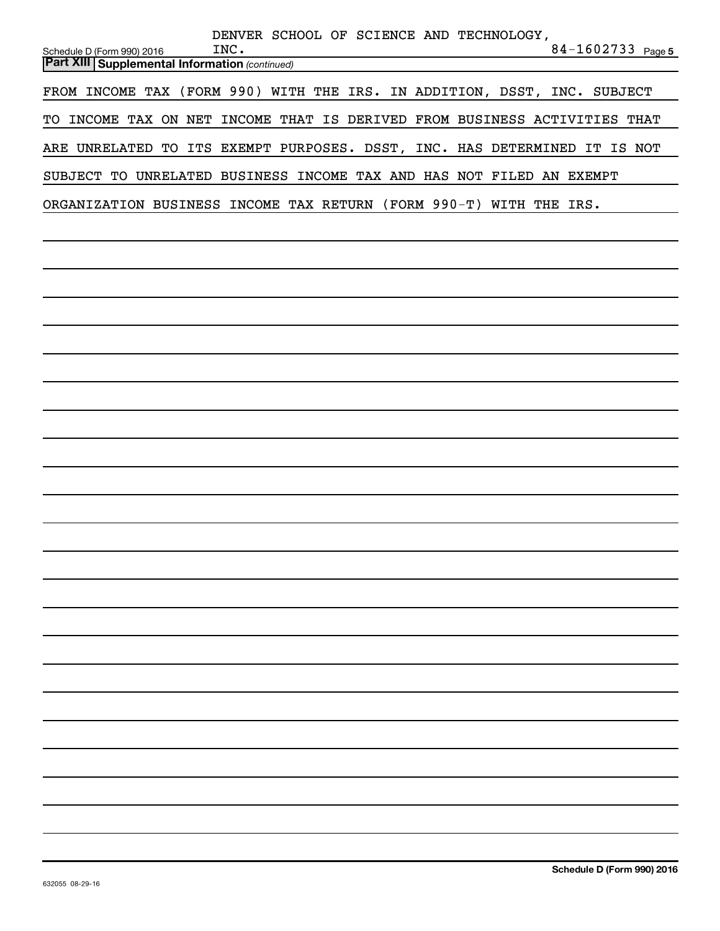| DENVER SCHOOL OF SCIENCE AND TECHNOLOGY,<br>84-1602733 Page 5<br>INC.<br>Schedule D (Form 990) 2016 |
|-----------------------------------------------------------------------------------------------------|
| <b>Part XIII Supplemental Information (continued)</b>                                               |
| FROM INCOME TAX (FORM 990) WITH THE IRS. IN ADDITION, DSST, INC. SUBJECT                            |
| TO INCOME TAX ON NET INCOME THAT IS DERIVED FROM BUSINESS ACTIVITIES THAT                           |
| ARE UNRELATED TO ITS EXEMPT PURPOSES. DSST, INC. HAS DETERMINED IT IS NOT                           |
| SUBJECT TO UNRELATED BUSINESS INCOME TAX AND HAS NOT FILED AN EXEMPT                                |
| ORGANIZATION BUSINESS INCOME TAX RETURN (FORM 990-T) WITH THE IRS.                                  |
|                                                                                                     |
|                                                                                                     |
|                                                                                                     |
|                                                                                                     |
|                                                                                                     |
|                                                                                                     |
|                                                                                                     |
|                                                                                                     |
|                                                                                                     |
|                                                                                                     |
|                                                                                                     |
|                                                                                                     |
|                                                                                                     |
|                                                                                                     |
|                                                                                                     |
|                                                                                                     |
|                                                                                                     |
|                                                                                                     |
|                                                                                                     |
|                                                                                                     |
|                                                                                                     |
|                                                                                                     |
|                                                                                                     |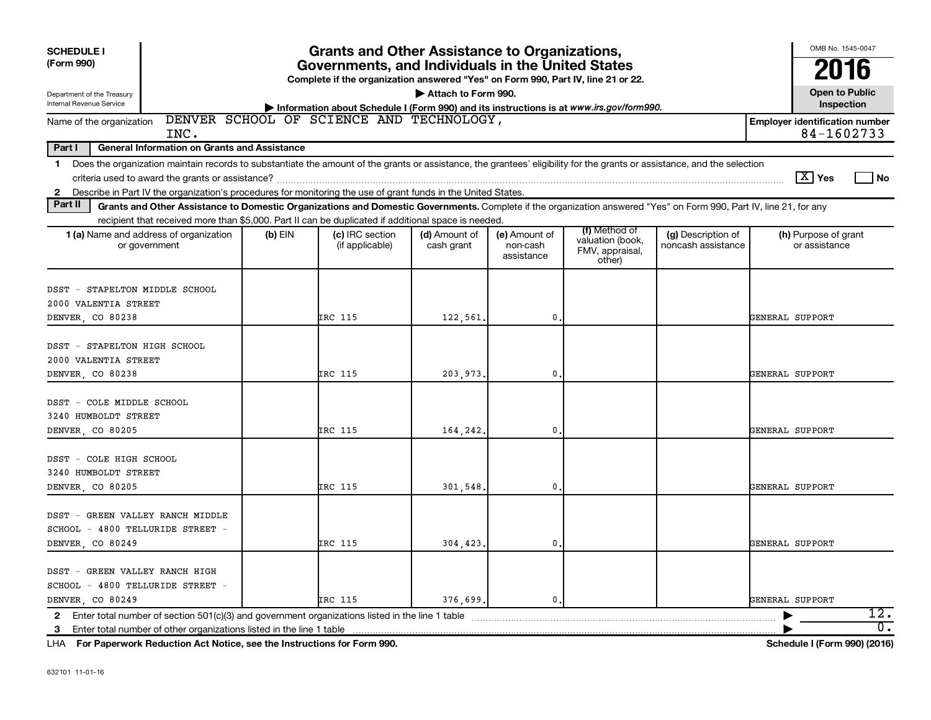| <b>SCHEDULE I</b><br>(Form 990)<br>Department of the Treasury<br><b>Internal Revenue Service</b>                                                                                                                                                                                                               | <b>Grants and Other Assistance to Organizations,</b><br>Governments, and Individuals in the United States<br>Complete if the organization answered "Yes" on Form 990, Part IV, line 21 or 22.<br>Attach to Form 990. |                                                                                                                                     |                             |                                         |                                                                |                                          |                                       |                                    |  |
|----------------------------------------------------------------------------------------------------------------------------------------------------------------------------------------------------------------------------------------------------------------------------------------------------------------|----------------------------------------------------------------------------------------------------------------------------------------------------------------------------------------------------------------------|-------------------------------------------------------------------------------------------------------------------------------------|-----------------------------|-----------------------------------------|----------------------------------------------------------------|------------------------------------------|---------------------------------------|------------------------------------|--|
| Name of the organization                                                                                                                                                                                                                                                                                       |                                                                                                                                                                                                                      | Information about Schedule I (Form 990) and its instructions is at www.irs.gov/form990.<br>DENVER SCHOOL OF SCIENCE AND TECHNOLOGY, |                             |                                         |                                                                |                                          | <b>Employer identification number</b> | Inspection<br>84-1602733           |  |
| INC.<br><b>General Information on Grants and Assistance</b><br>Part I                                                                                                                                                                                                                                          |                                                                                                                                                                                                                      |                                                                                                                                     |                             |                                         |                                                                |                                          |                                       |                                    |  |
| Does the organization maintain records to substantiate the amount of the grants or assistance, the grantees' eligibility for the grants or assistance, and the selection<br>$\mathbf 1$                                                                                                                        |                                                                                                                                                                                                                      |                                                                                                                                     |                             |                                         |                                                                |                                          |                                       |                                    |  |
|                                                                                                                                                                                                                                                                                                                |                                                                                                                                                                                                                      |                                                                                                                                     |                             |                                         |                                                                |                                          | $\boxed{\text{X}}$ Yes                | No                                 |  |
| Describe in Part IV the organization's procedures for monitoring the use of grant funds in the United States.<br>$\mathbf{2}$<br>Part II<br>Grants and Other Assistance to Domestic Organizations and Domestic Governments. Complete if the organization answered "Yes" on Form 990, Part IV, line 21, for any |                                                                                                                                                                                                                      |                                                                                                                                     |                             |                                         |                                                                |                                          |                                       |                                    |  |
| recipient that received more than \$5,000. Part II can be duplicated if additional space is needed.                                                                                                                                                                                                            |                                                                                                                                                                                                                      |                                                                                                                                     |                             |                                         |                                                                |                                          |                                       |                                    |  |
| 1 (a) Name and address of organization<br>or government                                                                                                                                                                                                                                                        | $(b)$ EIN                                                                                                                                                                                                            | (c) IRC section<br>(if applicable)                                                                                                  | (d) Amount of<br>cash grant | (e) Amount of<br>non-cash<br>assistance | (f) Method of<br>valuation (book,<br>FMV, appraisal,<br>other) | (g) Description of<br>noncash assistance | (h) Purpose of grant<br>or assistance |                                    |  |
| DSST - STAPELTON MIDDLE SCHOOL<br>2000 VALENTIA STREET<br>DENVER CO 80238                                                                                                                                                                                                                                      |                                                                                                                                                                                                                      | IRC 115                                                                                                                             | 122,561.                    | 0                                       |                                                                |                                          | GENERAL SUPPORT                       |                                    |  |
| DSST - STAPELTON HIGH SCHOOL<br>2000 VALENTIA STREET<br>DENVER, CO 80238                                                                                                                                                                                                                                       |                                                                                                                                                                                                                      | <b>IRC 115</b>                                                                                                                      | 203,973.                    | 0                                       |                                                                |                                          | GENERAL SUPPORT                       |                                    |  |
| DSST - COLE MIDDLE SCHOOL<br>3240 HUMBOLDT STREET<br>DENVER, CO 80205                                                                                                                                                                                                                                          |                                                                                                                                                                                                                      | <b>IRC 115</b>                                                                                                                      | 164,242.                    | 0                                       |                                                                |                                          | GENERAL SUPPORT                       |                                    |  |
| DSST - COLE HIGH SCHOOL<br>3240 HUMBOLDT STREET<br>DENVER CO 80205                                                                                                                                                                                                                                             |                                                                                                                                                                                                                      | IRC 115                                                                                                                             | 301.548                     | 0                                       |                                                                |                                          | GENERAL SUPPORT                       |                                    |  |
| DSST - GREEN VALLEY RANCH MIDDLE<br>SCHOOL - 4800 TELLURIDE STREET -<br>DENVER CO 80249                                                                                                                                                                                                                        |                                                                                                                                                                                                                      | IRC 115                                                                                                                             | 304.423.                    | 0                                       |                                                                |                                          | GENERAL SUPPORT                       |                                    |  |
| DSST - GREEN VALLEY RANCH HIGH<br>SCHOOL - 4800 TELLURIDE STREET -<br>DENVER CO 80249                                                                                                                                                                                                                          |                                                                                                                                                                                                                      | <b>IRC 115</b>                                                                                                                      | 376.699.                    | $\mathbf{0}$ .                          |                                                                |                                          | GENERAL SUPPORT                       |                                    |  |
| 2 Enter total number of section 501(c)(3) and government organizations listed in the line 1 table<br>3 Enter total number of other organizations listed in the line 1 table                                                                                                                                    |                                                                                                                                                                                                                      |                                                                                                                                     |                             |                                         |                                                                |                                          |                                       | 12.<br>$\overline{\mathfrak{o}}$ . |  |

**For Paperwork Reduction Act Notice, see the Instructions for Form 990. Schedule I (Form 990) (2016)** LHA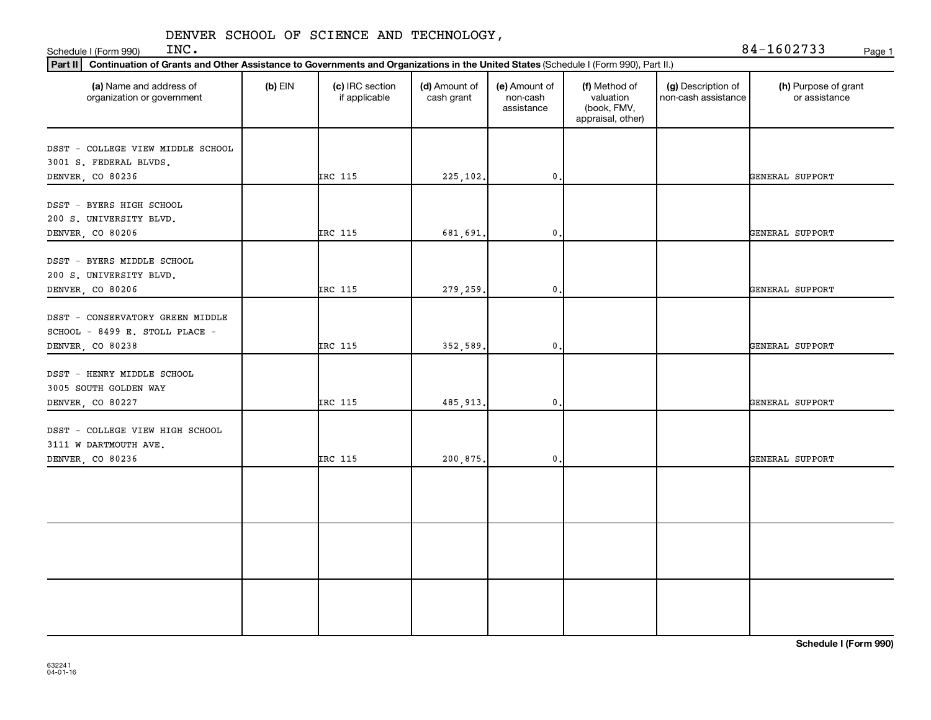Schedule I (Form 990) INC.

| INC. | 84-1602733 | Page 1 |
|------|------------|--------|
|      |            |        |

| (a) Name and address of<br>organization or government                     | $(b)$ EIN | (c) IRC section<br>if applicable | (d) Amount of<br>cash grant | (e) Amount of<br>non-cash<br>assistance | (f) Method of<br>valuation<br>(book, FMV,<br>appraisal, other) | (g) Description of<br>non-cash assistance | (h) Purpose of grant<br>or assistance |
|---------------------------------------------------------------------------|-----------|----------------------------------|-----------------------------|-----------------------------------------|----------------------------------------------------------------|-------------------------------------------|---------------------------------------|
| DSST - COLLEGE VIEW MIDDLE SCHOOL<br>3001 S. FEDERAL BLVDS.               |           |                                  |                             |                                         |                                                                |                                           |                                       |
| DENVER, CO 80236                                                          |           | IRC 115                          | 225,102.                    | $^{\rm 0}$ .                            |                                                                |                                           | GENERAL SUPPORT                       |
| DSST - BYERS HIGH SCHOOL<br>200 S. UNIVERSITY BLVD.                       |           |                                  |                             |                                         |                                                                |                                           |                                       |
| DENVER, CO 80206                                                          |           | IRC 115                          | 681,691.                    | 0.                                      |                                                                |                                           | GENERAL SUPPORT                       |
| DSST - BYERS MIDDLE SCHOOL<br>200 S. UNIVERSITY BLVD.<br>DENVER, CO 80206 |           | IRC 115                          | 279.259.                    | 0.                                      |                                                                |                                           | GENERAL SUPPORT                       |
| DSST - CONSERVATORY GREEN MIDDLE<br>SCHOOL - 8499 E. STOLL PLACE -        |           |                                  |                             |                                         |                                                                |                                           |                                       |
| DENVER, CO 80238                                                          |           | IRC 115                          | 352,589.                    | $\mathbf{0}$ .                          |                                                                |                                           | GENERAL SUPPORT                       |
| DSST - HENRY MIDDLE SCHOOL<br>3005 SOUTH GOLDEN WAY                       |           |                                  |                             |                                         |                                                                |                                           |                                       |
| DENVER, CO 80227                                                          |           | IRC 115                          | 485,913.                    | $\mathbf 0$ .                           |                                                                |                                           | GENERAL SUPPORT                       |
| DSST - COLLEGE VIEW HIGH SCHOOL<br>3111 W DARTMOUTH AVE.                  |           |                                  |                             |                                         |                                                                |                                           |                                       |
| DENVER, CO 80236                                                          |           | IRC 115                          | 200,875.                    | $\mathfrak{o}$ .                        |                                                                |                                           | GENERAL SUPPORT                       |
|                                                                           |           |                                  |                             |                                         |                                                                |                                           |                                       |
|                                                                           |           |                                  |                             |                                         |                                                                |                                           |                                       |
|                                                                           |           |                                  |                             |                                         |                                                                |                                           |                                       |
|                                                                           |           |                                  |                             |                                         |                                                                |                                           |                                       |
|                                                                           |           |                                  |                             |                                         |                                                                |                                           |                                       |

**Schedule I (Form 990)**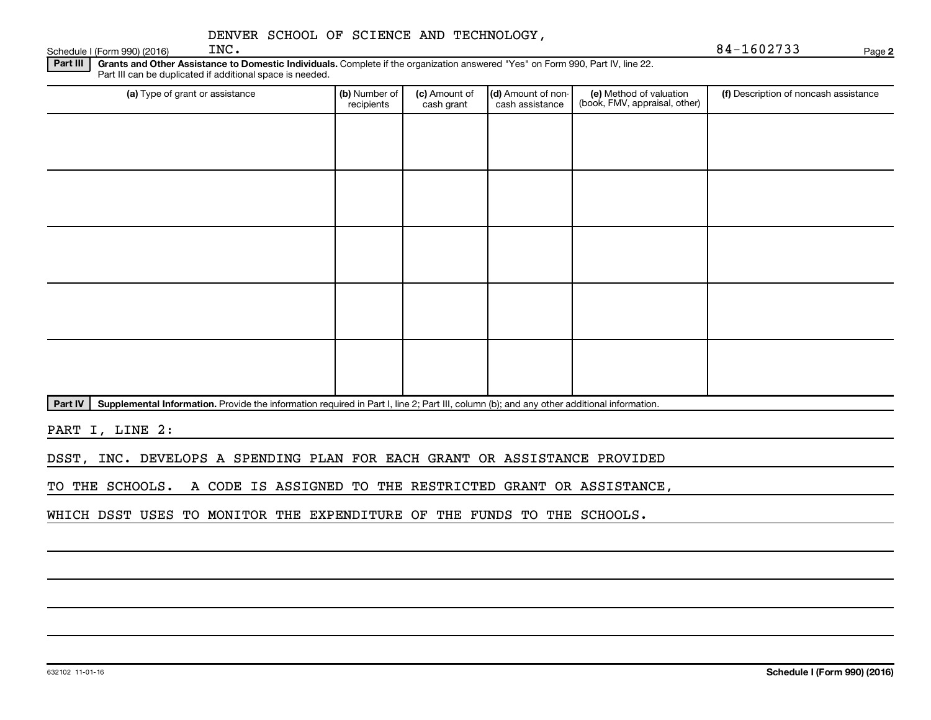Schedule I (Form 990) (2016)  $\qquad \qquad \text{INC.}$ 

Part III | Grants and Other Assistance to Domestic Individuals. Complete if the organization answered "Yes" on Form 990, Part IV, line 22. Part III can be duplicated if additional space is needed.

| (a) Type of grant or assistance | (b) Number of<br>recipients | (c) Amount of<br>cash grant | (d) Amount of non-<br>cash assistance | (e) Method of valuation<br>(book, FMV, appraisal, other) | (f) Description of noncash assistance |
|---------------------------------|-----------------------------|-----------------------------|---------------------------------------|----------------------------------------------------------|---------------------------------------|
|                                 |                             |                             |                                       |                                                          |                                       |
|                                 |                             |                             |                                       |                                                          |                                       |
|                                 |                             |                             |                                       |                                                          |                                       |
|                                 |                             |                             |                                       |                                                          |                                       |
|                                 |                             |                             |                                       |                                                          |                                       |
|                                 |                             |                             |                                       |                                                          |                                       |
|                                 |                             |                             |                                       |                                                          |                                       |
|                                 |                             |                             |                                       |                                                          |                                       |
|                                 |                             |                             |                                       |                                                          |                                       |
|                                 |                             |                             |                                       |                                                          |                                       |

Part IV | Supplemental Information. Provide the information required in Part I, line 2; Part III, column (b); and any other additional information.

PART I, LINE 2:

DSST, INC. DEVELOPS A SPENDING PLAN FOR EACH GRANT OR ASSISTANCE PROVIDED

TO THE SCHOOLS. A CODE IS ASSIGNED TO THE RESTRICTED GRANT OR ASSISTANCE,

WHICH DSST USES TO MONITOR THE EXPENDITURE OF THE FUNDS TO THE SCHOOLS.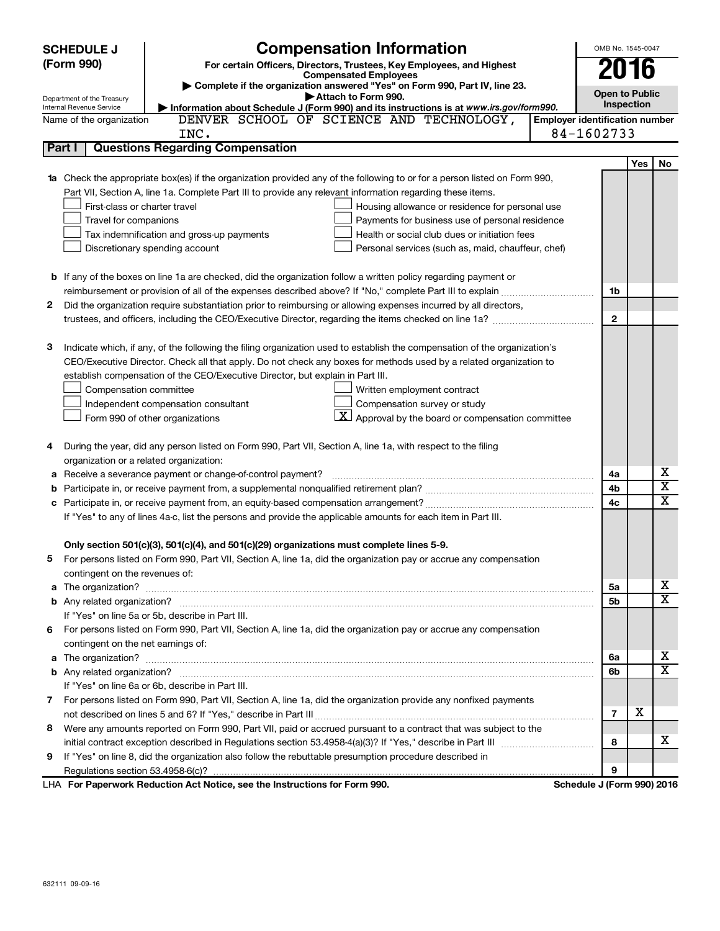|        | <b>SCHEDULE J</b>                                      | <b>Compensation Information</b>                                                                                                                                        |                                       | OMB No. 1545-0047     |                         |  |  |  |
|--------|--------------------------------------------------------|------------------------------------------------------------------------------------------------------------------------------------------------------------------------|---------------------------------------|-----------------------|-------------------------|--|--|--|
|        | (Form 990)                                             | For certain Officers, Directors, Trustees, Key Employees, and Highest                                                                                                  |                                       | 2016                  |                         |  |  |  |
|        |                                                        | <b>Compensated Employees</b>                                                                                                                                           |                                       |                       |                         |  |  |  |
|        |                                                        | Complete if the organization answered "Yes" on Form 990, Part IV, line 23.<br>Attach to Form 990.                                                                      |                                       | <b>Open to Public</b> |                         |  |  |  |
|        | Department of the Treasury<br>Internal Revenue Service | Information about Schedule J (Form 990) and its instructions is at www.irs.gov/form990.                                                                                |                                       | Inspection            |                         |  |  |  |
|        | Name of the organization                               | DENVER SCHOOL OF SCIENCE AND TECHNOLOGY,                                                                                                                               | <b>Employer identification number</b> |                       |                         |  |  |  |
|        |                                                        | INC.                                                                                                                                                                   | 84-1602733                            |                       |                         |  |  |  |
| Part I |                                                        | <b>Questions Regarding Compensation</b>                                                                                                                                |                                       |                       |                         |  |  |  |
|        |                                                        |                                                                                                                                                                        |                                       | Yes                   | No                      |  |  |  |
|        |                                                        | 1a Check the appropriate box(es) if the organization provided any of the following to or for a person listed on Form 990,                                              |                                       |                       |                         |  |  |  |
|        |                                                        | Part VII, Section A, line 1a. Complete Part III to provide any relevant information regarding these items.                                                             |                                       |                       |                         |  |  |  |
|        | First-class or charter travel                          | Housing allowance or residence for personal use                                                                                                                        |                                       |                       |                         |  |  |  |
|        | Travel for companions                                  | Payments for business use of personal residence                                                                                                                        |                                       |                       |                         |  |  |  |
|        |                                                        | Tax indemnification and gross-up payments<br>Health or social club dues or initiation fees                                                                             |                                       |                       |                         |  |  |  |
|        | Discretionary spending account                         | Personal services (such as, maid, chauffeur, chef)                                                                                                                     |                                       |                       |                         |  |  |  |
|        |                                                        |                                                                                                                                                                        |                                       |                       |                         |  |  |  |
|        |                                                        | <b>b</b> If any of the boxes on line 1a are checked, did the organization follow a written policy regarding payment or                                                 |                                       |                       |                         |  |  |  |
|        |                                                        |                                                                                                                                                                        |                                       | 1b                    |                         |  |  |  |
| 2      |                                                        | Did the organization require substantiation prior to reimbursing or allowing expenses incurred by all directors,                                                       |                                       |                       |                         |  |  |  |
|        |                                                        |                                                                                                                                                                        | $\mathbf{2}$                          |                       |                         |  |  |  |
| 3      |                                                        | Indicate which, if any, of the following the filing organization used to establish the compensation of the organization's                                              |                                       |                       |                         |  |  |  |
|        |                                                        | CEO/Executive Director. Check all that apply. Do not check any boxes for methods used by a related organization to                                                     |                                       |                       |                         |  |  |  |
|        |                                                        | establish compensation of the CEO/Executive Director, but explain in Part III.                                                                                         |                                       |                       |                         |  |  |  |
|        | Compensation committee                                 | Written employment contract                                                                                                                                            |                                       |                       |                         |  |  |  |
|        |                                                        | Independent compensation consultant<br>Compensation survey or study                                                                                                    |                                       |                       |                         |  |  |  |
|        | Form 990 of other organizations                        | $\lfloor x \rfloor$ Approval by the board or compensation committee                                                                                                    |                                       |                       |                         |  |  |  |
|        |                                                        |                                                                                                                                                                        |                                       |                       |                         |  |  |  |
| 4      |                                                        | During the year, did any person listed on Form 990, Part VII, Section A, line 1a, with respect to the filing                                                           |                                       |                       |                         |  |  |  |
|        | organization or a related organization:                |                                                                                                                                                                        |                                       |                       |                         |  |  |  |
|        |                                                        | Receive a severance payment or change-of-control payment?                                                                                                              | 4a                                    |                       | х                       |  |  |  |
| b      |                                                        |                                                                                                                                                                        | 4b                                    |                       | $\overline{\text{x}}$   |  |  |  |
| c      |                                                        |                                                                                                                                                                        | 4c                                    |                       | $\overline{\texttt{x}}$ |  |  |  |
|        |                                                        | If "Yes" to any of lines 4a-c, list the persons and provide the applicable amounts for each item in Part III.                                                          |                                       |                       |                         |  |  |  |
|        |                                                        |                                                                                                                                                                        |                                       |                       |                         |  |  |  |
|        |                                                        | Only section 501(c)(3), 501(c)(4), and 501(c)(29) organizations must complete lines 5-9.                                                                               |                                       |                       |                         |  |  |  |
|        |                                                        | For persons listed on Form 990, Part VII, Section A, line 1a, did the organization pay or accrue any compensation                                                      |                                       |                       |                         |  |  |  |
|        | contingent on the revenues of:                         |                                                                                                                                                                        |                                       |                       |                         |  |  |  |
|        |                                                        |                                                                                                                                                                        |                                       | 5a                    | x                       |  |  |  |
|        |                                                        |                                                                                                                                                                        |                                       | 5b                    | $\overline{\mathbf{x}}$ |  |  |  |
|        |                                                        | If "Yes" on line 5a or 5b, describe in Part III.                                                                                                                       |                                       |                       |                         |  |  |  |
| 6.     |                                                        | For persons listed on Form 990, Part VII, Section A, line 1a, did the organization pay or accrue any compensation                                                      |                                       |                       |                         |  |  |  |
|        | contingent on the net earnings of:                     |                                                                                                                                                                        |                                       |                       | X                       |  |  |  |
|        |                                                        |                                                                                                                                                                        | 6a                                    |                       | $\overline{\mathtt{x}}$ |  |  |  |
|        |                                                        |                                                                                                                                                                        |                                       | 6b                    |                         |  |  |  |
|        |                                                        | If "Yes" on line 6a or 6b, describe in Part III.<br>7 For persons listed on Form 990, Part VII, Section A, line 1a, did the organization provide any nonfixed payments |                                       |                       |                         |  |  |  |
|        |                                                        |                                                                                                                                                                        | $\overline{7}$                        | х                     |                         |  |  |  |
| 8      |                                                        | Were any amounts reported on Form 990, Part VII, paid or accrued pursuant to a contract that was subject to the                                                        |                                       |                       |                         |  |  |  |
|        |                                                        |                                                                                                                                                                        |                                       | 8                     | x                       |  |  |  |
| 9      |                                                        | If "Yes" on line 8, did the organization also follow the rebuttable presumption procedure described in                                                                 |                                       |                       |                         |  |  |  |
|        |                                                        |                                                                                                                                                                        | 9                                     |                       |                         |  |  |  |
|        |                                                        | LHA For Paperwork Reduction Act Notice, see the Instructions for Form 990.                                                                                             | Schedule J (Form 990) 2016            |                       |                         |  |  |  |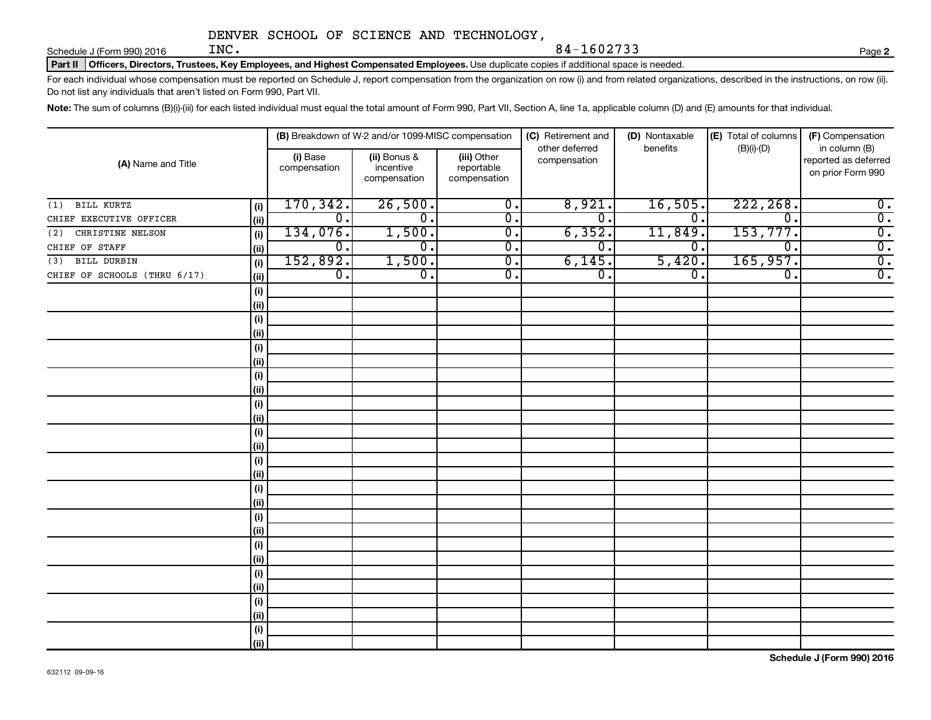Schedule J (Form 990) 2016  $\qquad \qquad \text{INC.}$ 

Part II | Officers, Directors, Trustees, Key Employees, and Highest Compensated Employees. Use duplicate copies if additional space is needed.

For each individual whose compensation must be reported on Schedule J, report compensation from the organization on row (i) and from related organizations, described in the instructions, on row (ii). Do not list any individuals that aren't listed on Form 990, Part VII.

Note: The sum of columns (B)(i)-(iii) for each listed individual must equal the total amount of Form 990, Part VII, Section A, line 1a, applicable column (D) and (E) amounts for that individual.

| (A) Name and Title           |      |                          | (B) Breakdown of W-2 and/or 1099-MISC compensation |                                           | (C) Retirement and<br>other deferred | (D) Nontaxable<br>benefits  | (E) Total of columns<br>$(B)(i)-(D)$ | (F) Compensation<br>in column (B)         |
|------------------------------|------|--------------------------|----------------------------------------------------|-------------------------------------------|--------------------------------------|-----------------------------|--------------------------------------|-------------------------------------------|
|                              |      | (i) Base<br>compensation | (ii) Bonus &<br>incentive<br>compensation          | (iii) Other<br>reportable<br>compensation | compensation                         |                             |                                      | reported as deferred<br>on prior Form 990 |
| <b>BILL KURTZ</b><br>(1)     | (i)  | 170, 342.                | 26,500.                                            | $\overline{0}$ .                          | 8,921.                               | 16,505.                     | 222, 268.                            | $\overline{\mathbf{0}}$ .                 |
| CHIEF EXECUTIVE OFFICER      | (ii) | $\overline{0}$ .         | $\mathbf 0$ .                                      | $\overline{0}$ .                          | σ.                                   | $\overline{0}$ .            | 0.                                   | $\overline{0}$ .                          |
| CHRISTINE NELSON<br>(2)      | (i)  | 134,076.                 | 1,500.                                             | $\overline{0}$ .                          | 6, 352.                              | 11,849.                     | 153,777.                             | $\overline{0}$ .                          |
| CHIEF OF STAFF               | (ii) | $\overline{0}$ .         | σ.                                                 | $\overline{0}$ .                          | σ.                                   | 0.                          | $\overline{\mathfrak{o}}$ .          | $\overline{0}$ .                          |
| (3) BILL DURBIN              | (i)  | 152,892.                 | 1,500.                                             | $\overline{0}$ .                          | 6,145.                               | 5,420.                      | 165,957.                             | $\overline{0}$ .                          |
| CHIEF OF SCHOOLS (THRU 6/17) | (ii) | $\overline{0}$ .         | $\overline{0}$ .                                   | $\overline{0}$ .                          | σ.                                   | $\overline{\mathfrak{o}}$ . | $\overline{\mathfrak{o}}$ .          | $\overline{0}$ .                          |
|                              | (i)  |                          |                                                    |                                           |                                      |                             |                                      |                                           |
|                              | (ii) |                          |                                                    |                                           |                                      |                             |                                      |                                           |
|                              | (i)  |                          |                                                    |                                           |                                      |                             |                                      |                                           |
|                              | (ii) |                          |                                                    |                                           |                                      |                             |                                      |                                           |
|                              | (i)  |                          |                                                    |                                           |                                      |                             |                                      |                                           |
|                              | (ii) |                          |                                                    |                                           |                                      |                             |                                      |                                           |
|                              | (i)  |                          |                                                    |                                           |                                      |                             |                                      |                                           |
|                              | (ii) |                          |                                                    |                                           |                                      |                             |                                      |                                           |
|                              | (i)  |                          |                                                    |                                           |                                      |                             |                                      |                                           |
|                              | (ii) |                          |                                                    |                                           |                                      |                             |                                      |                                           |
|                              | (i)  |                          |                                                    |                                           |                                      |                             |                                      |                                           |
|                              | (ii) |                          |                                                    |                                           |                                      |                             |                                      |                                           |
|                              | (i)  |                          |                                                    |                                           |                                      |                             |                                      |                                           |
|                              | (ii) |                          |                                                    |                                           |                                      |                             |                                      |                                           |
|                              | (i)  |                          |                                                    |                                           |                                      |                             |                                      |                                           |
|                              | (ii) |                          |                                                    |                                           |                                      |                             |                                      |                                           |
|                              | (i)  |                          |                                                    |                                           |                                      |                             |                                      |                                           |
|                              | (ii) |                          |                                                    |                                           |                                      |                             |                                      |                                           |
|                              | (i)  |                          |                                                    |                                           |                                      |                             |                                      |                                           |
|                              | (ii) |                          |                                                    |                                           |                                      |                             |                                      |                                           |
|                              | (i)  |                          |                                                    |                                           |                                      |                             |                                      |                                           |
|                              | (ii) |                          |                                                    |                                           |                                      |                             |                                      |                                           |
|                              | (i)  |                          |                                                    |                                           |                                      |                             |                                      |                                           |
|                              | (ii) |                          |                                                    |                                           |                                      |                             |                                      |                                           |
|                              | (i)  |                          |                                                    |                                           |                                      |                             |                                      |                                           |
|                              | (ii) |                          |                                                    |                                           |                                      |                             |                                      |                                           |

**2**

INC. 84-1602733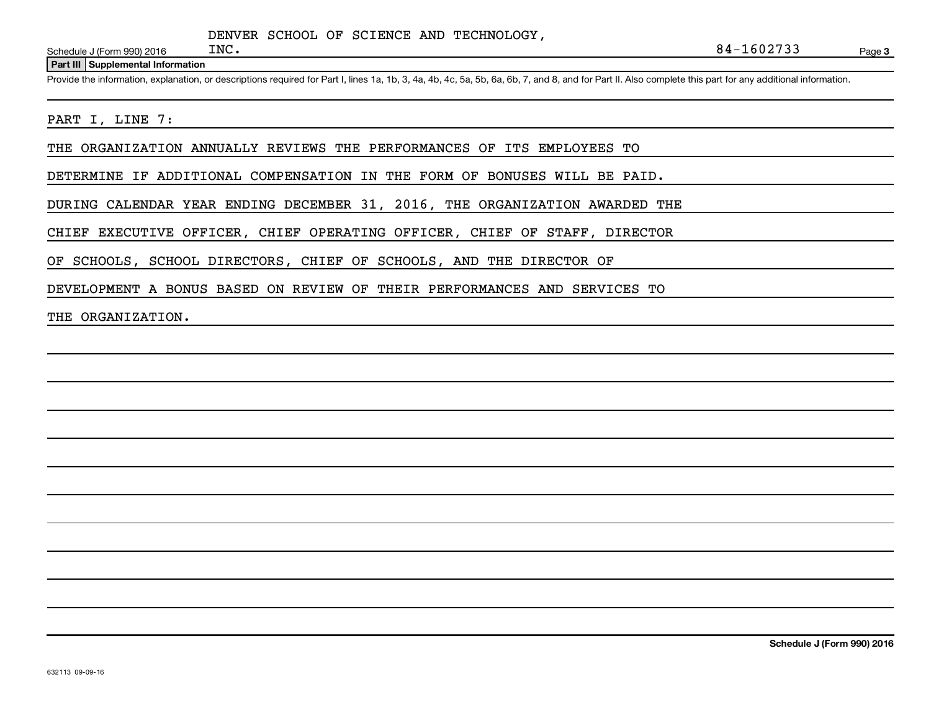Schedule J (Form 990) 2016  $INC$ .

#### **Part III Supplemental Information**

Provide the information, explanation, or descriptions required for Part I, lines 1a, 1b, 3, 4a, 4b, 4c, 5a, 5b, 6a, 6b, 7, and 8, and for Part II. Also complete this part for any additional information.

### PART I, LINE 7:

THE ORGANIZATION ANNUALLY REVIEWS THE PERFORMANCES OF ITS EMPLOYEES TO

DETERMINE IF ADDITIONAL COMPENSATION IN THE FORM OF BONUSES WILL BE PAID.

DURING CALENDAR YEAR ENDING DECEMBER 31, 2016, THE ORGANIZATION AWARDED THE

CHIEF EXECUTIVE OFFICER, CHIEF OPERATING OFFICER, CHIEF OF STAFF, DIRECTOR

OF SCHOOLS, SCHOOL DIRECTORS, CHIEF OF SCHOOLS, AND THE DIRECTOR OF

DEVELOPMENT A BONUS BASED ON REVIEW OF THEIR PERFORMANCES AND SERVICES TO

### THE ORGANIZATION.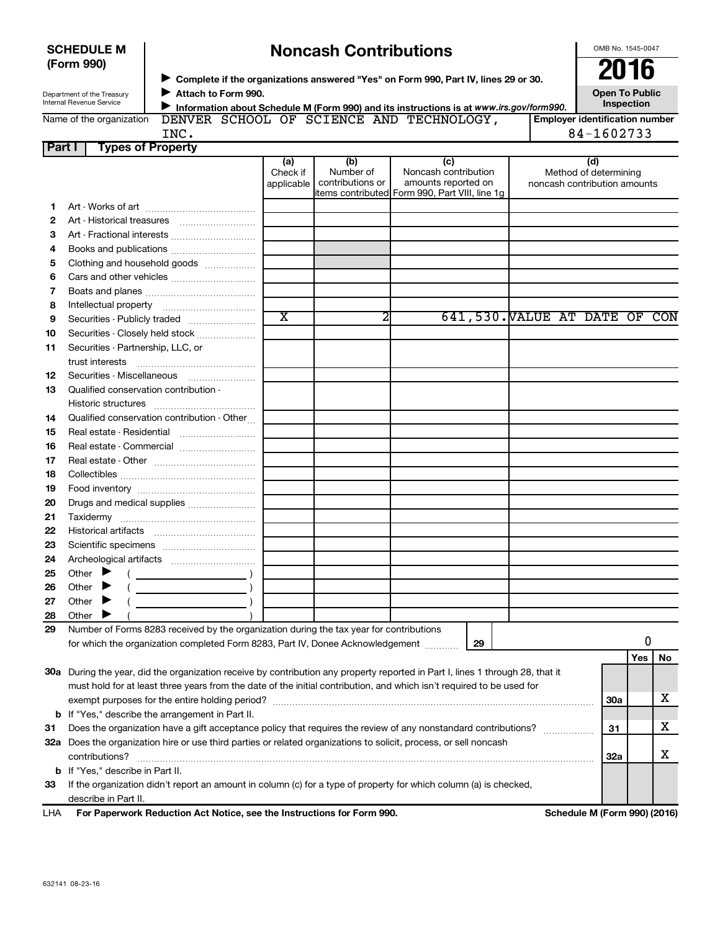| <b>SCHEDULE M</b> |  |
|-------------------|--|
| (Form 990)        |  |

 $\mathbf{I}$ 

**12**

**15 16**

**13** Qualified conservation contribution -

Securities - Partnership, LLC, or

14 Qualified conservation contribution - Other...

Securities - Publicly traded ....................... Securities - Closely held stock ....................

trust interests ~~~~~~~~~~~~~~ Securities - Miscellaneous ~~~~~~~~

Historic structures ~~~~~~~~~~~~

Real estate - Residential ~~~~~~~~~

# **Noncash Contributions**

OMB No. 1545-0047

|        | (Form 990)                                             |                                                       | 2016<br>► Complete if the organizations answered "Yes" on Form 990, Part IV, lines 29 or 30. |                                      |                                                                                                        |  |                                                              |  |  |
|--------|--------------------------------------------------------|-------------------------------------------------------|----------------------------------------------------------------------------------------------|--------------------------------------|--------------------------------------------------------------------------------------------------------|--|--------------------------------------------------------------|--|--|
|        | Department of the Treasury<br>Internal Revenue Service | Attach to Form 990.                                   |                                                                                              |                                      | Information about Schedule M (Form 990) and its instructions is at www.irs.gov/form990.                |  | <b>Open To Public</b><br><b>Inspection</b>                   |  |  |
|        | Name of the organization                               |                                                       |                                                                                              |                                      | DENVER SCHOOL OF SCIENCE AND TECHNOLOGY,                                                               |  | <b>Employer identification number</b>                        |  |  |
|        |                                                        | INC.                                                  |                                                                                              |                                      |                                                                                                        |  | 84-1602733                                                   |  |  |
| Part I |                                                        | <b>Types of Property</b>                              |                                                                                              |                                      |                                                                                                        |  |                                                              |  |  |
|        |                                                        |                                                       | (a)<br>Check if<br>applicable                                                                | (b)<br>Number of<br>contributions or | (c)<br>Noncash contribution<br>amounts reported on<br>litems contributed  Form 990, Part VIII, line 1q |  | (d)<br>Method of determining<br>noncash contribution amounts |  |  |
|        |                                                        |                                                       |                                                                                              |                                      |                                                                                                        |  |                                                              |  |  |
|        | Art - Historical treasures                             |                                                       |                                                                                              |                                      |                                                                                                        |  |                                                              |  |  |
| 3      |                                                        | Art - Fractional interests                            |                                                                                              |                                      |                                                                                                        |  |                                                              |  |  |
| 4      |                                                        | Books and publications                                |                                                                                              |                                      |                                                                                                        |  |                                                              |  |  |
| 5      |                                                        | Clothing and household goods                          |                                                                                              |                                      |                                                                                                        |  |                                                              |  |  |
| 6      |                                                        |                                                       |                                                                                              |                                      |                                                                                                        |  |                                                              |  |  |
|        |                                                        |                                                       |                                                                                              |                                      |                                                                                                        |  |                                                              |  |  |
| 8      |                                                        | Intellectual property [11] [11] Intellectual property |                                                                                              |                                      |                                                                                                        |  |                                                              |  |  |

X 2 641,530. VALUE AT DATE OF CON

| 16  | Real estate Commercial                                                                                                                                                                                                                                                                                                                                                                                                                       |  |    |     |            |    |
|-----|----------------------------------------------------------------------------------------------------------------------------------------------------------------------------------------------------------------------------------------------------------------------------------------------------------------------------------------------------------------------------------------------------------------------------------------------|--|----|-----|------------|----|
| 17  |                                                                                                                                                                                                                                                                                                                                                                                                                                              |  |    |     |            |    |
| 18  |                                                                                                                                                                                                                                                                                                                                                                                                                                              |  |    |     |            |    |
| 19  |                                                                                                                                                                                                                                                                                                                                                                                                                                              |  |    |     |            |    |
| 20  |                                                                                                                                                                                                                                                                                                                                                                                                                                              |  |    |     |            |    |
| 21  |                                                                                                                                                                                                                                                                                                                                                                                                                                              |  |    |     |            |    |
| 22  |                                                                                                                                                                                                                                                                                                                                                                                                                                              |  |    |     |            |    |
| 23  |                                                                                                                                                                                                                                                                                                                                                                                                                                              |  |    |     |            |    |
| 24  |                                                                                                                                                                                                                                                                                                                                                                                                                                              |  |    |     |            |    |
| 25  | Other $\blacktriangleright$<br>$\left(\begin{array}{ccc}\n\frac{1}{2} & \frac{1}{2} & \frac{1}{2} & \frac{1}{2} & \frac{1}{2} & \frac{1}{2} & \frac{1}{2} & \frac{1}{2} & \frac{1}{2} & \frac{1}{2} & \frac{1}{2} & \frac{1}{2} & \frac{1}{2} & \frac{1}{2} & \frac{1}{2} & \frac{1}{2} & \frac{1}{2} & \frac{1}{2} & \frac{1}{2} & \frac{1}{2} & \frac{1}{2} & \frac{1}{2} & \frac{1}{2} & \frac{1}{2} & \frac{1}{2} & \frac{1}{2} & \frac$ |  |    |     |            |    |
| 26  | Other $\blacktriangleright$                                                                                                                                                                                                                                                                                                                                                                                                                  |  |    |     |            |    |
| 27  | Other $\blacktriangleright$                                                                                                                                                                                                                                                                                                                                                                                                                  |  |    |     |            |    |
| 28  | Other I                                                                                                                                                                                                                                                                                                                                                                                                                                      |  |    |     |            |    |
| 29  | Number of Forms 8283 received by the organization during the tax year for contributions                                                                                                                                                                                                                                                                                                                                                      |  |    |     |            |    |
|     | for which the organization completed Form 8283, Part IV, Donee Acknowledgement                                                                                                                                                                                                                                                                                                                                                               |  | 29 |     | 0          |    |
|     |                                                                                                                                                                                                                                                                                                                                                                                                                                              |  |    |     | <b>Yes</b> | No |
| 30a | During the year, did the organization receive by contribution any property reported in Part I, lines 1 through 28, that it                                                                                                                                                                                                                                                                                                                   |  |    |     |            |    |
|     | must hold for at least three years from the date of the initial contribution, and which isn't required to be used for                                                                                                                                                                                                                                                                                                                        |  |    |     |            |    |
|     |                                                                                                                                                                                                                                                                                                                                                                                                                                              |  |    | 30a |            | X  |
| b   | If "Yes," describe the arrangement in Part II.                                                                                                                                                                                                                                                                                                                                                                                               |  |    |     |            |    |
| 31  | Does the organization have a gift acceptance policy that requires the review of any nonstandard contributions?                                                                                                                                                                                                                                                                                                                               |  |    | 31  |            | X  |
| 32a | Does the organization hire or use third parties or related organizations to solicit, process, or sell noncash                                                                                                                                                                                                                                                                                                                                |  |    |     |            |    |
|     | contributions?                                                                                                                                                                                                                                                                                                                                                                                                                               |  |    | 32a |            | X  |
|     | <b>b</b> If "Yes," describe in Part II.                                                                                                                                                                                                                                                                                                                                                                                                      |  |    |     |            |    |
| 33  | If the organization didn't report an amount in column (c) for a type of property for which column (a) is checked,                                                                                                                                                                                                                                                                                                                            |  |    |     |            |    |
|     | describe in Part II.                                                                                                                                                                                                                                                                                                                                                                                                                         |  |    |     |            |    |

**For Paperwork Reduction Act Notice, see the Instructions for Form 990. Schedule M (Form 990) (2016)** LHA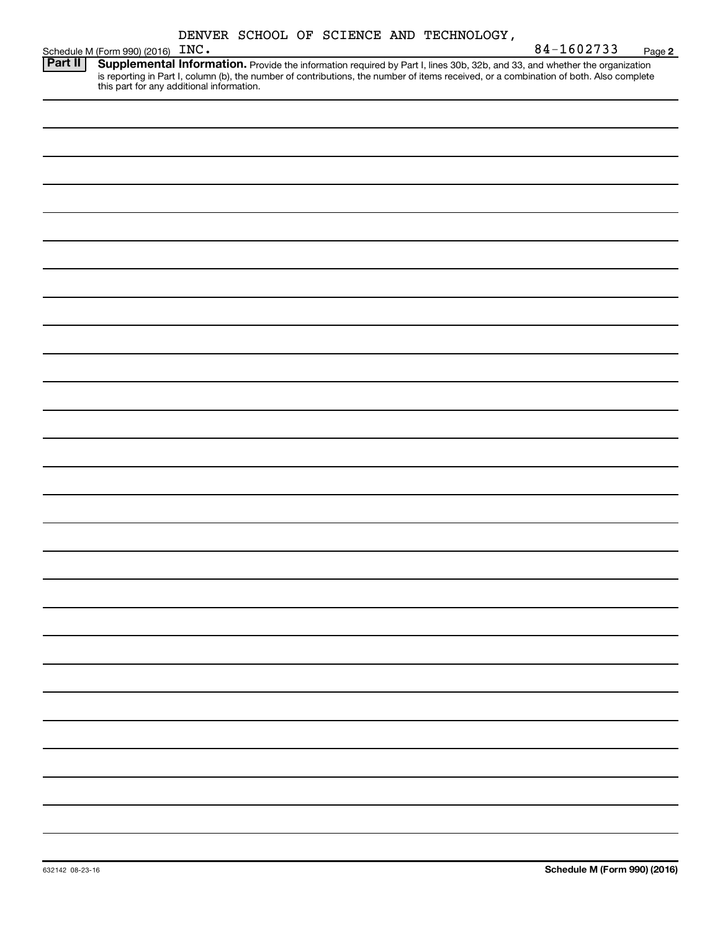| DENVER SCHOOL OF SCIENCE AND TECHNOLOGY, |  |
|------------------------------------------|--|
|------------------------------------------|--|

|                | Schedule M (Form 990) (2016) INC. |                                                                                                                                                                                                                                                                                                                | 84-1602733 | Page 2 |
|----------------|-----------------------------------|----------------------------------------------------------------------------------------------------------------------------------------------------------------------------------------------------------------------------------------------------------------------------------------------------------------|------------|--------|
| <b>Part II</b> |                                   | Supplemental Information. Provide the information required by Part I, lines 30b, 32b, and 33, and whether the organization<br>is reporting in Part I, column (b), the number of contributions, the number of items received, or a combination of both. Also complete this part for any additional information. |            |        |
|                |                                   |                                                                                                                                                                                                                                                                                                                |            |        |
|                |                                   |                                                                                                                                                                                                                                                                                                                |            |        |
|                |                                   |                                                                                                                                                                                                                                                                                                                |            |        |
|                |                                   |                                                                                                                                                                                                                                                                                                                |            |        |
|                |                                   |                                                                                                                                                                                                                                                                                                                |            |        |
|                |                                   |                                                                                                                                                                                                                                                                                                                |            |        |
|                |                                   |                                                                                                                                                                                                                                                                                                                |            |        |
|                |                                   |                                                                                                                                                                                                                                                                                                                |            |        |
|                |                                   |                                                                                                                                                                                                                                                                                                                |            |        |
|                |                                   |                                                                                                                                                                                                                                                                                                                |            |        |
|                |                                   |                                                                                                                                                                                                                                                                                                                |            |        |
|                |                                   |                                                                                                                                                                                                                                                                                                                |            |        |
|                |                                   |                                                                                                                                                                                                                                                                                                                |            |        |
|                |                                   |                                                                                                                                                                                                                                                                                                                |            |        |
|                |                                   |                                                                                                                                                                                                                                                                                                                |            |        |
|                |                                   |                                                                                                                                                                                                                                                                                                                |            |        |
|                |                                   |                                                                                                                                                                                                                                                                                                                |            |        |
|                |                                   |                                                                                                                                                                                                                                                                                                                |            |        |
|                |                                   |                                                                                                                                                                                                                                                                                                                |            |        |
|                |                                   |                                                                                                                                                                                                                                                                                                                |            |        |
|                |                                   |                                                                                                                                                                                                                                                                                                                |            |        |
|                |                                   |                                                                                                                                                                                                                                                                                                                |            |        |
|                |                                   |                                                                                                                                                                                                                                                                                                                |            |        |
|                |                                   |                                                                                                                                                                                                                                                                                                                |            |        |
|                |                                   |                                                                                                                                                                                                                                                                                                                |            |        |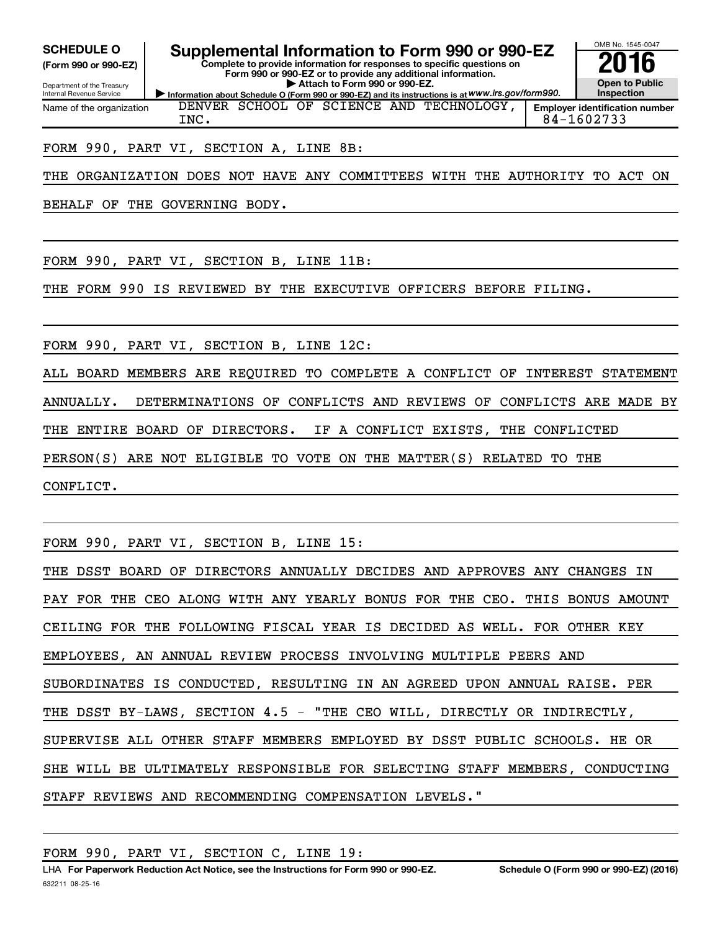**(Form 990 or 990-EZ)**

**Complete to provide information for responses to specific questions on SCHEDULE O Supplemental Information to Form 990 or 990-EZ 2016**

**Form 990 or 990-EZ or to provide any additional information. | Attach to Form 990 or 990-EZ.**

Department of the Treasury Internal Revenue Service Name of the organization

**Information about Schedule O (Form 990 or 990-EZ) and its instructions is at WWW.irs.gov/form990.** DENVER SCHOOL OF SCIENCE AND TECHNOLOGY,

**Open to Public Inspection**

OMB No. 1545-0047

**Employer identification number** INC. 84-1602733

### FORM 990, PART VI, SECTION A, LINE 8B:

THE ORGANIZATION DOES NOT HAVE ANY COMMITTEES WITH THE AUTHORITY TO ACT ON

BEHALF OF THE GOVERNING BODY.

FORM 990, PART VI, SECTION B, LINE 11B:

THE FORM 990 IS REVIEWED BY THE EXECUTIVE OFFICERS BEFORE FILING.

FORM 990, PART VI, SECTION B, LINE 12C:

ALL BOARD MEMBERS ARE REQUIRED TO COMPLETE A CONFLICT OF INTEREST STATEMENT ANNUALLY. DETERMINATIONS OF CONFLICTS AND REVIEWS OF CONFLICTS ARE MADE BY THE ENTIRE BOARD OF DIRECTORS. IF A CONFLICT EXISTS, THE CONFLICTED PERSON(S) ARE NOT ELIGIBLE TO VOTE ON THE MATTER(S) RELATED TO THE CONFLICT.

FORM 990, PART VI, SECTION B, LINE 15:

THE DSST BOARD OF DIRECTORS ANNUALLY DECIDES AND APPROVES ANY CHANGES IN PAY FOR THE CEO ALONG WITH ANY YEARLY BONUS FOR THE CEO. THIS BONUS AMOUNT CEILING FOR THE FOLLOWING FISCAL YEAR IS DECIDED AS WELL. FOR OTHER KEY EMPLOYEES, AN ANNUAL REVIEW PROCESS INVOLVING MULTIPLE PEERS AND SUBORDINATES IS CONDUCTED, RESULTING IN AN AGREED UPON ANNUAL RAISE. PER THE DSST BY-LAWS, SECTION 4.5 - "THE CEO WILL, DIRECTLY OR INDIRECTLY, SUPERVISE ALL OTHER STAFF MEMBERS EMPLOYED BY DSST PUBLIC SCHOOLS. HE OR SHE WILL BE ULTIMATELY RESPONSIBLE FOR SELECTING STAFF MEMBERS, CONDUCTING STAFF REVIEWS AND RECOMMENDING COMPENSATION LEVELS."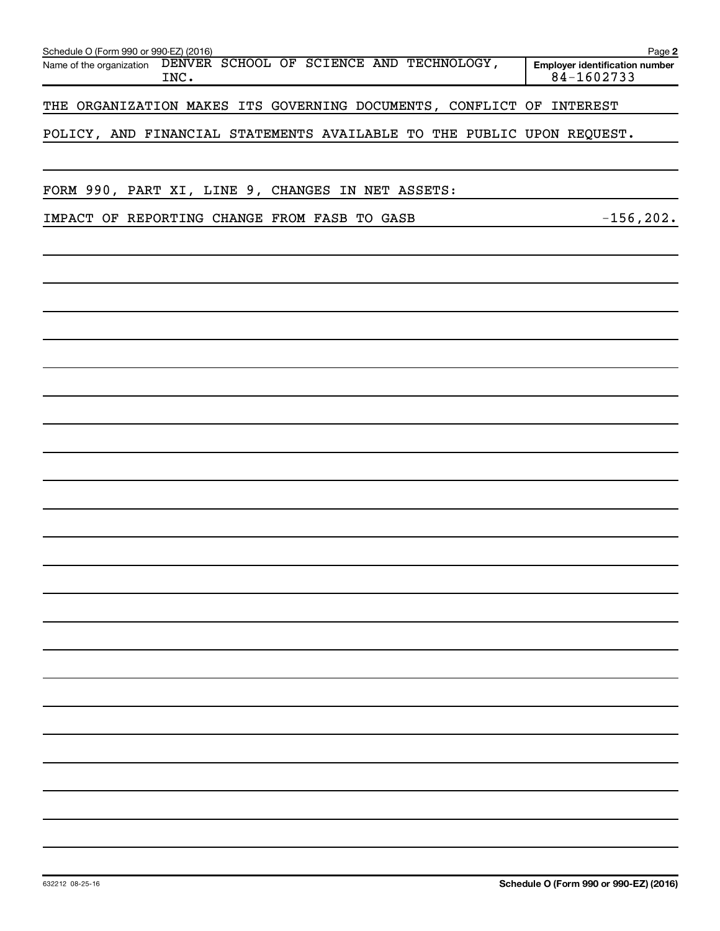| Schedule O (Form 990 or 990-EZ) (2016)                                       | Page 2                                              |
|------------------------------------------------------------------------------|-----------------------------------------------------|
| DENVER SCHOOL OF SCIENCE AND TECHNOLOGY,<br>Name of the organization<br>INC. | <b>Employer identification number</b><br>84-1602733 |
| THE ORGANIZATION MAKES ITS GOVERNING DOCUMENTS, CONFLICT OF INTEREST         |                                                     |
| POLICY, AND FINANCIAL STATEMENTS AVAILABLE TO THE PUBLIC UPON REQUEST.       |                                                     |
|                                                                              |                                                     |
| FORM 990, PART XI, LINE 9, CHANGES IN NET ASSETS:                            |                                                     |
| IMPACT OF REPORTING CHANGE FROM FASB TO GASB                                 | $-156, 202.$                                        |
|                                                                              |                                                     |
|                                                                              |                                                     |
|                                                                              |                                                     |
|                                                                              |                                                     |
|                                                                              |                                                     |
|                                                                              |                                                     |
|                                                                              |                                                     |
|                                                                              |                                                     |
|                                                                              |                                                     |
|                                                                              |                                                     |
|                                                                              |                                                     |
|                                                                              |                                                     |
|                                                                              |                                                     |
|                                                                              |                                                     |
|                                                                              |                                                     |
|                                                                              |                                                     |
|                                                                              |                                                     |
|                                                                              |                                                     |
|                                                                              |                                                     |
|                                                                              |                                                     |
|                                                                              |                                                     |
|                                                                              |                                                     |